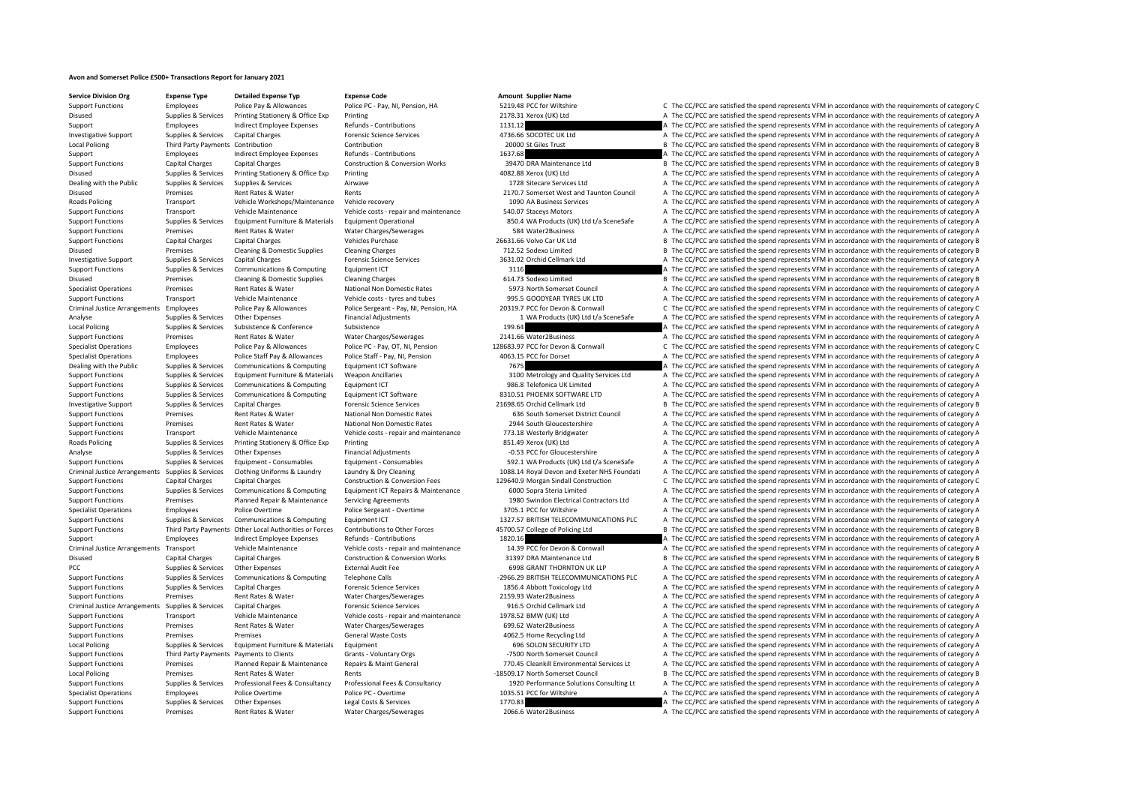## **Avon and Somerset Police £500+ Transactions Report for January 2021**

**Service Division Org Expense Type Detailed Expense Typ Expense Code Amount Supplier Name**

|         | 2178.31 Xerox (UK) Ltd                                                 |
|---------|------------------------------------------------------------------------|
| 1131.12 |                                                                        |
|         | 4736.66 SOCOTEC UK Ltd                                                 |
|         | 20000 St Giles Trust                                                   |
| 1637.68 |                                                                        |
|         | 39470 DRA Maintenance Ltd                                              |
|         | 4082.88 Xerox (UK) Ltd                                                 |
|         | 1728 Sitecare Services Ltd                                             |
|         | 2170.7 Somerset West and Taunton Council                               |
|         | 1090 AA Business Services                                              |
|         | 540.07 Staceys Motors                                                  |
|         | 850.4 WA Products (UK) Ltd t/a SceneSafe                               |
|         | 584 Water2Business                                                     |
|         | 26631.66 Volvo Car UK Ltd                                              |
|         | 712.52 Sodexo Limited                                                  |
|         | 3631.02 Orchid Cellmark Ltd                                            |
| 3116    |                                                                        |
|         | 614.73 Sodexo Limited                                                  |
|         | 5973 North Somerset Council                                            |
|         | 995.5 GOODYEAR TYRES UK LTD                                            |
|         | 20319.7 PCC for Devon & Cornwall                                       |
|         | 1 WA Products (UK) Ltd t/a SceneSafe                                   |
| 199.64  |                                                                        |
|         | 2141.66 Water2Business                                                 |
|         | 128683.97 PCC for Devon & Cornwall                                     |
| 7675    | 4063.15 PCC for Dorset                                                 |
|         |                                                                        |
|         | 3100 Metrology and Quality Services Ltd<br>986.8 Telefonica UK Limited |
|         | 8310.51 PHOENIX SOFTWARE LTD                                           |
|         | 21698.65 Orchid Cellmark Ltd                                           |
|         | 636 South Somerset District Council                                    |
|         | 2944 South Gloucestershire                                             |
|         | 773.18 Westerly Bridgwater                                             |
|         | 851.49 Xerox (UK) Ltd                                                  |
|         | -0.53 PCC for Gloucestershire                                          |
|         | 592.1 WA Products (UK) Ltd t/a SceneSafe                               |
|         | 1088.14 Royal Devon and Exeter NHS Foundati                            |
|         | 129640.9 Morgan Sindall Construction                                   |
|         | 6000 Sopra Steria Limited                                              |
|         | 1980 Swindon Electrical Contractors Ltd                                |
|         | 3705.1 PCC for Wiltshire                                               |
|         | 1327.57 BRITISH TELECOMMUNICATIONS PLC                                 |
|         | 45700.57 College of Policing Ltd                                       |
| 1820.16 |                                                                        |
|         | 14.39 PCC for Devon & Cornwall                                         |
|         | 31397 DRA Maintenance Ltd                                              |
|         | 6998 GRANT THORNTON UK LLP                                             |
|         | -2966.29 BRITISH TELECOMMUNICATIONS PLC                                |
|         | 1856.4 Abbott Toxicology Ltd                                           |
|         | 2159.93 Water2Business                                                 |
|         | 916.5 Orchid Cellmark Ltd                                              |
|         | 1978.52 BMW (UK) Ltd                                                   |
|         | 699.62 Water2Business                                                  |
|         | 4062.5 Home Recycling Ltd                                              |
|         | 696 SOLON SECURITY LTD                                                 |
|         | -7500 North Somerset Council                                           |
|         | 770.45 Cleankill Environmental Services Lt                             |
|         | -18509.17 North Somerset Council                                       |
|         | 1920 Performance Solutions Consulting Lt                               |
|         | 1035.51 PCC for Wiltshire                                              |
| 1770.83 | 2066.6 Water2Business                                                  |
|         |                                                                        |

Support Functions Employees Police Pay & Allowances Police PC ‐ Pay, NI, Pension, HA 5219.48 PCC for Wiltshire C The CC/PCC are satisfied the spend represents VFM in accordance with the requirements of category C Disused Supplies & Services Printing Stationery & Office Exp Printing Printing 2178.31 Xerox (UK) Ltd A The CC/PCC are satisfied the spend represents VFM in accordance with the requirements of category A Support Employees Indirect Employee Expenses Refunds - Contributions 1131.12 A The CC/PCC are satisfied the spend represents VFM in accordance with the requirements of category A Investigative Support Supplies & Services Capital Charges Forensic Science Services A The COTEC UK Ltd A The CC/PCC are satisfied the spend represents VFM in accordance with the requirements of category A Local Policing Third Party Payments Contribution Contribution Contribution Contribution Contribution Contribution Contribution 20000 St Giles Trust B The CC/PCC are satisfied the spend represents VFM in accordance with the Support Employees Indirect Employee Expenses Refunds - Contributions 1637.68 A The CC/PCC are satisfied the spend represents VFM in accordance with the requirements of category A The CC/PCC are satisfied the spend represen Support Functions Capital Charges Capital Charges Construction & Conversion Works 39470 DRA Maintenance Ltd B The CC/PCC are satisfied the spend represents VFM in accordance with the requirements of category B Disused Supplies & Services Printing Stationery & Office Exp Printing Printing 4082.88 Xerox (UK) Ltd A The CC/PCC are satisfied the spend represents VFM in accordance with the requirements of category A The Criteral In th Dealing with the Public Supplies & Services Supplies & Services Airwave 1728 Sitecare Services Ltd A The CC/PCC are satisfied the spend represents VFM in accordance with the requirements of category A Disused Premises Rent Rates & Water Rents Rents Rents Rents 2170.7 Somerset West and Taunton Council A The CC/PCC are satisfied the spend represents VFM in accordance with the requirements of category A Reads Policie In St A The CC/PCC are satisfied the spend represents VFM in accordance with the requirements of category A Support Functions Transport Vehicle Maintenance Vehicle costs - repair and maintenance 540.07 Staceys Motors A The CC/PCC are satisfied the spend represents VFM in accordance with the requirements of category A Supplies & Services Equipment Furniture & Materials Equipment Operational and the space of the CC/PCC are satisfied the spend represents VFM in accordance with the requirements of category A The CC/PCC are satisfied the sp A The CC/PCC are satisfied the spend represents VFM in accordance with the requirements of category A Support Functions Capital Charges Capital Charges Vehicles Purchase 26631.66 Volvo Car UK Ltd B The CC/PCC are satisfied the spend represents VFM in accordance with the requirements of category B Disused Premises Cleaning & Domestic Supplies Cleaning Charges 712.52 Sodexo Limited B The CC/PCC are satisfied the spend represents VFM in accordance with the requirements of category B Investigative Support Supplies & Services Capital Charges Forensic Science Services 3631.02 Orchid Cellmark Ltd A The CC/PCC are satisfied the spend represents VFM in accordance with the requirements of category A Support Functions Supplies & Services Communications & Computing Equipment ICT and the Support Computing Clean and the CC/PCC are satisfied the spend represents VFM in accordance with the requirements of category A The CC/ Disused Premises Cleaning & Domestic Supplies Cleaning Charges 614.73 Sodexo Limited B The CC/PCC are satisfied the spend represents VFM in accordance with the requirements of category B Specialist Operations Premises Rent Rates & Water National Non Domestic Rates 5973 North Somerset Council A The CC/PCC are satisfied the spend represents VFM in accordance with the requirements of category A Support Functions Transport Vehicle Maintenance Vehicle costs - tyres and tubes 995.5 GOODYEAR TYRES UK LTD A The CC/PCC are satisfied the spend represents VFM in accordance with the requirements of category A Criminal Justice Arrangements Employees Police Pay & Allowances Police Serverant - Pay LN I Pension. HA 20319.7 PCC for Devon & Commall Care and for C/PCC are satisfied the spend represents VFM in accordance with the requi Analyse Supplies & Services Other Expenses Financial Adjustments Financial Adjustments 1 WA Products (UK) Ltd t/a SceneSafe A The CC/PCC are satisfied the spend represents VFM in accordance with the requirements of categor Supplies & Services Subsistence Subsistence Subsistence 199.64 A The CC/PCC are satisfied the spend represents VFM in accordance with the requirements of category A Support Functions Premises Rent Rates & Water Water Charges/Sewerages 2141.66 Water2Business A The CC/PCC are satisfied the spend represents VFM in accordance with the requirements of category A Specialist Operations Employees Police Pay & Allowances Police PC - Pay, OT, NI, Pension 128683.97 PCC for Devon & Cornwall C The CC/PCC are satisfied the spend represents VFM in accordance with the requirements of categor Specialist Operations Employees Police Staff Pay & Allowances Police Staff - Pay, NI, Pension 4063.15 PCC for Dorset A The CC/PCC are satisfied the spend represents VFM in accordance with the requirements of category A Dealing with the Public Supplies & Services Communications & Computing Equipment ICT Software 7675 A The CC/PCC are satisfied the spend represents VFM in accordance with the requirements of category A The Criteria Analysis Suppliers & Suppliers & Suppliers Suppliers Foundance Fund turniture & Materials Weapon Ancillaries 2000 Metrology and Quality Services Ltd A The CC/PCC are satisfied the spend represents VFM in accordance with the require Support Functions Supplies & Services Communications & Computing Faultoment ICT 986.8 Telefonica UK Limited A The CC/PCC are satisfied the spend represents VFM in accordance with the requirements of category A Support Functions Supplies & Services Communications & Computing Equipment ICT Software 8310.51 PHOENIX SOFTWARE LTD A The CC/PCC are satisfied the spend represents VFM in accordance with the requirements of category A Investigative Support Support Support Support Capital Charges Forensic Science Services 21698.65 Orchid Cellmark Ltd B The CC/PCC are satisfied the spend represents VFM in accordance with the requirements of category B Support Functions Premises Rent Rates & Water National Non Domestic Rates 636 South Somerset District Council A The CC/PCC are satisfied the spend represents VFM in accordance with the requirements of category A The reduce Support Functions Premises Rent Rates & Water National Non Domestic Rates 2944 South Gloucestershire A The CC/PCC are satisfied the spend represents VFM in accordance with the requirements of category A Support Functions Transport Vehicle Maintenance Vehicle costs ‐ repair and maintenance 773.18 Westerly Bridgwater A The CC/PCC are satisfied the spend represents VFM in accordance with the requirements of category A Roads Policing Supplies & Services Printing Stationery & Office Exp Printing Printing 851.49 Xerox (UK) Ltd A The CC/PCC are satisfied the spend represents VFM in accordance with the requirements of category A Analyse Supplies Services Other Expenses Financial Adjustments 6 CADIC For Gloucestershire A The CC/PCC are satisfied the spend represents VEM in accordance with the requirements of category A Supplies & Services Equipment - Consumables Equipment - Consumables Equipment - Consumables Equipment - Consumables Supplies and the COVEC are satisfied the spend represents VFM in accordance with the requirements of categ Criminal Justice Arrangements Supplies & Services Clothing Uniforms & Laundry Laundry & Dry Cleaning May Approvence and Beter NHS Foundati A The CC/PCC are satisfied the spend represents VFM in accordance with the requirem Support Functions Capital Charges Capital Charges Construction & Conversion Fees 129640.9 Morgan Sindall Construction C The CC/PCC are satisfied the spend represents VFM in accordance with the requirements of category C Supplies & Services Communications & Computing Equipment ICT Repairs & Maintenance 6000 Sopra Steria Limited and The CC/PCC are satisfied the spend represents VFM in accordance with the requirements of category A The COMER Support Functions Premises Planned Repair & Maintenance Servicing Agreements 1980 Swindon Electrical Contractors Ltd A The CC/PCC are satisfied the spend represents VFM in accordance with the requirements of category A Specialist Operations Employees Police Overtime Police Sergeant - Overtime 3705.1 PCC for Wiltshire A The CC/PCC are satisfied the spend represents VFM in accordance with the requirements of category A Support Functions Supplies & Services Communications & Computing Equipment ICT 1327.57 BRITISH TELECOMMUNICATIONS PLC A The CC/PCC are satisfied the spend represents VFM in accordance with the requirements of category A Support Functions Third Party Payments Other Local Authorities or Forces Contributions to Other Forces of Authorities or Forces Contributions to Other Forces 45700.57 College of Policing Itd B. The CC/PCC are satisfied the Support Employees Indirect Employee Expenses Refunds • Contributions 1820.16 A The CC/PCC are satisfied the spend represents VFM in accordance with the requirements of category A The Criminal Justice Arrangements Transport A The CC/PCC are satisfied the spend represents VFM in accordance with the requirements of category A Disused Capital Charges Capital Charges Construction & Conversion Works 31397 DRA Maintenance Ltd B The CC/PCC are satisfied the spend represents VFM in accordance with the requirements of category B PCC Supplies & Services Other Expenses External Audit Fee 6998 GRANT THORNTON UK LLP A The CC/PCC are satisfied the spend represents VFM in accordance with the requirements of category A Support Functions Supplies & Services Communications & Computing Telephone Calls <br>
and the COMMUNICATIONS PLC A The CC/PCC are satisfied the spend represents VFM in accordance with the requirements of category A Support Functions Supplies & Services Capital Charges Forensic Science Services 1856.4 Abbott Toxicology Ltd A The CC/PCC are satisfied the spend represents VFM in accordance with the requirements of category A Support Functions Premises Rent Rates & Water Water Charges/Sewerages 2159.93 Water2Business A The CC/PCC are satisfied the spend represents VFM in accordance with the requirements of category A Criminal Justice Arrangements Supplies & Services Capital Charges Forensic Science Services Forensic Science Services 916.5 Orchid Cellmark Ltd A The CC/PCC are satisfied the spend represents VFM in accordance with the req Support Functions Transport Vehicle Maintenance Vehicle costs • repair and maintenance 1978.52 BMW (UK) Ltd A The CC/PCC are satisfied the spend represents VFM in accordance with the requirements of category A The Crime of Support Functions Premises Rent Rates & Water Water Charges/Sewerages 699.62 Water 2Business A The CC/PCC are satisfied the spend represents VFM in accordance with the requirements of category A Support Functions Premises Premises Premises Support General Waste Costs General Waste Costs and the Support Home Recycling Ltd A The CC/PCC are satisfied the spend represents VFM in accordance with the requirements of cat A The CC/PCC are satisfied the spend represents VFM in accordance with the requirements of category A Support Functions Third Party Payments Payments to Clients Grants - Voluntary Orgs -7500 North Somerset Council A The CC/PCC are satisfied the spend represents VFM in accordance with the requirements of category A Support Functions Premises Planned Repair & Maintenance Repairs & Maint General 770.45 Cleankill Environmental Services Lt A The CC/PCC are satisfied the spend represents VFM in accordance with the requirements of category B The CC/PCC are satisfied the spend represents VFM in accordance with the requirements of category B Supplies & Services Professional Fees & Consultancy Professional Fees & Consultancy Consultancy and the Support of the CC/PCC are satisfied the spend represents VFM in accordance with the requirements of category A Specialist Operations Employees Police Overtime Police PC - Overtime 1035.51 PCC for Wiltshire A The CC/PCC are satisfied the spend represents VFM in accordance with the requirements of category A Support Functions Supplies & Services Other Expenses Legal Costs & Services Legal Costs & Services Legal Costs & Services 1770.83 A The CC/PCC are satisfied the spend represents VFM in accordance with the requirements of c Support Functions Premises Rent Rates & Water Water Charges/Sewerages 2066.6 Water2Business A The CC/PCC are satisfied the spend represents VFM in accordance with the requirements of category A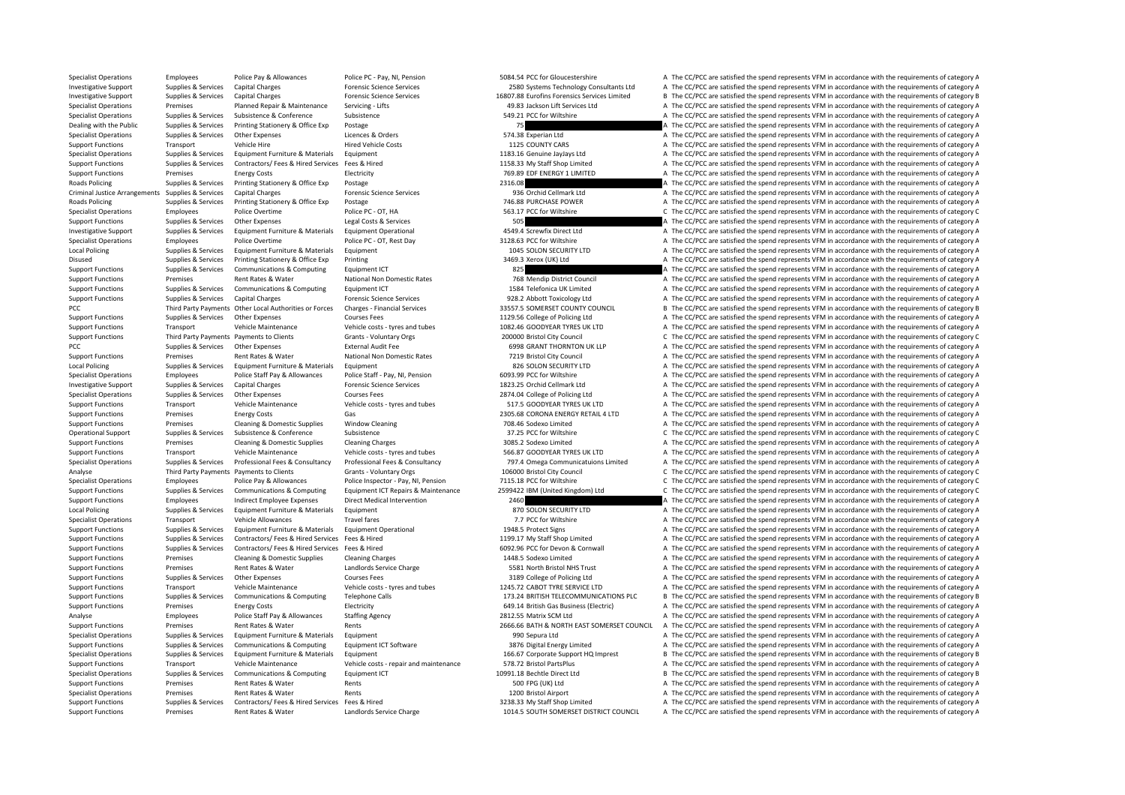Specialist Operations Employees Police Pay & Allowances Police PC - Pay, NI, Pension 5084.54 PCC for Gloucestershire A The CC/PCC are satisfied the spend represents VFM in accordance with the requirements of category A Investigative Support Supplies & Services Capital Charges Material Provides Capital Charges Process Forensic Science Services and DESCONSTERING A The CC/PCC are satisfied the spend represents VFM in accordance with the req Investigative Support Supplies & Services Capital Charges Provide Prensic Science Services and the Support Support Support Support Support Support Support Support Support Support Support Support of The Common Servicing Lif Premises Planned Repair & Maintenance Servicing - Lifts 49.83 Jackson Lift Services Ltd A The CC/PCC are satisfied the spend represents VFM in accordance with the requirements of category A Specialist Operations Suppliers & Services Subsistence Subsistence Subsistence Subsistence Subsistence Subsistence 549.21 PCC for Wiltshire A The CC/PCC are satisfied the spend represents VFM in accordance with the require Dealing with the Public Supplies & Services Printing Stationery & Office Exp Postage 75 25 2012 75 A The CC/PCC are satisfied the spend represents VFM in accordance with the requirements of category A Specialist Operations Supplies & Services Other Expenses Licences & Orders Licences & Orders 574.38 Experian Ltd A The CC/PCC are satisfied the spend represents VFM in accordance with the requirements of category A Support Functions Transport Vehicle Hire Hired Vehicle Costs Hired Vehicle Costs and the Vehicle Costs 1125 COUNTY CARS A The CC/PCC are satisfied the spend represents VFM in accordance with the requirements of category A Specialist Operations Supplies & Services Equipment Furniture & Materials Equipment 1183.16 Genuine JayJays Ltd A The CC/PCC are satisfied the spend represents VFM in accordance with the requirements of category A Support Functions Supplies & Services Contractors/ Fees & Hired Services Fees & Hired 1158.33 My Staff Shop Limited A The CC/PCC are satisfied the spend represents VFM in accordance with the requirements of category A The Support Functions Premises Energy Costs Electricity Electricity and Electricity and the COSTS EDF ENERGY 1 LIMITED A The CC/PCC are satisfied the spend represents VFM in accordance with the requirements of category A Thank Roads Policing Supplies & Services Printing Stationery & Office Exp Postage Printing Stationery & Office Exp Postage 2316.08 2316.08 A The CC/PCC are satisfied the spend represents VFM in accordance with the requirements o Criminal Justice Arrangements Supplies & Services Capital Charges Capital Charges Forensic Science Services Forensic Science Services 936 Orchid Cellmark Ltd A The CC/PCC are satisfied the spend represents VFM in accordanc A The CC/PCC are satisfied the spend represents VFM in accordance with the requirements of category A Specialist Operations Employees Police Overtime Police PC ‐ OT, HA 563.17 PCC for Wiltshire C The CC/PCC are satisfied the spend represents VFM in accordance with the requirements of category C Support Functions Supplies & Services Culto Costs Alterions (Support Functions Category A The CC/PCC are satisfied the spend represents VFM in accordance with the requirements of category A The Crito Costs & Services 1999 A The CC/PCC are satisfied the spend represents VFM in accordance with the requirements of category A Specialist Operations Employees Police Overtime Police PC - OT, Rest Day 3128.63 PCC for Wiltshire A The CC/PCC are satisfied the spend represents VFM in accordance with the requirements of category A Local Policing Supplies & Services Equipment Furniture & Materials Equipment Equipment 1045 SOLON SECURITY LTD A The CC/PCC are satisfied the spend represents VFM in accordance with the requirements of category A The Criti Disused Supplies & Services Printing Stationery & Office Exp Printing Printing Printing 3469.3 Xerox (UK) Ltd A The CC/PCC are satisfied the spend represents VFM in accordance with the requirements of category A The Criter Support Functions Supplies & Services Communications & Computing Equipment ICT 825 A The CC/PCC are satisfied the spend represents VFM in accordance with the requirements of category A The COMPOS are satisfied the spend re Support Functions Premises Rent Rates & Water National Non Domestic Rates 768 Mendip District Council A The CC/PCC are satisfied the spend represents VFM in accordance with the requirements of category A Support Functions Supplies & Services Communications & Computing Equipment ICT 1584 Telefonica UK Limited A The CC/PCC are satisfied the spend represents VFM in accordance with the requirements of category A Support Functions Supplies & Services Capital Charges Forensic Science Services 928.2 Abbott Toxicology Ltd A The CC/PCC are satisfied the spend represents VFM in accordance with the requirements of category A PCC Third Party Payments Other Local Authorities or Forces Charges ‐ Financial Services 33557.5 SOMERSET COUNTY COUNCIL B The CC/PCC are satisfied the spend represents VFM in accordance with the requirements of category B Support Functions Supplies & Services Other Expenses Courses Fees Courses Fees 1129.56 College of Policing Ltd A The CC/PCC are satisfied the spend represents VFM in accordance with the requirements of category A The more Support Functions Transport Vehicle Maintenance Vehicle costs – tyres and tubes 1082.46 GOODYEAR TYRES UK LTD A The CC/PCC are satisfied the spend represents VEM in accordance with the requirements of category A Support Functions Third Party Payments Payments to Clients Grants - Voluntary Orgs 200000 Bristol City Council City Council C The CC/PCC are satisfied the spend represents VFM in accordance with the requirements of categor PCC Supplies & Services Other Expenses External Audit Fee 6998 GRANT THORNTON UK LLP A The CC/PCC are satisfied the spend represents VFM in accordance with the requirements of category A Support Functions Premises Rent Rates & Water National Non Domestic Rates 7219 Bristol City Council A The CC/PCC are satisfied the spend represents VFM in accordance with the requirements of category A Local Policing Supplies & Services Equipment Furniture & Materials Equipment A The CONTECT SUPPLET A The CC/PCC are satisfied the spend represents VFM in accordance with the requirements of category A The Cripment Contents Specialist Operations Employees Police Staff Pay & Allowances Police Staff - Pay, NI, Pension 6093.99 PCC for Wiltshire A The CC/PCC are satisfied the spend represents VFM in accordance with the requirements of category A Investigative Support Supplies & Services Capital Charges Forensic Science Services 1823.25 Orchid Cellmark Ltd A The CC/PCC are satisfied the spend represents VFM in accordance with the requirements of category A Specialist Operations Supplies & Services Other Expenses Courses Fees Courses Fees 2874.04 College of Policing Ltd A The CC/PCC are satisfied the spend represents VFM in accordance with the requirements of category A Support Functions Transport Vehicle Maintenance Vehicle costs ‐ tyres and tubes 517.5 GOODYEAR TYRES UK LTD A The CC/PCC are satisfied the spend represents VFM in accordance with the requirements of category A Support Functions Premises Energy Costs Gas Gas 2305.68 CORONA ENERGY RETAIL 4 LTD A The CC/PCC are satisfied the spend represents VFM in accordance with the requirements of category A Support Functions Premises Cleaning & Domestic Supplies Window Cleaning 708.46 Sodexo Limited A The CC/PCC are satisfied the spend represents VFM in accordance with the requirements of category A Operational Support Supplies & Services Subsistence Subsistence Subsistence Subsistence 37.25 PCC for Wiltshire C The CC/PCC are satisfied the spend represents VFM in accordance with the requirements of category C Support Functions Premises Cleaning & Domestic Supplies Cleaning Charges Cleaning Charges Cleaning Charges 3085.2 Sodexo Limited A The CC/PCC are satisfied the spend represents VFM in accordance with the requirements of ca Support Functions Transport Vehicle Maintenance Vehicle costs - tyres and tubes 566.87 GOODYEAR TYRES UK LTD A The CC/PCC are satisfied the spend represents VFM in accordance with the requirements of category A Supplies & Services Professional Fees & Consultancy Professional Fees & Consultancy Consultancy Consultancy Consultancy 797.4 Omega Communicatulons Limited A The CC/PCC are satisfied the spend represents VFM in accordance Analyse Third Party Payments Payments to Clients Grants - Voluntary Orgs 106000 Bristol City Council City Council C The CC/PCC are satisfied the spend represents VFM in accordance with the requirements of category C Specialist Operations Employees Police Pay & Allowances Police Inspector - Pay, NI, Pension 7115.18 PCC for Wiltshire C The CC/PCC are satisfied the spend represents VFM in accordance with the requirements of category C Supplies & Services Communications & Computing Equipment ICT Repairs & Maintenance 2599422 IBM (United Kingdom) Ltd C The CC/PCC are satisfied the spend represents VFM in accordance with the requirements of category C Support Functions Employees Indirect Employee Expenses Direct Medical Intervention 2460 2000 SECURITY LTD A The CC/PCC are satisfied the spend represents VFM in accordance with the requirements of category A Local Policing Supplies & Services Equipment Furniture & Materials Equipment 870 SOLON SECURITY LTD A The CC/PCC are satisfied the spend represents VFM in accordance with the requirements of category A Specialist Operations Transport Vehicle Allowances Travel fares Travel fares Travel fares Travel fares Travel fares Travel fares A The CC/PCC are satisfied the spend represents VFM in accordance with the requirements of ca Support Functions Supplies & Services Equipment Furniture & Materials Equipment Operational 1948.5 Protect Signs A The CC/PCC are satisfied the spend represents VFM in accordance with the requirements of category A The COR Support Functions Supplies & Services Contractors/ Fees & Hired Services Fees & Hired 1199.17 My Staff Shop Limited A The CC/PCC are satisfied the spend represents VFM in accordance with the requirements of category A The A The CC/PCC are satisfied the spend represents VFM in accordance with the requirements of category A Support Functions Premises Cleaning & Domestic Supplies Cleaning Charges 1448.5 Sodexo Limited A The CC/PCC are satisfied the spend represents VFM in accordance with the requirements of category A Support Functions Premises Rent Rates & Water Landlords Service Charge 5581 North Bristol NHS Trust A The CC/PCC are satisfied the spend represents VFM in accordance with the requirements of category A Support Functions Supplies & Services Other Expenses Courses Fees Courses Fees 3189 College of Policing Ltd A The CC/PCC are satisfied the spend represents VFM in accordance with the requirements of category A Support Functions Transport Vehicle Maintenance Vehicle costs ‐ tyres and tubes 1245.72 CABOT TYRE SERVICE LTD A The CC/PCC are satisfied the spend represents VFM in accordance with the requirements of category A The Connu Support Functions Supplies & Services Communications & Computing Telephone Calls 173.24 BRITISH TELECOMMUNICATIONS PLC B The CC/PCC are satisfied the spend represents VFM in accordance with the requirements of category B Support Functions Premises Energy Costs Electricity Electricity Electricity 649.14 British Gas Business (Electric) A The CC/PCC are satisfied the spend represents VFM in accordance with the requirements of category Police Analyse Employees Police Staff Pay & Allowances Staffing Agency 2812.55 Matrix SCM Ltd A The CC/PCC are satisfied the spend represents VFM in accordance with the requirements of category P Support Functions Premises Rent Rates & Water Rents Rents Rents 2666.66 BATH & NORTH EAST SOMERSET COUNCIL A The CC/PCC are satisfied the spend represents VFM in accordance with the requirements of category A Specialist Operations Supplies & Services Equipment Furniture & Materials Equipment Equipment Equipment Equipment Equipment Purniture & Materials Equipment Purniture Supplies are satisfied the spend represents VFM in accor A The CC/PCC are satisfied the spend represents VFM in accordance with the requirements of category A Specialist Operations Supplies & Services Equipment Furniture & Materials Equipment 166.67 Corporate Support HQ Imprest B The CC/PCC are satisfied the spend represents VFM in accordance with the requirements of category B Support Functions Transport Vehicle Maintenance Vehicle costs ‐ repair and maintenance 578.72 Bristol PartsPlus A The CC/PCC are satisfied the spend represents VFM in accordance with the requirements of category A The Cris B The CC/PCC are satisfied the spend represents VFM in accordance with the requirements of category B Support Functions Premises Rent Rates & Water Rents Rents Rents Support A The CC/PCC are satisfied the spend represents VFM in accordance with the requirements of category A Specialist Operations Premises Rent Rates & Water Rents Rents Rents Rents Rents Rents Rents Rents Rents Rents A The CC/PCC are satisfied the spend represents VFM in accordance with the requirements of category A Support Functions Supplies & Services Contractors/ Fees & Hired Services Fees & Hired 3238.33 My Staff Shop Limited A The CC/PCC are satisfied the spend represents VFM in accordance with the requirements of category A Support Functions Premises Rent Rates & Water Landlords Service Charge 1014.5 SOUTH SOMERSET DISTRICT COUNCIL A The CC/PCC are satisfied the spend represents VFM in accordance with the requirements of category A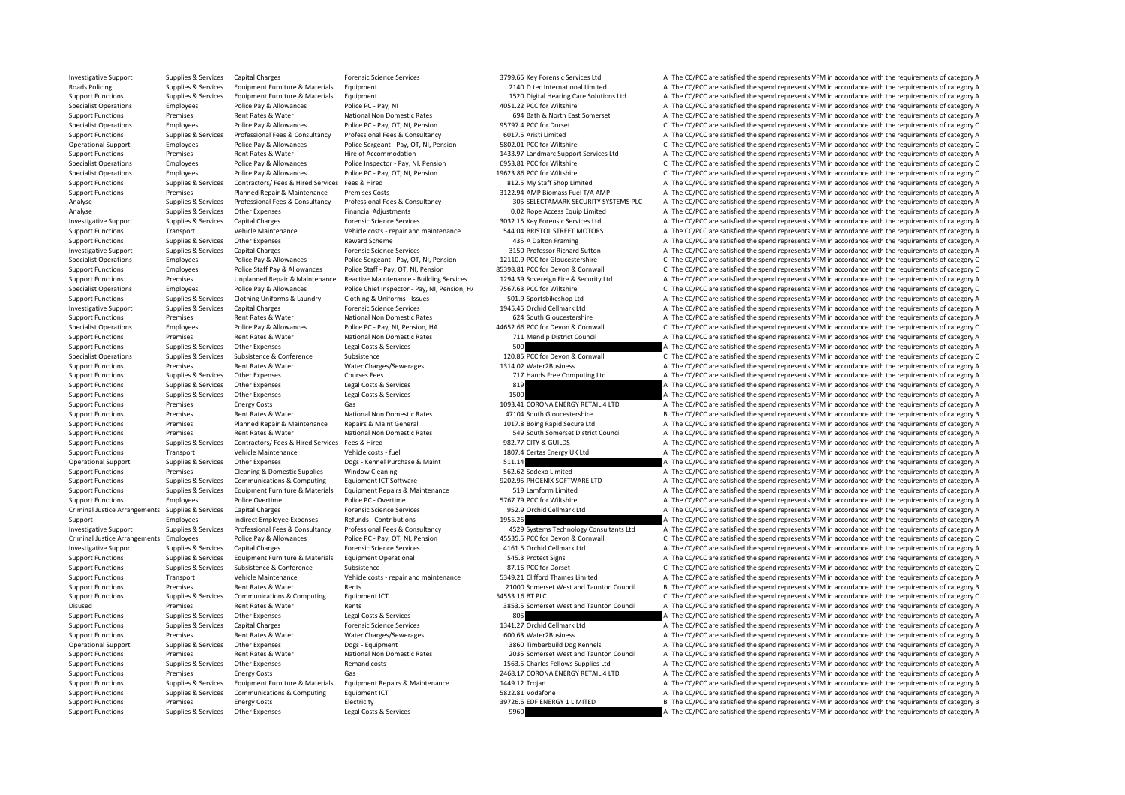Investigative Support Supplies & Services Capital Charges Forensic Science Services 3799.65 Key Forensic Services Ltd A The CC/PCC are satisfied the spend represents VFM in accordance with the requirements of category A Roads Policing Supplies & Services Equipment Furniture & Materials Equipment Cultument 2010 D.tec International Limited A The CC/PCC are satisfied the spend represents VFM in accordance with the requirements of category A Support Functions Supplies & Services Equipment Furniture & Materials Equipment 1520 Police Pay and the Support Tunck and the Support Care Solutions Ltd A The CC/PCC are satisfied the spend represents VFM in accordance wit Employees Police Pay & Allowances Police PC ‐ Pay, NI 4051.22 PCC for Wiltshire A The CC/PCC are satisfied the spend represents VFM in accordance with the requirements of category A Support Functions Premises Rent Rates & Water National Non Domestic Rates 694 Bath & North East Somerset A The CC/PCC are satisfied the spend represents VFM in accordance with the requirements of category A Specialist Operations Employees Police Pay & Allowances Police PC - Pay, OT, NI, Pension 95797.4 PCC for Dorset C The CC/PCC are satisfied the spend represents VFM in accordance with the requirements of category C Supplies & Services Professional Fees & Consultancy Professional Fees & Consultancy Professional Fees & Consultancy Consultancy 6017.5 Aristi Limited A The CC/PCC are satisfied the spend represents VFM in accordance with t Operational Support Employees Police Pay & Allowances Police Sergeant - Pay, OT, NI, Pension 5802.01 PCC for Wiltshire C The CC/PCC are satisfied the spend represents VFM in accordance with the requirements of category C T Support Functions Premises Rent Rates & Water Hire of Accommodation 1433.97 Landmarc Support Services Ltd A The CC/PCC are satisfied the spend represents VFM in accordance with the requirements of category A The CC/PCC are Specialist Operations Employees Police Pay & Allowances Police Inspector - Pay, NI, Pension 6953.81 PCC for Wiltshire C The CC/PCC are satisfied the spend represents VFM in accordance with the requirements of category C Specialist Operations Employees Police Pay & Allowances Police PC ‐ Pay, OT, NI, Pension 19623.86 PCC for Wiltshire C The CC/PCC are satisfied the spend represents VFM in accordance with the requirements of category C Supp Support Functions Supplies & Services Contractors/ Fees & Hired Services Fees & Hired Services Fees & Hired 812.5 My Staff Shop Limited A The CC/PCC are satisfied the spend represents VFM in accordance with the requirement Support Functions Premises Planned Repair & Maintenance Premises Costs 3122.94 AMP Biomass Fuel T/A AMP A The CC/PCC are satisfied the spend represents VFM in accordance with the requirements of category A The Support Func A The CC/PCC are satisfied the spend represents VFM in accordance with the requirements of category A Analyse Supplies & Services Other Expenses Financial Adjustments Financial Adjustments 0.02 Rope Access Equip Limited A The CC/PCC are satisfied the spend represents VFM in accordance with the requirements of category A Investigative Support Supplies & Services Capital Charges Forensic Science Services Support Support Support Support Support Support Support Support Support Support Support Support Support Services VFM in accordance with th A The CC/PCC are satisfied the spend represents VFM in accordance with the requirements of category A Support Functions Supplies & Services Other Expenses Reward Scheme 435 A Dalton Framing A The CC/PCC are satisfied the spend represents VFM in accordance with the requirements of category A Investigative Support Supplies & Services Capital Charges Support Science Services 3150 Professor Richard Sutton A The CC/PCC are satisfied the spend represents VFM in accordance with the requirements of category A The CC/ Specialist Operations Employees Police Pay & Allowances Police Sergeant - Pay, OT, NI, Pension 12110.9 PCC for Gloucestershire C The CC/PCC are satisfied the spend represents VFM in accordance with the requirements of cate Support Functions Employees Police Staff Pay & Allowances Police Staff - Pay, OT, NI, Pension 85398.81 PCC for Devon & Commuall C The CC/PCC are satisfied the spend represents VFM in accordance with the requirements of cat Support Functions Premises Unplanned Repair & Maintenance Reactive Maintenance - Building Services 1294.39 Sovereign Fire & Security I td A The CC/PCC are satisfied the spend represents VFM in accordance with the requireme Specialist Operations Employees Police Pay & Allowances Police Chief Inspector - Pay, NI, Pension, H/ 7567.63 PCC for Wiltshire C The CC/PCC are satisfied the spend represents VFM in accordance with the requirements of cat Support Functions Supplies & Services Clothing Uniforms & Laundry Clothing & Uniforms - Issues 501.9 Sportsbikeshop Ltd A The CC/PCC are satisfied the spend represents VFM in accordance with the requirements of category A Investigative Support Support Support Support Capital Charges Forensic Science Services Forensic Science Services 1945.45 Orchid Cellmark Ltd A The CC/PCC are satisfied the spend represents VFM in accordance with the requi Support Functions Premises Rent Rates & Water National Non Domestic Rates 624 South Gloucestershire A The CC/PCC are satisfied the spend represents VFM in accordance with the requirements of category A The Crip in accordan C. The CC/PCC are satisfied the spend represents VEM in accordance with the requirements of category C Support Functions Premises Rent Rates & Water National Non Domestic Rates 711 Mendip District Council A The CC/PCC are satisfied the spend represents VFM in accordance with the requirements of category A Support Functions Supplies & Services Other Expenses Legal Costs & Services 500 A The CC/PCC are satisfied the spend represents VFM in accordance with the requirements of category A Specialist Operations Supplies & Services Subsistence Subsistence Subsistence Subsistence Subsistence Subsistence 120.85 PCC for Devon & Cornwall C The CC/PCC are satisfied the spend represents VFM in accordance with the r Support Functions Premises Rent Rates & Water Water Charges/Sewerages 1314.02 Water2Business A The CC/PCC are satisfied the spend represents VFM in accordance with the requirements of category A Support Functions Supplies & Services Other Expenses Courses Fees 717 Hands Free Computing Ltd A The CC/PCC are satisfied the spend represents VFM in accordance with the requirements of category A Support Functions Supplies & Services Other Expenses Legal Costs & Services 819 A The CC/PCC are satisfied the spend represents VFM in accordance with the requirements of category A Support Functions Supplies & Services Other Expenses Legal Costs & Services 1500 1500 A The CC/PCC are satisfied the spend represents VFM in accordance with the requirements of category A The Criteria area of the requireme Support Functions Premises Energy Costs Gas Gas 1093.41 CORONA ENFRGY RETAIL 4 LTD A The CC/PCC are satisfied the spend represents VFM in accordance with the requirements of category A Support Functions Premises Rent Rates & Water National Non Domestic Rates 47104 South Gloucestershire B The CC/PCC are satisfied the spend represents VFM in accordance with the requirements of category B Support Functions Premises Planned Repair & Maintenance Repairs & Maint General 1017.8 Boing Rapid Secure Ltd A The CC/PCC are satisfied the spend represents VFM in accordance with the requirements of category A Support Functions Premises Rent Rates & Water National Non Domestic Rates 549 South Somerset District Council A The CC/PCC are satisfied the spend represents VFM in accordance with the requirements of category A Support Functions Supplies & Services Contractors/ Fees & Hired Services Fees & Hired 982.77 CITY & GUILDS A The CC/PCC are satisfied the spend represents VFM in accordance with the requirements of category A The Criteria Support Functions Transport Vehicle Maintenance Vehicle costs - fuel 1807.4 Certas Energy UK Ltd A The CC/PCC are satisfied the spend represents VFM in accordance with the requirements of category A Operational Support Supplies & Services Other Expenses Dogs - Kennel Purchase & Maint 511.14 A The CC/PCC are satisfied the spend represents VFM in accordance with the requirements of category A Support Functions Premises Cleaning & Domestic Supplies Window Cleaning 562.62 Sodexo Limited A The CC/PCC are satisfied the spend represents VFM in accordance with the requirements of category A Support Functions Supplies & Services Communications & Computing Equipment ICT Software 9202.95 PHOENIX SOFTWARE LTD A The CC/PCC are satisfied the spend represents VFM in accordance with the requirements of category A Support Functions Supplies & Services Equipment Furniture & Materials Equipment Repairs & Maintenance 519 Lamform Limited A The CC/PCC are satisfied the spend represents VFM in accordance with the requirements of category Support Functions Employees Police Overtime Police PC - Overtime Folice PC - Overtime 5767.79 PCC for Wiltshire A The CC/PCC are satisfied the spend represents VFM in accordance with the requirements of category A Criminal Justice Arrangements Supplies & Services Capital Charges Forensic Science Services Forensic Science Services 952.9 Orchid Cellmark Ltd A The CC/PCC are satisfied the spend represents VFM in accordance with the req Support Employees Indirect Employee Expenses Refunds - Contributions 1955.26 A The CC/PCC are satisfied the spend represents VFM in accordance with the requirements of category A Investigative Support Supplies & Services Professional Fees & Consultancy Professional Fees & Consultancy Consultancy 4529 Systems Technology Consultants Ltd A The CC/PCC are satisfied the spend represents VFM in accordanc Criminal Justice Arrangements Employees Police Pay & Allowances Police PC - Pay, OT, NI, Pension and ASS35.5 PCC for Devon & Commuall Criminal Justice Arrangements VFM in accordance with the requirements of category C<br>A Th Investigative Support Supplies & Services Capital Charges Forensic Science Services 4161.5 Orchid Cellmark Ltd A The CC/PCC are satisfied the spend represents VFM in accordance with the requirements of category A The CC/PC Support Functions Supplies & Services Equipment Furniture & Materials Equipment Operational 545.3 Protect Signs A The CC/PCC are satisfied the spend represents VFM in accordance with the requirements of category A Support Functions Supplies & Services Subsistence Subsistence Subsistence Subsistence Subsistence Subsistence and Subsistence and ST.16 PCC for Dorset C The CC/PCC are satisfied the spend represents VFM in accordance with Support Functions Transport Vehicle Maintenance Vehicle costs ‐ repair and maintenance 5349.21 Clifford Thames Limited A The CC/PCC are satisfied the spend represents VFM in accordance with the requirements of category A Support Functions Premises Rent Rates & Water Rents 21000 Somerset West and Taunton Council B The CC/PCC are satisfied the spend represents VFM in accordance with the requirements of category B Support Functions Supplies & Services Communications & Computing Equipment ICT 54553.16 BT PLC 54553.16 BT PLC C The CC/PCC are satisfied the spend represents VFM in accordance with the requirements of category C Disused Premises Rent Rates & Water Rents Rents Rents And Taunton Council A The CC/PCC are satisfied the spend represents VFM in accordance with the requirements of category A Support Functions Supplies & Services Other Expenses Legal Costs & Services 805 A The CC/PCC are satisfied the spend represents VFM in accordance with the requirements of category A Support Functions Supplies & Services Capital Charges Forensic Science Services 1341.27 Orchid Cellmark Ltd A The CC/PCC are satisfied the spend represents VFM in accordance with the requirements of category A Support Functions Premises Premises Rent Rates & Water Water Charges/Sewerages 600.63 Water2Business A The CC/PCC are satisfied the spend represents VFM in accordance with the requirements of category A The Creational Supp A The CC/PCC are satisfied the spend represents VFM in accordance with the requirements of category A Support Functions Premises Rent Rates & Water National Non Domestic Rates 2035 Somerset West and Taunton Council A The CC/PCC are satisfied the spend represents VFM in accordance with the requirements of category A Support Functions Supplies & Services Other Expenses and Remand costs Remand costs Remand costs 1563.5 Charles Fellows Supplies Ltd A The CC/PCC are satisfied the spend represents VFM in accordance with the requirements of A The CC/PCC are satisfied the spend represents VFM in accordance with the requirements of category A Support Functions Supplies & Services Equipment Furniture & Materials Equipment Repairs & Maintenance 1449.12 Trojan A The CC/PCC are satisfied the spend represents VFM in accordance with the requirements of category A Support Functions Supplies & Services Communications & Computing Equipment ICT 5822.81 Vodafone 5822.81 Vodafone A The CC/PCC are satisfied the spend represents VFM in accordance with the requirements of category A Support Functions Premises Energy Costs Electricity Electricity 39726.6 EDF ENERGY 1 LIMITED B The CC/PCC are satisfied the spend represents VFM in accordance with the requirements of category B Support Functions Supplies & Services Other Expenses Legal Costs & Services 9960 9960 A The CC/PCC are satisfied the spend represents VFM in accordance with the requirements of category A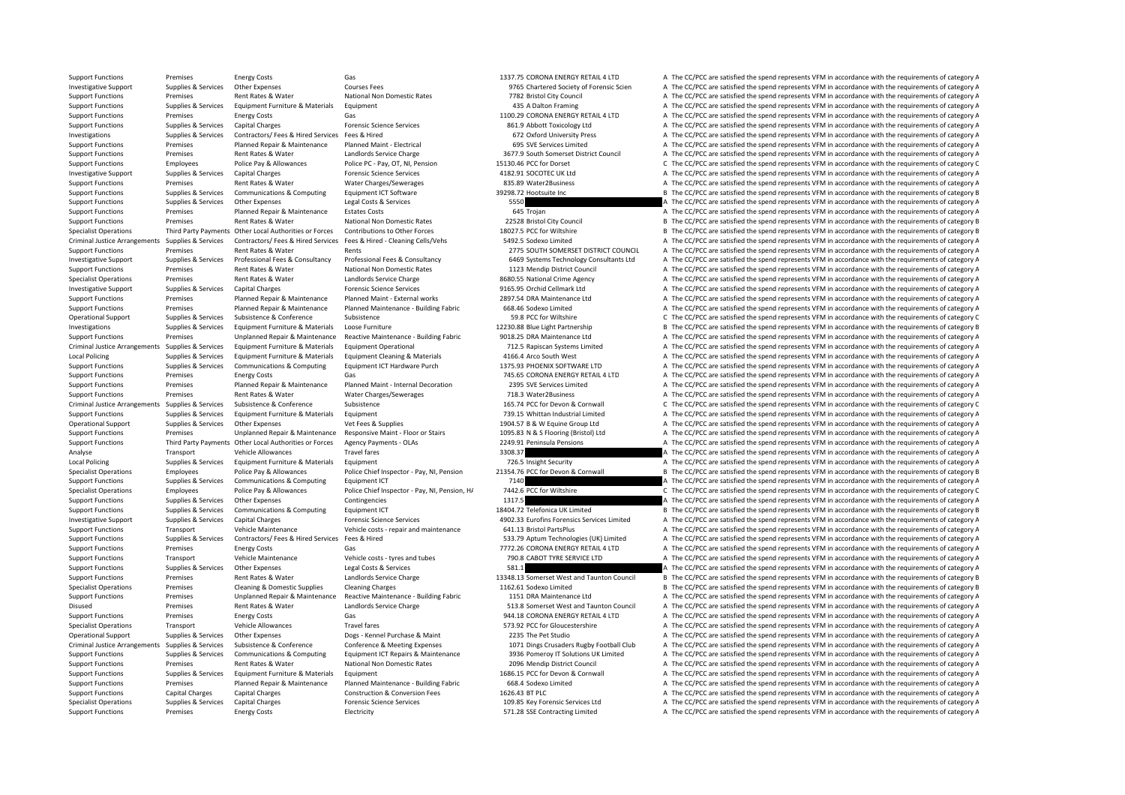Support Functions Premises Energy Costs Gas Gas 1337.75 CORONA ENERGY RETAIL 4 LTD A The CC/PCC are satisfied the spend represents VFM in accordance with the requirements of category A Investigative Support Supplies & Services Other Expenses Courses Fees Courses Fees 9765 Chartered Society of Forensic Scien A The CC/PCC are satisfied the spend represents VFM in accordance with the requirements of categor Support Functions Premises Premises Rent Rates & Water National Non Domestic Rates 7782 Bristol City Council A The CC/PCC are satisfied the spend represents VFM in accordance with the requirements of category A The Council Equipment Functions of Category A The CC/PCC are satisfied the spend represents VFM in accordance with the requirements of category A The CC/PCC are satisfied the spend represents VFM in accordance with the requirements of Support Functions Premises Functions Premises Functions Cas Gas Cases Contain Costs Gas 1100.29 CORONA ENERGY RETAIL 4 LTD A The CC/PCC are satisfied the spend represents VFM in accordance with the requirements of category Support Functions Supplies & Services Capital Charges Provensic Science Services and a The CC/PCC are satisfied the spend represents VFM in accordance with the requirements of category A Investigations Supplies & Services Contractors/ Fees & Hired Services Fees & Hired 672 Oxford University Press A The CC/PCC are satisfied the spend represents VFM in accordance with the requirements of category A Support Functions Premises Planned Repair & Maintenance Planned Maint ‐ Electrical 695 SVE Services Limited A The CC/PCC are satisfied the spend represents VFM in accordance with the requirements of category A The Criteric Support Functions Premises Rent Rates & Water Landlords Service Charge 3677.9 South Somerset District Council A The CC/PCC are satisfied the spend represents VFM in accordance with the requirements of category A Support Functions Employees Police Pay & Allowances Police PC - Pay, OT, NI, Pension 15130.46 PCC for Dorset C The CC/PCC are satisfied the spend represents VFM in accordance with the requirements of category C The Creatio Investigative Support Supplies & Services Capital Charges Forensic Science Services A The CONCE UK Ltd A The CC/PCC are satisfied the spend represents VFM in accordance with the requirements of category A The Criteral Char Support Functions Premises Rent Rates & Water Water Charges/Sewerages 835.89 Water2Business A The CC/PCC are satisfied the spend represents VFM in accordance with the requirements of category A Support Functions Supplies & Services Communications & Computing Equipment ICT Software 39298.72 Hootsuite Inc and B The CC/PCC are satisfied the spend represents VFM in accordance with the requirements of category B Legal Support Functions Supplies A The Supplies Other Expendix Constants of Constantine Constructions de Services 5<br>A The CC/PCC are satisfied the spend represents VFM in accordance with the requirements of category A Support Functions Premises Planned Repair & Maintenance Estates Costs 645 Trojan A The CC/PCC are satisfied the spend represents VFM in accordance with the requirements of category A Support Functions Premises Premises Rent Rates & Water National Non Domestic Rates 22528 Bristol City Council B The CC/PCC are satisfied the spend represents VFM in accordance with the requirements of category B The Critic B The CC/PCC are satisfied the spend represents VFM in accordance with the requirements of category B Criminal Justice Arrangements Supplies & Services Contractors/ Fees & Hired Services Fees & Hired - Cleaning Cells/Vehs 5492.5 Sodexo Limited A The CC/PCC are satisfied the spend represents VFM in accordance with the requi Support Functions Premises Rent Rates & Water Rents Rents Rents 2775 SOUTH SOMERSET DISTRICT COUNCIL A The CC/PCC are satisfied the spend represents VFM in accordance with the requirements of category A Investigative Support Supplies & Services Professional Fees & Consultancy Professional Fees & Consultancy Consultancy 6469 Systems Technology Consultants Ltd A The CC/PCC are satisfied the spend represents VFM in accordanc Support Functions Premises Rent Rates & Water National Non Domestic Rates 1123 Mendip District Council A The CC/PCC are satisfied the spend represents VFM in accordance with the requirements of category A The Criteria Coun Premises Rent Rates & Water Landlords Service Charge 8680.55 National Crime Agency A The CC/PCC are satisfied the spend represents VFM in accordance with the requirements of category A Investigative Support Supplies & Services Capital Charges Porensic Science Services Provides 9165.95 Orchid Cellmark Ltd A The CC/PCC are satisfied the spend represents VFM in accordance with the requirements of category A Support Functions Premises Planned Repair & Maintenance Planned Maint - External works 2897.54 DRA Maintenance Ltd A The CC/PCC are satisfied the spend represents VFM in accordance with the requirements of category A Support Functions Premises Planned Repair & Maintenance Planned Maintenance - Building Fabric 668.46 Sodexo Limited A The CC/PCC are satisfied the spend represents VFM in accordance with the requirements of category A Operational Support Supplies & Services Subsistence Subsistence Subsistence Subsistence Subsistence Subsistence Subsistence Subsistence Subsistence Subsistence Subsistence Subsistence Subsistence Subsistence Subsistence Su Investigations Supplies & Services Equipment Furniture & Materials Loose Furniture 12230.88 Blue Light Partnership B The CC/PCC are satisfied the spend represents VFM in accordance with the requirements of category B The C Support Functions Premises Unplanned Repair & Maintenance Reactive Maintenance - Building Fabric 9018.25 DRA Maintenance Ltd A The CC/PCC are satisfied the spend represents VFM in accordance with the requirements of catego Criminal Justice Arrangements Supplies & Services Equipment Furniture & Materials Equipment Operational Supplies Associate and the C12.5 Rapiscan Systems Limited A The CC/PCC are satisfied the spend represents VFM in accor Local Policing Supplies & Services Equipment Furniture & Materials Equipment Cleaning & Materials 4166.4 Arco South West A The CC/PCC are satisfied the spend represents VFM in accordance with the requirements of category A Support Functions Supplies & Services Communications & Computing Equipment ICT Hardware Purch 1375.93 PHOENIX SOFTWARE LTD A The CC/PCC are satisfied the spend represents VFM in accordance with the requirements of category Premises Energy Costs Gas Gas CORONA ENERGY RETAIL 4 LTD A The CC/PCC are satisfied the spend represents VFM in accordance with the requirements of category A Support Functions Premises Planned Repair & Maintenance Planned Maint - Internal Decoration 2395 SVE Services Limited A The CC/PCC are satisfied the spend represents VFM in accordance with the requirements of category A Support Functions Premises Rent Rates & Water Water Charges/Sewerages 718.3 Water2Business A The CC/PCC are satisfied the spend represents VFM in accordance with the requirements of category A Criminal Justice Arrangements Suppliers & Subsistence Subsistence Subsistence Subsistence Subsistence Subsistence 165.74 PCC for Devon & Cornwall C The CC/PCC are satisfied the spend represents VFM in accordance with the r Support Functions Supplies & Services Equipment Furniture & Materials Equipment A The COLOTIC THE COLOTIC A The CC/PCC are satisfied the spend represents VFM in accordance with the requirements of category A The COLOTIC IN Operational Support Supplies & Services Other Expenses Vet Fees & Supplies Vet Fees & Supplies 1904.57 B & W Equine Group Ltd A The CC/PCC are satisfied the spend represents VEM in accordance with the requirements of categ Support Functions Promises Depresses and Promises and Provides and Provides Parameter Content and Provides and December 2014 of the Content of the CONT are settled the specified the specified the specified the specified th Support Functions Third Party Payments Other Local Authorities or Forces Agency Payments - OLAs 2249.91 Peninsula Pensions A The CC/PCC are satisfied the spend represents VFM in accordance with the requirements of category Analyse Transport Vehicle Allowances Travel fares Travel fares 3308.37 A The CC/PCC are satisfied the spend represents VFM in accordance with the requirements of category A Local Policing Supplies & Services Equipment Furniture & Materials Equipment 706.5 Insight Security A The CC/PCC are satisfied the spend represents VFM in accordance with the requirements of category A Specialist Operations Employees Police Pay & Allowances Police Chief Inspector - Pay, NI, Pension 21354.76 PCC for Devon & Cornwall B The CC/PCC are satisfied the spend represents VFM in accordance with the requirements of Support Functions Supplies & Services Communications & Computing Equipment ICT 7140 7140 A The CC/PCC are satisfied the spend represents VFM in accordance with the requirements of category C police Pay & Allowances Police Specialist Operations Employees Police Pay & Allowances Police Chief Inspector - Pay, NI. Pension. H/ 7442.6 PCC for Wiltshire C The CC/PCC are satisfied the spend represents VFM in accordance with the requirements of cate Support Functions Supplies & Services Other Expenses Contingencies Contingencies 1317.5 A The CC/PCC are satisfied the spend represents VFM in accordance with the requirements of category A Support Functions Supplies & Services Communications & Computing Equipment ICT 18404.72 Telefonica UK Limited B The CC/PCC are satisfied the spend represents VFM in accordance with the requirements of category B Investigative Support Supplies & Services Capital Charges Forensic Science Services Forensic Science Services and A 4902.33 Eurofins Forensics Services Limited A The CC/PCC are satisfied the spend represents VFM in accorda Support Functions Transport Vehicle Maintenance Vehicle costs ‐ repair and maintenance 641.13 Bristol PartsPlus A The CC/PCC are satisfied the spend represents VFM in accordance with the requirements of category A The CC/P Supplies & Services Contractors/Fees & Hired Services Fees & Hired Services Fees & Hired Services And The CONTENT CONTENT A The CONTENT A The CONTENT A The CONTENT A The CONTENT A The CONTENT A The CONTENT A The CONTENT A Gas 69 T772.26 CORONA ENERGY RETAIL 4 LTD A The CC/PCC are satisfied the spend represents VFM in accordance with the requirements of category A Support Functions Transport Vehicle Maintenance Vehicle costs ‐ tyres and tubes 790.8 CABOT TYRE SERVICE LTD A The CC/PCC are satisfied the spend represents VFM in accordance with the requirements of category A Support Functions Supplies & Services Other Expenses Legal Costs & Services 581.1 581.1 A The CC/PCC are satisfied the spend represents VFM in accordance with the requirements of category A Support Functions Premises Rent Rates & Water Landlords Service Charge 13348.13 Somerset West and Taunton Council B The CC/PCC are satisfied the spend represents VFM in accordance with the requirements of category B The CC Specialist Operations Premises Cleaning & Domestic Supplies Cleaning Charges Cleaning Charges 1162.61 Sodexo Limited B The CC/PCC are satisfied the spend represents VFM in accordance with the requirements of category B Sup Support Functions Premises Unplanned Repair & Maintenance Reactive Maintenance - Building Fabric 1151 DRA Maintenance Ltd A The CC/PCC are satisfied the spend represents VFM in accordance with the requirements of category Disused Premises Rent Rates & Water Landlords Service Charge 513.8 Somerset West and Taunton Council A The CC/PCC are satisfied the spend represents VFM in accordance with the requirements of category A The Criteria and Ta Support Functions Premises Energy Costs Gas Gas Sas and the CORONA ENERGY RETAIL 4 LTD A The CC/PCC are satisfied the spend represents VFM in accordance with the requirements of category A Specialist Operations Transport Vehicle Allowances Travel fares Travel fares Travel fares Travel fares ST3.92 PCC for Gloucestershire A The CC/PCC are satisfied the spend represents VFM in accordance with the requirements Operational Support Supplies & Services Other Expenses Dogs ‐ Kennel Purchase & Maint 2235 The Pet Studio A The CC/PCC are satisfied the spend represents VFM in accordance with the requirements of category A Criminal Justi A The CC/PCC are satisfied the spend represents VFM in accordance with the requirements of category A Supplies & Services Communications & Computing Equipment ICT Repairs & Maintenance 3936 Pomeroy IT Solutions UK Limited A The CC/PCC are satisfied the spend represents VFM in accordance with the requirements of category A Support Functions Premises Premises Rent Rates & Water National Non Domestic Rates 2096 Mendip District Council A The CC/PCC are satisfied the spend represents VFM in accordance with the requirements of category A The Coun A The CC/PCC are satisfied the spend represents VFM in accordance with the requirements of category A Support Functions Premises Planned Repair & Maintenance Planned Maintenance - Building Fabric 668.4 Sodexo Limited A The CC/PCC are satisfied the spend represents VFM in accordance with the requirements of category A Support Functions Capital Charges Capital Charges Capital Charges Construction & Conversion Fees 1626.43 BT PLC A The CC/PCC are satisfied the spend represents VFM in accordance with the requirements of category A The Crea Specialist Operations Supplies & Services Capital Charges Forensic Science Services Forensic Science Services 109.85 Key Forensic Services Ltd A The CC/PCC are satisfied the spend represents VFM in accordance with the requ Support Functions Premises Energy Costs Electricity Electricity ST1.28 SSE Contracting Limited A The CC/PCC are satisfied the spend represents VFM in accordance with the requirements of category A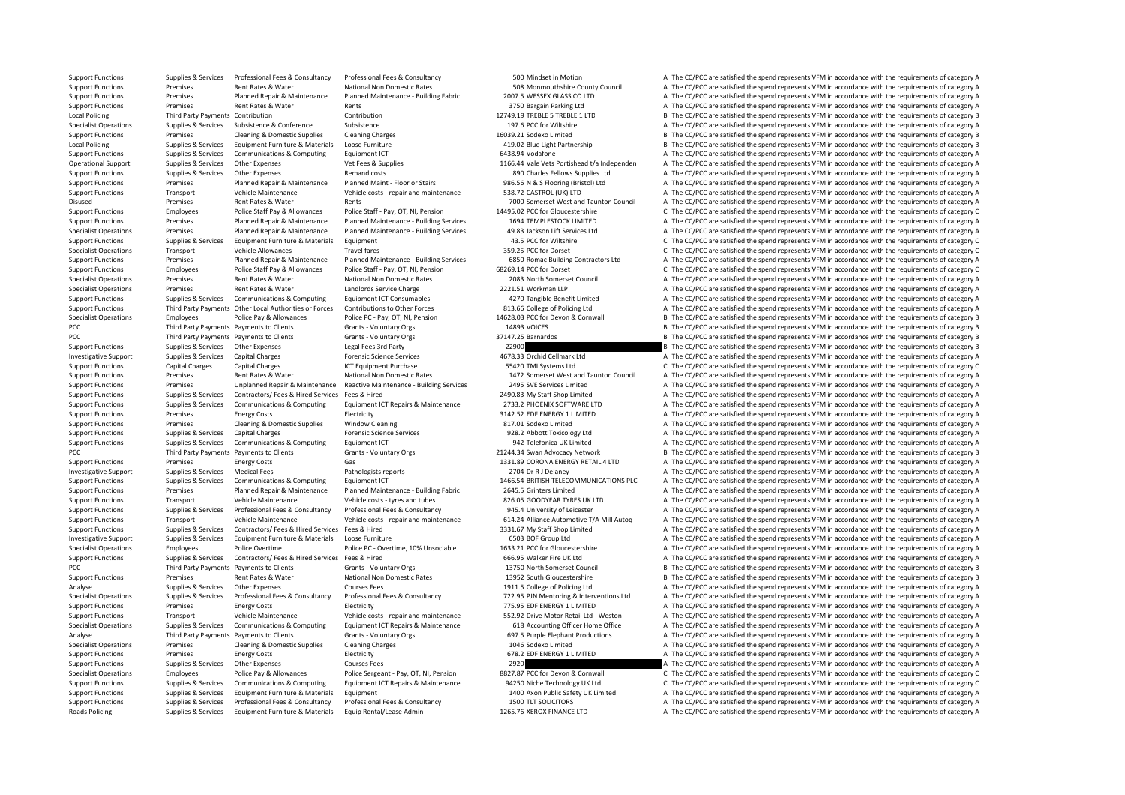Supplies & Services Professional Fees & Consultancy Professional Fees & Consultancy Consultancy Consultancy Consultancy Supplies and the CON Mindset in Motion Motion A The CC/PCC are satisfied the spend represents VFM in a

Support Functions Premises Rent Rates & Water National Non Domestic Rates 508 Monmouthshire Council A The CC/PCC are satisfied the spend represents VFM in accordance with the requirements of category A The Council Support Support Functions Premises Planned Repair & Maintenance Planned Maintenance - Building Fabric 2007.5 WESSEX GLASS CO LTD A The CC/PCC are satisfied the spend represents VFM in accordance with the requirements of category A Support Functions Premises Rent Rates & Water Rents Rents Rents 3750 Bargain Parking Ltd A The CC/PCC are satisfied the spend represents VFM in accordance with the requirements of category A Local Policing Third Party Payments Contribution Contribution Contribution Contribution 12749.19 TREBLE 5 TREBLE 1 LTD B The CC/PCC are satisfied the spend represents VFM in accordance with the requirements of category B Specialist Operations Supplies & Services Subsistence Subsistence Subsistence Subsistence a Subsistence a Subsistence a The CC/PCC are satisfied the spend represents VFM in accordance with the requirements of category A Support Functions Premises Cleaning & Domestic Supplies Cleaning Charges 16039.21 Sodexo Limited B The CC/PCC are satisfied the spend represents VFM in accordance with the requirements of category B Local Policing Supplies & Services Equipment Furniture & Materials Loose Furniture 419.02 Blue Light Partnership B The CC/PCC are satisfied the spend represents VFM in accordance with the requirements of category B The Cri Support Functions Supplies & Services Communications & Computing Equipment ICT 6438.94 Vodafone 6438.94 Vodafone A The CC/PCC are satisfied the spend represents VFM in accordance with the requirements of category A Operational Support Supplies & Services Other Expenses Vet Fees & Supplies Vet Fees & Supplies 1166.44 Vale Vets Portishead t/a Independen A The CC/PCC are satisfied the spend represents VFM in accordance with the requirem Support Functions Supplies & Services Other Expenses Remand costs Remand costs Remand costs 890 Charles Fellows Supplies Ltd A The CC/PCC are satisfied the spend represents VFM in accordance with the requirements of catego Support Functions Premises Planned Repair & Maintenance Planned Maint - Floor or Stairs 986.56 N & S Flooring (Bristol) Ltd A The CC/PCC are satisfied the spend represents VFM in accordance with the requirements of categor Support Functions Transport Vehicle Maintenance Vehicle costs - repair and maintenance 538.72 CASTROL (UK) LTD A The CC/PCC are satisfied the spend represents VFM in accordance with the requirements of category A The Crite Premises Rent Rates & Water Rents Rents Rents Rents 7000 Somerset West and Taunton Council A The CC/PCC are satisfied the spend represents VFM in accordance with the requirements of category A Support Functions Employees Police Staff Pay & Allowances Police Staff - Pay, OT, NI, Pension 14495.02 PCC for Gloucestershire C The CC/PCC are satisfied the spend represents VFM in accordance with the requirements of cate Support Functions Premises Planned Repair & Maintenance Planned Maintenance - Building Services 1694 TEMPLESTOCK LIMITED A The CC/PCC are satisfied the spend represents VFM in accordance with the requirements of category A A The CC/PCC are satisfied the spend represents VFM in accordance with the requirements of category A Support Functions Supplies & Services Equipment Furniture & Materials Equipment 43.5 PCC for Wiltshire 43.5 PCC for Wiltshire C The CC/PCC are satisfied the spend represents VFM in accordance with the requirements of categ Specialist Operations Transport Vehicle Allowances Travel fares 359.25 PCC for Dorset C The CC/PCC are satisfied the spend represents VFM in accordance with the requirements of category C Support Functions Premises Planned Repair & Maintenance Planned Maintenance - Building Services 6850 Romac Building Contractors Ltd A The CC/PCC are satisfied the spend represents VFM in accordance with the requirements of Support Functions Employees Police Staff Pay & Allowances Police Staff - Pay, OT, NI, Pension 68269.14 PCC for Dorset Council C The CC/PCC are satisfied the spend represents VFM in accordance with the requirements of categ Premises Rent Rates & Water National Non Domestic Rates 2083 North Somerset Council A The CC/PCC are satisfied the spend represents VFM in accordance with the requirements of category A Specialist Operations Premises Rent Rates & Water Landlords Service Charge 2221.51 Workman LLP A The CC/PCC are satisfied the spend represents VFM in accordance with the requirements of category A Support Functions Supplies & Services Communications & Computing Equipment ICT Consumables 4270 Tangible Benefit Limited A The CC/PCC are satisfied the spend represents VFM in accordance with the requirements of category A Support Functions Third Party Payments Other I ocal Authorities or Forces Contributions to Other Forces 813.66 College of Policing I td A The CC/PCC are satisfied the spend represents VFM in accordance with the requirement Specialist Operations Employees Police Pay & Allowances Police PC - Pay, OT, NI, Pension 14628.03 PCC for Devon & Cornwall B The CC/PCC are satisfied the spend represents VFM in accordance with the requirements of category PCC The CC/PCC are satisfied the spend represents VFM in accordance with the requirements of category B PCC Third Party Payments Payments to Clients Grants - Voluntary Orgs 37147.25 Barnardos B The CC/PCC are satisfied the spend represents VFM in accordance with the requirements of category B Support Functions Supplies & Services Other Expenses Legal Fees 3rd Party 22900 22900 B The CC/PCC are satisfied the spend represents VFM in accordance with the requirements of category B Investigative Support Supplies & Services Capital Charges Forensic Science Services 4678.33 Orchid Cellmark Ltd A The CC/PCC are satisfied the spend represents VFM in accordance with the requirements of category A Support Functions Capital Charges Capital Charges ICT Equipment Purchase S5420 TMI Systems Ltd C The CC/PCC are satisfied the spend represents VFM in accordance with the requirements of category C<br>Support Functions States Support Functions Premises Rent Rates & Water National Non Domestic Rates 1472 Somerset West and Taunton Council A The CC/PCC are satisfied the spend represents VFM in accordance with the requirements of category A Support Functions Premises Unplanned Repair & Maintenance Reactive Maintenance - Building Services 2495 SVF Services Limited A The CC/PCC are satisfied the spend represents VFM in accordance with the requirements of catego Support Functions Supplies & Services Contractors/ Fees & Hired Services Fees & Hired 2490.83 My Staff Shop Limited A The CC/PCC are satisfied the spend represents VFM in accordance with the requirements of category A Suppliers & Suppliers & Suppliers Communications & Computing Founding Found CT Repairs & Maintenance 2733.2 PHOFNIX SOFTWARE ITD A The CC/PCC are satisfied the spend represents VFM in accordance with the requirements of ca Support Functions Premises Energy Costs Electricity Electricity 3142.52 EDF ENERGY 1 LIMITED A The CC/PCC are satisfied the spend represents VFM in accordance with the requirements of category A Support Functions Premises Cleaning & Domestic Supplies Window Cleaning Microsoft A The CC/PCC are satisfied the spend represents VFM in accordance with the requirements of category A Support Functions Supplies Services Capital Charges Forensic Science Services 928.2 Abbott Toxicology Ltd A The CC/PCC are satisfied the spend represents VFM in accordance with the requirements of category A The CC/PCC are Support Functions Supplies & Services Communications & Computing Equipment ICT 942 Telefonica UK Limited A The CC/PCC are satisfied the spend represents VFM in accordance with the requirements of category A The Criteria Co PCC Third Party Payments Payments to Clients Grants - Voluntary Orgs 21244.34 Swan Advocacy Network B The CC/PCC are satisfied the spend represents VFM in accordance with the requirements of category B Support Functions Premises Energy Costs Gas Gas 1331.89 CORONA ENERGY RETAIL 4 LTD A The CC/PCC are satisfied the spend represents VFM in accordance with the requirements of category A Investigative Support Supplies & Services Medical Fees Pathologists reports 2704 Dr R J Delaney A The CC/PCC are satisfied the spend represents VFM in accordance with the requirements of category A Support Functions Supplies & Services Communications & Computing Faultoment ICT 1466.54 BRITISH TELECOMMUNICATIONS PLC A The CC/PCC are satisfied the spend represents VFM in accordance with the requirements of category A Support Functions Premises Planned Repair & Maintenance Planned Maintenance - Building Fabric 2645.5 Grinters Limited A The CC/PCC are satisfied the spend represents VFM in accordance with the requirements of category A Support Functions Transport Vehicle Maintenance Vehicle costs - tyres and tubes 826.05 GOODYEAR TYRES UK LTD A The CC/PCC are satisfied the spend represents VFM in accordance with the requirements of category A Supplies & Services Professional Fees & Consultancy Professional Fees & Consultancy Professional Fees & Consultancy Professional Fees & Consultancy Professional Fees & Consultancy Professional Fees & Consultancy 945.4 Univ Support Functions Transport Vehicle Maintenance Vehicle costs - repair and maintenance 514.24 Alliance Automotive T/A Mill Autoq A The CC/PCC are satisfied the spend represents VFM in accordance with the requirements of ca Support Functions Supplies & Services Contractors/ Fees & Hired Services Fees & Hired 3331.67 My Staff Shop Limited A The CC/PCC are satisfied the spend represents VFM in accordance with the requirements of category A Investigative Support Supplies & Services Equipment Furniture & Materials Loose Furniture A Loose Furniture A The COUP Coup Ltd A The CC/PCC are satisfied the spend represents VFM in accordance with the requirements of cat Employees Police Overtime Police PC - Overtime, 10% Unsociable 1633.21 PCC for Gloucestershire A The CC/PCC are satisfied the spend represents VFM in accordance with the requirements of category A Support Functions Supplies & Services Contractors/ Fees & Hired Services Fees & Hired 666.95 Walker Fire UK Ltd A The CC/PCC are satisfied the spend represents VFM in accordance with the requirements of category A PCC Third Party Payments Payments to Clients Grants - Voluntary Orgs 13750 North Somerset Council B The CC/PCC are satisfied the spend represents VFM in accordance with the requirements of category B Support Functions Premises Rent Rates & Water National Non Domestic Rates 13952 South Gloucestershire B The CC/PCC are satisfied the spend represents VFM in accordance with the requirements of category B Analyse Supplies & Services Other Expenses Courses Fees Consultancy Courses Fees 1911.5 College of Policing Ltd A The CC/PCC are satisfied the spend represents VFM in accordance with the requirements of category A The Cour Supplies & Services Professional Fees & Consultancy Professional Fees & Consultancy 222.95 PIN Mentoring & Interventions Ltd A The CC/PCC are satisfied the spend represents VFM in accordance with the requirements of catego Support Functions Premises Energy Costs Electricity Electricity 775.95 EDF ENERGY 1 LIMITED A The CC/PCC are satisfied the spend represents VFM in accordance with the requirements of category A Support Functions Transport Vehicle Maintenance Vehicle costs - repair and maintenance 552.92 Drive Motor Retail I td - Weston A The CC/PCC are satisfied the spend represents VEM in accordance with the requirements of cate Suppliers & Suppliers & Suppliers Communications & Computing Foulyment ICT Repairs & Maintenance 618 Accounting Officer Home Office A The CC/PCC are satisfied the spend represents VFM in accordance with the requirements of Analyse Third Party Payments Payments to Clients Grants - Voluntary Orgs 697.5 Purple Elephant Productions A The CC/PCC are satisfied the spend represents VFM in accordance with the requirements of category A The Crienty D A The CC/PCC are satisfied the spend represents VFM in accordance with the requirements of category A Support Functions Premises Energy Costs Electricity Electricity 678.2 EDF ENERGY 1 LIMITED A The CC/PCC are satisfied the spend represents VFM in accordance with the requirements of category A Support Functions Supplies & Services Other Expenses Courses Fees Courses Fees 2920 A The CC/PCC are satisfied the spend represents VFM in accordance with the requirements of category A The Courses Police Pay & Allowances C The CC/PCC are satisfied the spend represents VFM in accordance with the requirements of category C Supplies & Services Communications & Computing Equipment ICT Repairs & Maintenance 94250 Niche Technology UK Ltd C The CC/PCC are satisfied the spend represents VFM in accordance with the requirements of category C Support Functions Supplies & Services Faujoment Furniture & Materials Faujoment 1400 Axon Public Safety UK Limited A The CC/PCC are satisfied the spend represents VFM in accordance with the requirements of category A Support Functions Supplies & Services Professional Fees & Consultancy Professional Fees & Consultancy 1500 TLT SOLICITORS A The CC/PCC are satisfied the spend represents VFM in accordance with the requirements of category Roads Policing Supplies & Services Equipment Furniture & Materials Equip Rental/Lease Admin 1265.76 XEROX FINANCE LTD A The CC/PCC are satisfied the spend represents VFM in accordance with the requirements of category A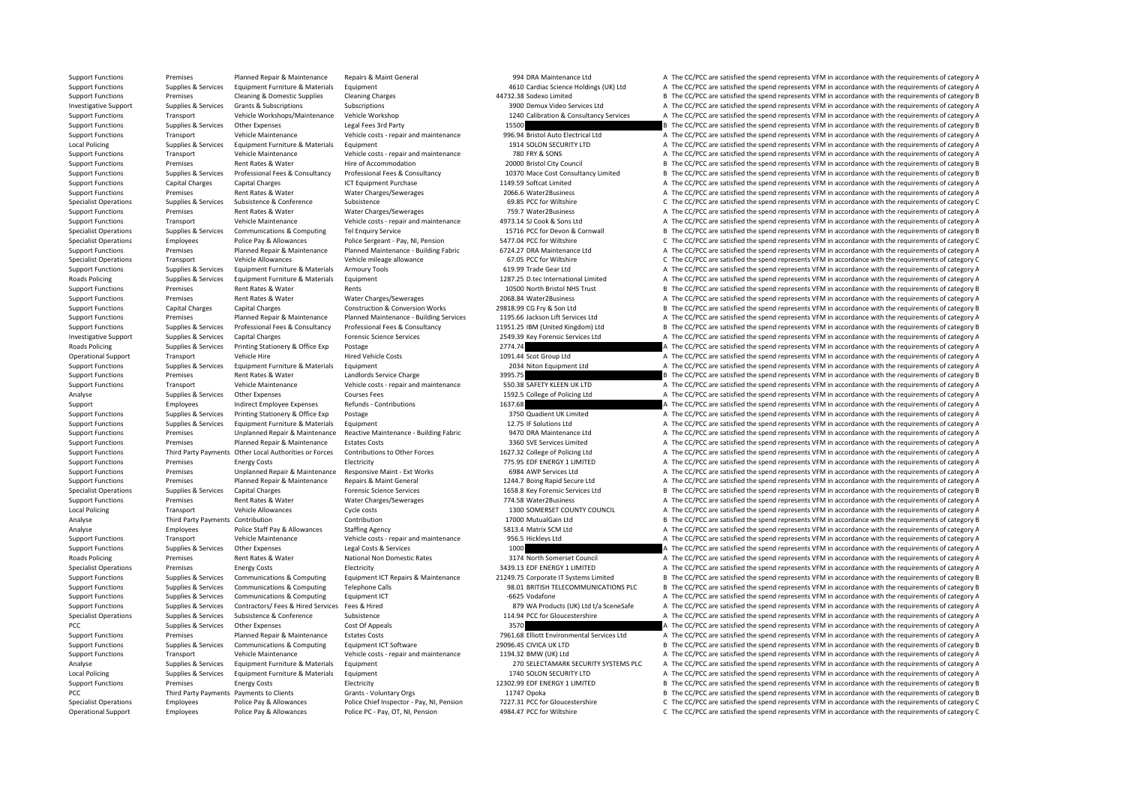Support Functions Premises Planned Repair & Maintenance Repairs & Maint General 994 DRA Maintenance Ltd A The CC/PCC are satisfied the spend represents VFM in accordance with the requirements of category A Support Functions Supplies & Services Equipment Furniture & Materials Equipment 4610 Cardiac Science Holdings (UK) Ltd A The CC/PCC are satisfied the spend represents VFM in accordance with the requirements of category A S Support Functions Premises Cleaning & Domestic Supplies Cleaning Charges 44732.38 Sodexo Limited B The CC/PCC are satisfied the spend represents VFM in accordance with the requirements of category B Investigative Supplies Subscriptions Support Support Support Support Support Support Support Support Support Subscriptions Subscriptions Subscriptions Support Support Support Support Support Support A The CC/PCC are satisfied the spend represent Support Functions Transport Vehicle Workshops/Maintenance Vehicle Workshop 1240 Calibration & Consultancy Services A The CC/PCC are satisfied the spend represents VFM in accordance with the requirements of category A Support Functions Supplies & Services Other Expenses Legal Fees 3rd Party 15500 15500 B The CC/PCC are satisfied the spend represents VFM in accordance with the requirements of category B Support Functions Transport Vehicle Maintenance Vehicle costs ‐ repair and maintenance 996.94 Bristol Auto Electrical Ltd A The CC/PCC are satisfied the spend represents VFM in accordance with the requirements of category Local Policing Supplies & Services Equipment Furniture & Materials Equipment Anterials Equipment 1914 SOLON SECURITY LTD A The CC/PCC are satisfied the spend represents VFM in accordance with the requirements of category A Support Functions Transport Vehicle Maintenance Vehicle costs ‐ repair and maintenance 780 FRY & SONS A The CC/PCC are satisfied the spend represents VFM in accordance with the requirements of category A Support Functions Premises Rent Rates & Water Hire of Accommodation Hire of Accommodation 20000 Bristol City Council B The CC/PCC are satisfied the spend represents VFM in accordance with the requirements of category B Supplies & Services Professional Fees & Consultancy Professional Fees & Consultancy Capacitancy 10370 Mace Cost Consultancy Limited B The CC/PCC are satisfied the spend represents VFM in accordance with the requirements of Support Functions Capital Charges Capital Charges ICT Equipment Purchase 1149.59 Softcat Limited A The CC/PCC are satisfied the spend represents VFM in accordance with the requirements of category A Support Functions Premises Rent Rates & Water Water Charges/Sewerages 2006.6 Water2Business A The CC/PCC are satisfied the spend represents VFM in accordance with the requirements of category A The Critector Category A The C The CC/PCC are satisfied the spend represents VFM in accordance with the requirements of category C Support Functions Premises Rent Rates & Water Water Charges/Sewerages 759.7 Water2Business A The CC/PCC are satisfied the spend represents VFM in accordance with the requirements of category A Support Functions Transport Vehicle Maintenance Vehicle costs ‐ repair and maintenance 4973.14 SJ Cook & Sons Ltd A The CC/PCC are satisfied the spend represents VFM in accordance with the requirements of category A The Co B The CC/PCC are satisfied the spend represents VFM in accordance with the requirements of category B Specialist Operations Employees Police Pay & Allowances Police Sergeant - Pay, NI, Pension 5477.04 PCC for Wiltshire C The CC/PCC are satisfied the spend represents VFM in accordance with the requirements of category C Support Functions Premises Planned Repair & Maintenance Planned Maintenance - Building Fabric 6724.27 DRA Maintenance Ltd A The CC/PCC are satisfied the spend represents VFM in accordance with the requirements of category Specialist Operations Transport Vehicle Allowances Vehicle mileage allowance 67.05 PCC for Wiltshire C The CC/PCC are satisfied the spend represents VFM in accordance with the requirements of category C Support Functions Supplies & Services Equipment Furniture & Materials Armoury Tools 619.99 Trade Gear Ltd A The CC/PCC are satisfied the spend represents VFM in accordance with the requirements of category A The Companism Roads Policing Supplies & Services Equipment Furniture & Materials Equipment 1287.25 D.tec International Limited A The CC/PCC are satisfied the spend represents VFM in accordance with the requirements of category A Support Functions Premises Rent Rates & Water Rents Rents Rents Rents And Trust B The CC/PCC are satisfied the spend represents VFM in accordance with the requirements of category B Support Functions Premises Rent Rates & Water Water Charges/Sewerages 2068.84 Water2Business A The CC/PCC are satisfied the spend represents VFM in accordance with the requirements of category P Support Functions Capital Charges Capital Charges Construction & Conversion Works 29818.99 CG Fry & Son Ltd B The CC/PCC are satisfied the spend represents VFM in accordance with the requirements of category B Support Functions Premises Planned Repair & Maintenance Planned Maintenance - Building Services 1195.66 Jackson Lift Services Ltd A The CC/PCC are satisfied the spend represents VFM in accordance with the requirements of c Support Functions Suppliers, Services Professional Eags Consultancy Professional Eags & Consultancy Professional Eags & Consultancy 11951 25 IRM (I Initial Kingdom) I to R The CC/PCC are catisfied the snead consequents VEM Investigative Support Supplies & Services Capital Charges Forensic Science Services 2549.39 Key Forensic Services Ltd A The CC/PCC are satisfied the spend represents VFM in accordance with the requirements of category A Roads Policing Supplies & Services Printing Stationery & Office Exp Postage Printing Stationery & Office Exp Postage 2774.74 2774.74 A The CC/PCC are satisfied the spend represents VFM in accordance with the requirements o Operational Support Transport Vehicle Hire Hired Vehicle Costs Hired Vehicle Costs and the Costs 1091.44 Scot Group Ltd A The CC/PCC are satisfied the spend represents VFM in accordance with the requirements of category A Support Functions Supplies & Services Equipment Furniture & Materials Equipment exactions Equipment 2034 Niton Equipment Ltd A The CC/PCC are satisfied the spend represents VFM in accordance with the requirements of catego Support Functions Premises Rent Rates & Water Landlords Service Charge 3995.75 B The CC/PCC are satisfied the spend represents VFM in accordance with the requirements of category B The Companisments of category B The CC/PC Support Functions Transport Vehicle Maintenance Vehicle costs ‐ repair and maintenance 550.38 SAFETY KLEEN UK LTD A The CC/PCC are satisfied the spend represents VFM in accordance with the requirements of category A Analyse Supplies & Services Other Expenses Courses Fees Courses Fees 1592.5 College of Policing Ltd A The CC/PCC are satisfied the spend represents VFM in accordance with the requirements of category A Support Employees Indirect Employee Expenses Refunds Contributions 1637.68 A The CC/PCC are satisfied the spend represents VFM in accordance with the requirements of category A Support Functions Supplies & Services Printing Stationery & Office Exp Postage 2016 and a The Stategory A The CC/PCC are satisfied the spend represents VFM in accordance with the requirements of category A Support Functions Supplies & Services Faujoment Furniture & Materials Faujoment 12.75 IF Solutions 12.75 IF Solutions Ltd A The CC/PCC are satisfied the spend represents VFM in accordance with the requirements of category Support Functions Premises Unplanned Repair & Maintenance Reactive Maintenance - Building Fabric 9470 DRA Maintenance Ltd A The CC/PCC are satisfied the spend represents VFM in accordance with the requirements of category Support Functions Premises Planned Repair & Maintenance Estates Costs 3360 SVE Services Limited A The CC/PCC are satisfied the spend represents VFM in accordance with the requirements of category A The Costs and the requir Support Functions Third Party Payments Other Local Authorities or Forces Contributions to Other Forces states and the CZ7.32 College of Policing Ltd A The CC/PCC are satisfied the spend represents VFM in accordance with th Support Functions Premises Energy Costs Electricity Electricity 775.95 EDF ENERGY 1 LIMITED A The CC/PCC are satisfied the spend represents VFM in accordance with the requirements of category A Support Functions Premises Unplanned Repair & Maintenance Responsive Maint - Ext Works 6984 AWP Services Ltd A The CC/PCC are satisfied the spend represents VFM in accordance with the requirements of category A Support Functions Premises Planned Repair & Maintenance Repairs & Maint General 1244.7 Boing Rapid Secure Ltd A The CC/PCC are satisfied the spend represents VFM in accordance with the requirements of category A Specialist Operations Supplies & Services Capital Charges Forensic Science Services Capital Charges To Specialist Operations Supplies and the requirements of category B The CC/PCC are satisfied the spend represents VFM in Support Functions Premises Rent Rates & Water Water Charges/Sewerages 774.58 Water2Business A The CC/PCC are satisfied the spend represents VFM in accordance with the requirements of category A The Critical Dural Dural Dur Local Policing Transport Vehicle Allowances Cycle costs 1300 SOMERSET COUNTY COUNCIL A The CC/PCC are satisfied the spend represents VFM in accordance with the requirements of category A Analyse Third Party Payments Contribution Contribution Contribution Contribution Contribution Contribution Contribution 17000 MutualGain Ltd B The CC/PCC are satisfied the spend represents VFM in accordance with the requir Analyse Employees Police Staff Pay & Allowances Staffing Agency Staff Pay and the Stategory A The CC/PCC are satisfied the spend represents VFM in accordance with the requirements of category A The COLOC are satisfied the Support Functions Transport Vehicle Maintenance Vehicle costs ‐ repair and maintenance 956.5 Hickleys Ltd A The CC/PCC are satisfied the spend represents VFM in accordance with the requirements of category A The Creatisfie 1000 A The CC/PCC are satisfied the spend represents VFM in accordance with the requirements of category A Roads Policing Premises Rent Rates & Water National Non Domestic Rates 3174 North Somerset Council A The CC/PCC are satisfied the spend represents VFM in accordance with the requirements of category A Specialist Operations Premises Energy Costs Electricity Electricity and the Spend Represents VFM in accordance with the requirements of category A The CC/PCC are satisfied the spend represents VFM in accordance with the re Supplies & Services Communications & Computing Equipment ICT Repairs & Maintenance 21249.75 Corporate IT Systems Limited Bill By CC/PCC are satisfied the spend represents VFM in accordance with the requirements of category Support Functions Supplies & Services Communications & Computing Telephone Calls 98.01 BRITISH TELECOMMUNICATIONS PLC B The CC/PCC are satisfied the spend represents VFM in accordance with the requirements of category B Support Functions Supplies & Services Communications & Computing Equipment ICT examples and the Service A The CC/PCC are satisfied the spend represents VFM in accordance with the requirements of category A Supplies & Services Contractors/ Fees & Hired Services Fees & Hired Services Fees & Hired Services Fees & Hired Services Fees & Hired Services Fees & Hired Services Fees & Hired Services Fees & Hired Services Pees & Hired Specialist Operations Supplies & Services Subsistence Subsistence Subsistence Subsistence The Subsistence of Subsistence and the Conference Subsistence and the Conference of Subsistence of Subsistence and the Spend represe PCC Supplies & Services Other Expenses Cost Of Appeals 3570 3570 A The CC/PCC are satisfied the spend represents VFM in accordance with the requirements of category A Support Functions Premises Planned Repair & Maintenance Estates Costs 7961.68 Elliott Environmental Services Ltd A The CC/PCC are satisfied the spend represents VFM in accordance with the requirements of category A Support B The CC/PCC are satisfied the spend represents VFM in accordance with the requirements of category B Support Functions Transport Vehicle Maintenance Vehicle costs ‐ repair and maintenance 1194.32 BMW (UK) Ltd A The CC/PCC are satisfied the spend represents VFM in accordance with the requirements of category A Analyse Supplies & Services Equipment Furniture & Materials Equipment Supplies Equipment 270 SELECTAMARK SECURITY SYSTEMS PLC A The CC/PCC are satisfied the spend represents VFM in accordance with the requirements of categ A The CC/PCC are satisfied the spend represents VFM in accordance with the requirements of category A Support Functions Premises Energy Costs Electricity Electricity 12302.99 EDF ENERGY 1 LIMITED B The CC/PCC are satisfied the spend represents VFM in accordance with the requirements of category B PCC Third Party Payments Payments to Clients Grants - Voluntary Orgs 11747 Opoka B The CC/PCC are satisfied the spend represents VFM in accordance with the requirements of category B Specialist Operations Employees Police Pay & Allowances Police Chief Inspector - Pay, NI, Pension 7227.31 PCC for Gloucestershire C The CC/PCC are satisfied the spend represents VFM in accordance with the requirements of c Operational Support Employees Police Pay & Allowances Police PC - Pay, OT, NI, Pension 4984.47 PCC for Wiltshire C The CC/PCC are satisfied the spend represents VFM in accordance with the requirements of category C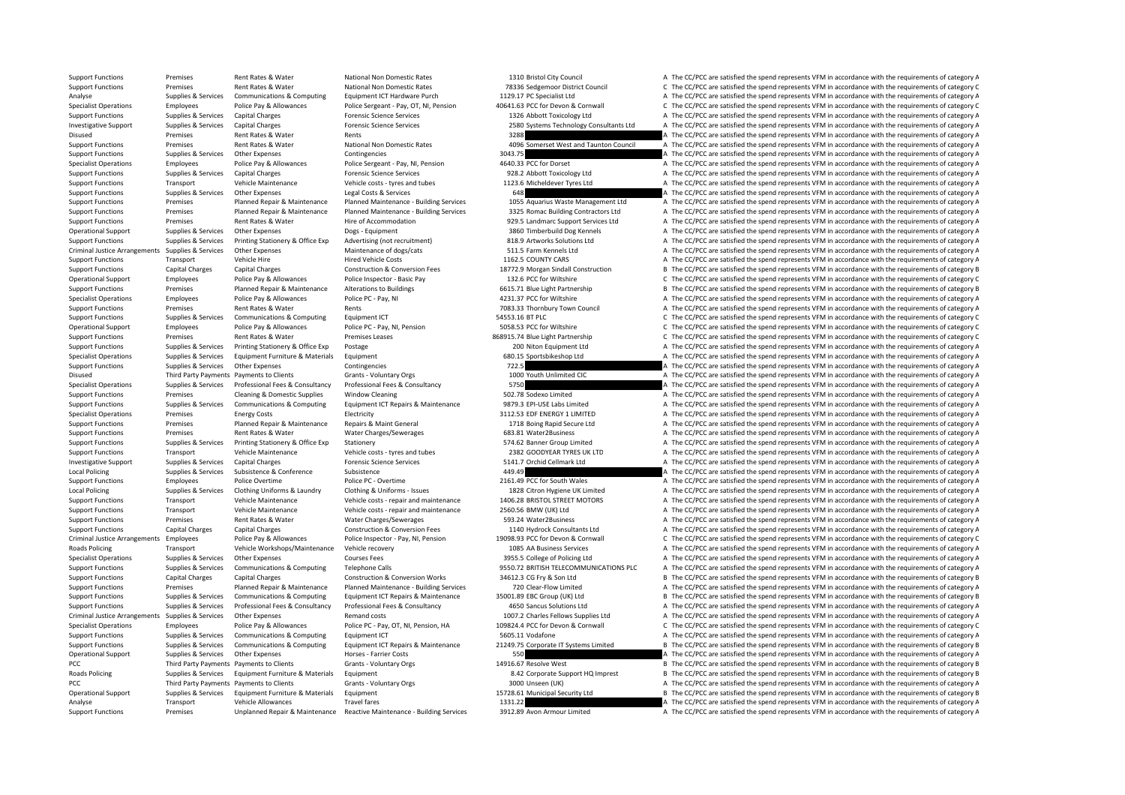Support Functions Premises Unplanned Repair & Maintenance Reactive Maintenance - Building Services 3912.89 Avon Armour Limited A The CC/PCC are satisfied the spend represents VFM in accordance with the requirements of cate

|                 | 1310 Bristol City Council                                                 |
|-----------------|---------------------------------------------------------------------------|
|                 | 78336 Sedgemoor District Council                                          |
|                 | 1129.17 PC Specialist Ltd                                                 |
|                 | 40641.63 PCC for Devon & Cornwall                                         |
|                 | 1326 Abbott Toxicology Ltd                                                |
|                 | 2580 Systems Technology Consultants Ltd                                   |
| 3288            |                                                                           |
| 4096            | Somerset West and Taunton Council                                         |
| 3043.75         |                                                                           |
|                 | 4640.33 PCC for Dorset                                                    |
|                 | 928.2 Abbott Toxicology Ltd                                               |
|                 | 1123.6 Micheldever Tyres Ltd                                              |
| 648             |                                                                           |
|                 |                                                                           |
|                 | 1055 Aquarius Waste Management Ltd<br>3325 Romac Building Contractors Ltd |
|                 |                                                                           |
|                 | 929.5 Landmarc Support Services Ltd                                       |
|                 | 3860 Timberbuild Dog Kennels                                              |
|                 | 818.9 Artworks Solutions Ltd                                              |
|                 | 511.5 Farm Kennels Ltd                                                    |
|                 | 1162.5 COUNTY CARS                                                        |
|                 | 18772.9 Morgan Sindall Construction                                       |
|                 | 132.6 PCC for Wiltshire                                                   |
|                 | 6615.71 Blue Light Partnership                                            |
|                 | 4231.37 PCC for Wiltshire                                                 |
|                 | 7083.33 Thornbury Town Council                                            |
| 54553.16 BT PLC |                                                                           |
|                 | 5058.53 PCC for Wiltshire                                                 |
|                 | 68915.74 Blue Light Partnership                                           |
|                 | 200 Niton Equipment Ltd                                                   |
|                 | 680.15 Sportsbikeshop Ltd                                                 |
| 722.5           |                                                                           |
|                 | 1000 Youth Unlimited CIC                                                  |
| 5750            |                                                                           |
|                 |                                                                           |
|                 |                                                                           |
|                 | 502.78 Sodexo Limited                                                     |
|                 | 9879.3 EPI-USE Labs Limited                                               |
|                 | 3112.53 EDF ENERGY 1 LIMITED                                              |
|                 | 1718 Boing Rapid Secure Ltd                                               |
|                 | 683.81 Water2Business                                                     |
|                 | 574.62 Banner Group Limited                                               |
|                 | 2382 GOODYEAR TYRES UK LTD                                                |
|                 | 5141.7 Orchid Cellmark Ltd                                                |
| 449.49          |                                                                           |
|                 | 2161.49 PCC for South Wales                                               |
|                 | 1828 Citron Hygiene UK Limited                                            |
|                 | 1406.28 BRISTOL STREET MOTORS                                             |
|                 | 2560.56 BMW (UK) Ltd                                                      |
|                 | 593.24 Water2Business                                                     |
|                 | 1140 Hydrock Consultants Ltd                                              |
|                 | 19098.93 PCC for Devon & Cornwall                                         |
|                 | 1085 AA Business Services                                                 |
|                 | 3955.5 College of Policing Ltd                                            |
|                 | 9550.72 BRITISH TELECOMMUNICATIONS PLC                                    |
|                 | 34612.3 CG Fry & Son Ltd                                                  |
|                 | 720 Clear-Flow Limited                                                    |
|                 | 35001.89 EBC Group (UK) Ltd                                               |
|                 | 4650 Sancus Solutions Ltd                                                 |
|                 | 1007.2 Charles Fellows Supplies Ltd                                       |
|                 | 109824.4 PCC for Devon & Cornwall                                         |
|                 | 5605.11 Vodafone                                                          |
|                 |                                                                           |
|                 | 21249.75 Corporate IT Systems Limited                                     |
| 550             |                                                                           |
|                 | 14916.67 Resolve West                                                     |
|                 | 8.42 Corporate Support HQ Imprest                                         |
|                 | 3000 Unseen (UK)<br>15728.61 Municipal Security Ltd                       |

Support Functions Premises Rent Rates & Water National Non Domestic Rates 1310 Bristol City Council A The CC/PCC are satisfied the spend represents VFM in accordance with the requirements of category A Support Functions Premises Rent Rates & Water National Non Domestic Rates 78336 Sedgemoor District Council C The CC/PCC are satisfied the spend represents VFM in accordance with the requirements of category C National Non Analyse Supplies & Services Communications & Computing Equipment ICT Hardware Purch 1129.17 PC Specialist Ltd A The CC/PCC are satisfied the spend represents VFM in accordance with the requirements of category A The Celesa Employees Police Pay & Allowances Police Sergeant - Pay, OT. NI. Pension 40641.63 PCC for Devon & Cornwall C The CC/PCC are satisfied the spend represents VFM in accordance with the requirements of category C Support Functions Supplies & Services Capital Charges Forensic Science Services 1326 Abbott Toxicology Ltd A The CC/PCC are satisfied the spend represents VFM in accordance with the requirements of category A Investigative Support Supplies & Services Capital Charges Forensic Science Services Forensic Science Services Provides Services Capital Charges Providence Services 2580 Systems Technology Consultants Ltd A The CC/PCC are s Disused Premises Rent Rates & Water Rents Rents Rents Rents 3288 A The CC/PCC are satisfied the spend represents VFM in accordance with the requirements of category A Support Functions Premises Rent Rates & Water National Non Domestic Rates 4096 Somerset West and Taunton Council A The CC/PCC are satisfied the spend represents VFM in accordance with the requirements of category A Support Functions Supplies & Services Other Expenses Contingencies 3043.75 3043.75 A The CC/PCC are satisfied the spend represents VFM in accordance with the requirements of category A Specialist Operations Employees Police Pay & Allowances Police Sergeant - Pay, NI, Pension 4640.33 PCC for Dorset A The CC/PCC are satisfied the spend represents VFM in accordance with the requirements of category A Support Functions Supplies & Services Capital Charges Support Forensic Science Services 928.2 Abbott Toxicology Ltd A The CC/PCC are satisfied the spend represents VFM in accordance with the requirements of category A The Support Functions Transport Vehicle Maintenance Vehicle costs - tyres and tubes 1123.6 Micheldever Tyres Ltd A The CC/PCC are satisfied the spend represents VFM in accordance with the requirements of category A Support Functions Supplies & Services Other Expenses Legal Costs & Services 648 A The CC/PCC are satisfied the spend represents VFM in accordance with the requirements of category A The COMEN in accordance with the require er experience the presents of category and the season of the comparison of the CONS Aguarius Waste Management Ltd A The CC/PCC are satisfied the spend represents VFM in accordance with the requirements of category Planned Support Functions Premises Planned Repair & Maintenance Planned Maintenance Building Services 3325 Romac Building Contractors Ltd A The CC/PCC are satisfied the spend represents VFM in accordance with the requirements of c Support Functions Premises Premises Rent Rates & Water Hire of Accommodation Hire of Accommodation 929.5 Landmarc Support Services Ltd A The CC/PCC are satisfied the spend represents VFM in accordance with the requirements A The CC/PCC are satisfied the spend represents VFM in accordance with the requirements of category A Support Functions Supplies & Services Printing Stationery & Office Exp Advertising (not recruitment) 818.9 Artworks Solutions Ltd A The CC/PCC are satisfied the spend represents VFM in accordance with the requirements of c Criminal Justice Arrangements Supplies & Services Other Expenses Maintenance of dogs/cats Maintenance of dogs/cats 511.5 Farm Kennels Ltd A The CC/PCC are satisfied the spend represents VFM in accordance with the requireme Support Functions Transport Vehicle Hire Hired Vehicle Costs Hired Vehicle Costs 1162.5 COUNTY CARS A The CC/PCC are satisfied the spend represents VFM in accordance with the requirements of category A Support Functions Capital Charges Capital Charges Construction & Conversion Fees 18772.9 Morgan Sindall Construction B The CC/PCC are satisfied the spend represents VFM in accordance with the requirements of category B Pol Operational Support Employees Police Pay & Allowances Police Inspector - Basic Pay 132.6 PCC for Wiltshire C The CC/PCC are satisfied the spend represents VFM in accordance with the requirements of category C Support Functions Premises Planned Repair & Maintenance Alterations to Buildings 6615.71 Blue Light Partnership B The CC/PCC are satisfied the spend represents VFM in accordance with the requirements of category B Specialist Operations Employees Police Pay & Allowances Police PC - Pay, NI 4231.37 PCC for Wiltshire A The CC/PCC are satisfied the spend represents VFM in accordance with the requirements of category P Support Functions Premises Rent Rates & Water Rents Rents Rents 7083.33 Thornbury Town Council A The CC/PCC are satisfied the spend represents VFM in accordance with the requirements of category A Support Functions Supplies & Services Communications & Computing Equipment ICT Support CT 54553.16 BT PLC Support CTHE CC/PCC are satisfied the spend represents VFM in accordance with the requirements of category C police Operational Support Employees Police Pay & Allowances Police PC Pay NI, Pension 5058.53 PC for Wiltshire 5058.53 PCC for Wiltshire C The CC/PCC are satisfied the spend represents VFM in accordance with the requirements of Support Functions Premises Rent Rates & Water Premises Leases 868915.74 Blue Light Partnership C The CC/PCC are satisfied the spend represents VFM in accordance with the requirements of category C Support Functions Supplies & Services Printing Stationery & Office Exp Postage 200 Niton Equipment Ltd A The CC/PCC are satisfied the spend represents VFM in accordance with the requirements of category A Specialist Operations Supplies & Services Equipment Furniture & Materials Equipment 680.15 Sportsbikeshop Ltd A The CC/PCC are satisfied the spend represents VFM in accordance with the requirements of category A Support Functions Supplies & Services Other Expenses Contingencies Contingencies 722.5 A The CC/PCC are satisfied the spend represents VFM in accordance with the requirements of category A Disused Third Party Payments Payments to Clients Grants - Voluntary Orgs 1000 Youth Unlimited CIC A The CC/PCC are satisfied the spend represents VFM in accordance with the requirements of category A Specialist Operations Supplies & Services Professional Fees & Consultancy Professional Fees & Consultancy 5750 Specialist Operation A The CC/PCC are satisfied the spend represents VFM in accordance with the requirements of Support Functions Premises Cleaning & Domestic Supplies Window Cleaning 502.78 Sodexo Limited A The CC/PCC are satisfied the spend represents VFM in accordance with the requirements of category A Suppliers & Suppliers & Suppliers Communications & Computing Founding Founding Founding Founding Founding Founding Computing Computing Suppliers and CONTET Interest A The CC/PCC are satisfied the spend represents VFM in ac Specialist Operations Premises Energy Costs Electricity Electricity States Energy Electricity States Energy A The CC/PCC are satisfied the spend represents VFM in accordance with the requirements of category A The Criteria Support Functions Premises Planned Repair & Maintenance Repairs & Maint General 1718 Boing Rapid Secure Ltd A The CC/PCC are satisfied the spend represents VFM in accordance with the requirements of category A Support Functions Premises Rent Rates & Water Water Charges/Sewerages 683.81 Water2Business A The CC/PCC are satisfied the spend represents VFM in accordance with the requirements of category A Support Functions Supplies & Services Printing Stationery & Office Exp Stationery Stationery 574.62 Banner Group Limited A The CC/PCC are satisfied the spend represents VFM in accordance with the requirements of category A Support Functions Transport Vehicle Maintenance Vehicle costs ‐ tyres and tubes 2382 GOODYEAR TYRES UK LTD A The CC/PCC are satisfied the spend represents VFM in accordance with the requirements of category A Investigative Support Supplies & Services Capital Charges Support Forensic Science Services 5141.7 Orchid Cellmark Ltd A The CC/PCC are satisfied the spend represents VFM in accordance with the requirements of category A Local Policing Supplies & Services Subsistence Subsistence Subsistence 449.49 A The CC/PCC are satisfied the spend represents VFM in accordance with the requirements of category P Support Functions Employees Police Overtime Police PC - Overtime 2161.49 PCC for South Wales A The CC/PCC are satisfied the spend represents VFM in accordance with the requirements of category A Local Policing Supplies & Services Clothing Uniforms & Laundry Clothing & Uniforms - Issues 1828 Citron Hygiene UK Limited A The CC/PCC are satisfied the spend represents VFM in accordance with the requirements of category Support Functions Transport Vehicle Maintenance Vehicle costs ‐ repair and maintenance 1406.28 BRISTOL STREET MOTORS A The CC/PCC are satisfied the spend represents VFM in accordance with the requirements of category A Support Functions Transport Vehicle Maintenance Vehicle costs ‐ repair and maintenance 2560.56 BMW (UK) Ltd A The CC/PCC are satisfied the spend represents VFM in accordance with the requirements of category A Support Functions Premises Rent Rates & Water Water Charges/Sewerages Semesta Sexual A The CC/PCC are satisfied the spend represents VFM in accordance with the requirements of category A Support Functions Capital Charges Capital Charges Construction & Conversion Fees 1140 Hydrock Consultants Ltd A The CC/PCC are satisfied the spend represents VFM in accordance with the requirements of category Consultants Criminal Justice Arrangements Employees Police Pay & Allowances Police Inspector - Pay, NI, Pension 19098.93 PCC for Devon & Commuall Criminal Justice Arrangements VFM in accordance with the requirements of category Crimin Roads Policing Transport Vehicle Workshops/Maintenance Vehicle recovery 1085 AA Business Services A The CC/PCC are satisfied the spend represents VFM in accordance with the requirements of category A Specialist Operations Supplies & Services Other Expenses Courses Fees 3955.5 College of Policing Ltd A The CC/PCC are satisfied the spend represents VFM in accordance with the requirements of category A Support Functions Supplies & Services Communications & Computing Telephone Calls 9550.72 BRITISH TELECOMMUNICATIONS PLC A The CC/PCC are satisfied the spend represents VFM in accordance with the requirements of category A Support Functions Capital Charges Capital Charges Construction & Conversion Works 34612.3 CG Fry & Son Ltd B The CC/PCC are satisfied the spend represents VFM in accordance with the requirements of category B Support Functions Premises Planned Repair & Maintenance Planned Maintenance - Building Services 720 Clear‐Flow Limited A The CC/PCC are satisfied the spend represents VFM in accordance with the requirements of category A T Support Functions Supplies & Services Communications & Computing Equipment ICT Repairs & Maintenance 35001.89 EBC Group (UK) Ltd Billet Basic Service and represents VFM in accordance with the requirements of category B Supplies & Services Professional Fees & Consultancy Professional Fees & Consultancy Professional Fees & Consultancy Consultancy 4650 Sancus Solutions Ltd A The CC/PCC are satisfied the spend represents VFM in accordance wi Criminal Justice Arrangements Supplies & Services Other Expenses Remand costs Remand costs Remand costs 1007.2 Charles Fellows Supplies Ltd A The CC/PCC are satisfied the spend represents VFM in accordance with the require Specialist Operations Employees Police Pay & Allowances Police PC - Pay OT. N. Pension, HA 109824.4 PCC for Devon & Commall C. The CC/PCC are satisfied the spend represents VFM in accordance with the requirements of catego Support Functions Supplies & Services Communications & Computing Equipment ICT Equipment ICT 5605.11 Vodafone Support A The CC/PCC are satisfied the spend represents VFM in accordance with the requirements of category A Th B The CC/PCC are satisfied the spend represents VFM in accordance with the requirements of category B Operational Support Supplies & Services Other Expenses Horses Farrier Costs 550 A The CC/PCC are satisfied the spend represents VFM in accordance with the requirements of category A PCC Third Party Payments Payments to Clients Grants - Voluntary Orgs 14916.67 Resolve West B The CC/PCC are satisfied the spend represents VFM in accordance with the requirements of category B The Compacts 14916.67 Resolve B The CC/PCC are satisfied the spend represents VFM in accordance with the requirements of category B PCC Third Party Payments Payments to Clients Grants - Voluntary Orgs 3000 Unseen (UK) A The CC/PCC are satisfied the spend represents VFM in accordance with the requirements of category A Operational Support Supplies & Services Equipment Furniture & Materials Equipment 15728.61 Municipal Security Ltd B The CC/PCC are satisfied the spend represents VFM in accordance with the requirements of category B Analyse Transport Vehicle Allowances Travel fares Travel fares 1331.22 A The CC/PCC are satisfied the spend represents VFM in accordance with the requirements of category A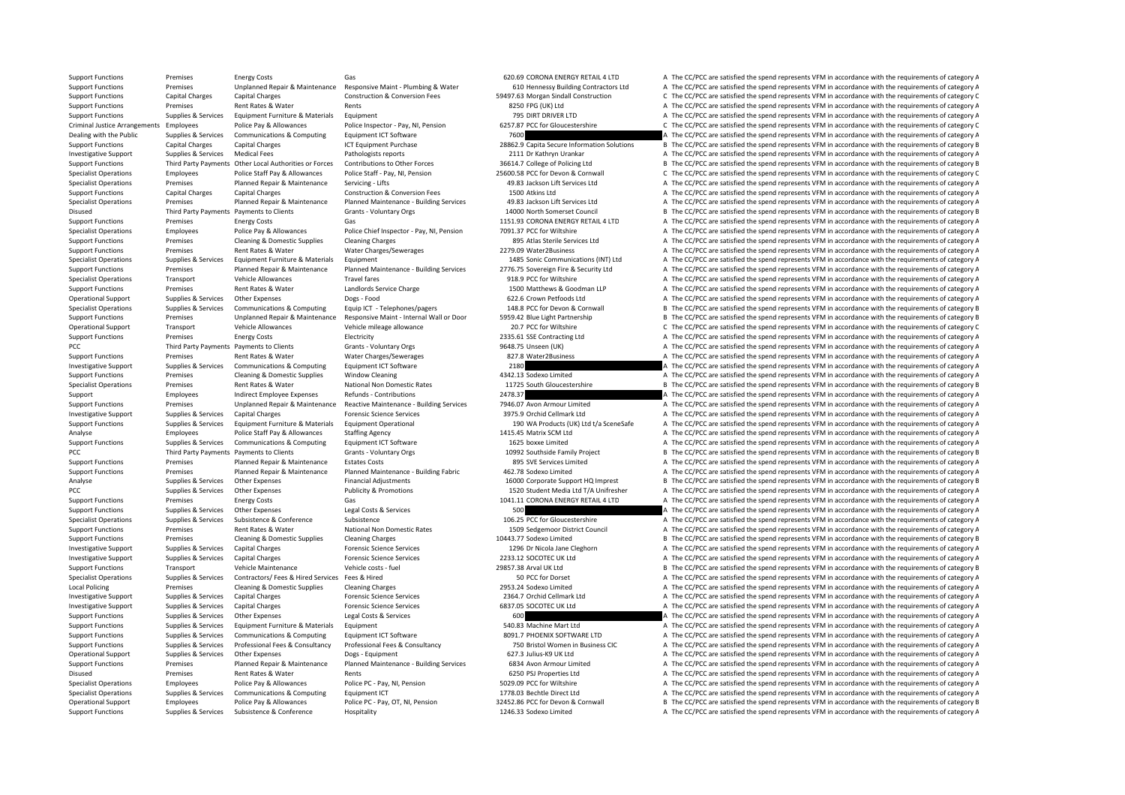Support Functions Premises Energy Costs Gas Gas Functions (Gas CORONA ENERGY RETAIL 4 LTD A The CC/PCC are satisfied the spend represents VFM in accordance with the requirements of category A Support Functions Premises Unplanned Repair & Maintenance Responsive Maint - Plumbing & Water 610 Hennessy Building Contractors Ltd A The CC/PCC are satisfied the spend represents VFM in accordance with the requirements of Support Functions Capital Charges Capital Charges Construction & Conversion Fees 59497.63 Morgan Sindall Construction C The CC/PCC are satisfied the spend represents VFM in accordance with the requirements of category C Re Premises Rent Rates & Water Rents Rents Rents Rents 8250 FPG (UK) Ltd A The CC/PCC are satisfied the spend represents VFM in accordance with the requirements of category A Support Functions Supplies & Services Equipment Furniture & Materials Equipment 795 DIRT DRIVER LTD A The CC/PCC are satisfied the spend represents VFM in accordance with the requirements of category A Criminal Justice Arrangements Employees Police Pay & Allowances Police Inspector - Pay, NI. Pension 6257.87 PCC for Gloucestershire C. The CC/PCC are satisfied the spend represents VFM in accordance with the requirements o Dealing with the Public Supplies & Services Communications & Computing Equipment ICT Software 7600 7600 A The CC/PCC are satisfied the spend represents VFM in accordance with the requirements of category A Support Functions Capital Charges Capital Charges ICT Equipment Purchase 28862.9 Capita Secure Information Solutions B The CC/PCC are satisfied the spend represents VFM in accordance with the requirements of category B Dat Investigative Support Supplies & Services Medical Fees Pathologists reports 2111 Dr Kathryn Urankar A The CC/PCC are satisfied the spend represents VFM in accordance with the requirements of category A The LC/PCC are satis Support Functions Third Party Payments Other Local Authorities or Forces Contributions to Other Forces 36614.7 College of Policing Ltd B The CC/PCC are satisfied the spend represents VFM in accordance with the requirements Specialist Operations Employees Police Staff Pay & Allowances Police Staff - Pay, NI, Pension 25600.58 PCC for Devon & Commuall C The CC/PCC are satisfied the spend represents VFM in accordance with the requirements of cat Premises Planned Repair & Maintenance Servicing - Lifts 49.83 Jackson Lift Services Ltd A The CC/PCC are satisfied the spend represents VFM in accordance with the requirements of category A Support Functions Capital Charges Capital Charges Construction & Conversion Fees 1500 Atkins Ltd A The CC/PCC are satisfied the spend represents VFM in accordance with the requirements of category A The Construction & Conv Premises and Planned Repair & Maintenance Planned Maintenance Building Services 49.83 Jackson Lift Services Ltd A The CC/PCC are satisfied the spend represents VFM in accordance with the requirements of category A Disused Third Party Payments Payments to Clients Grants - Voluntary Orgs 14000 North Somerset Council B The CC/PCC are satisfied the spend represents VFM in accordance with the requirements of category B Support Functions Premises Energy Costs Gas Gas Gas 1151.93 CORONA ENERGY RETAIL 4 LTD A The CC/PCC are satisfied the spend represents VFM in accordance with the requirements of category A The Coronal Energy Costs Police P A The CC/PCC are satisfied the spend represents VFM in accordance with the requirements of category A Support Functions Premises Cleaning & Domestic Supplies Cleaning Charges 895 Atlas Sterile Services Ltd A The CC/PCC are satisfied the spend represents VFM in accordance with the requirements of category A Support Functions Premises Rent Rates & Water Water Charges/Sewerages 2279.09 Water2Business A The CC/PCC are satisfied the spend represents VFM in accordance with the requirements of category A Specialist Operations Supplies & Services Equipment Furniture & Materials Equipment 1485 Sonic Communications (INT) Ltd A The CC/PCC are satisfied the spend represents VFM in accordance with the requirements of category A Support Functions Premises Planned Repair & Maintenance Planned Maintenance - Building Services 2776.75 Sovereign Fire & Security Ltd A The CC/PCC are satisfied the spend represents VFM in accordance with the requirements Transport Vehicle Allowances Travel fares Travel fares 918.9 PCC for Wiltshire A The CC/PCC are satisfied the spend represents VFM in accordance with the requirements of category A Support Functions Premises Rent Rates & Water Landlords Service Charge 1500 Matthews & Goodman LLP A The CC/PCC are satisfied the spend represents VFM in accordance with the requirements of category A Operational Support Supplies & Services Other Expenses Dogs - Food Dogs - Food 622.6 Crown Petfoods Ltd A The CC/PCC are satisfied the spend represents VFM in accordance with the requirements of category A Suppliers & Suppliers & Suppliers Communications & Communications & Communications & Communications & Communications & Communications & Communications & Communications & Communications & Communications & Communications & C Support Functions Premises Unplanned Repair & Maintenance Responsive Maint - Internal Wall or Door 5959.42 Blue Light Partnership B The CC/PCC are satisfied the spend represents VFM in accordance with the requirements of c Operational Support Vehicle Allowances Vehicle Mileage allowance 20.7 PCC for Wiltshire 20.7 PCC for Wiltshire 20.7 PCC for Wiltshire C The CC/PCC are astisfied the spend represents VFM in accordance with the requirements Support Functions Premises Energy Costs Electricity Electricity 2335.61 SSE Contracting Ltd A The CC/PCC are satisfied the spend represents VFM in accordance with the requirements of category A PCC Third Party Payments Payments to Clients Grants - Voluntary Orgs 9648.75 Unseen (UK) A The CC/PCC are satisfied the spend represents VFM in accordance with the requirements of category A Support Functions Premises Rent Rates & Water Water Charges/Sewerages 827.8 Water 2Business A The CC/PCC are satisfied the spend represents VFM in accordance with the requirements of category A Investigative Support Supplies & Services Communications & Computing Equipment ICT Software 2180 2180 A The CC/PCC are satisfied the spend represents VFM in accordance with the requirements of category A The Crime of the S Support Functions Premises Cleaning & Domestic Supplies Window Cleaning 4342.13 Sodexo Limited A The CC/PCC are satisfied the spend represents VFM in accordance with the requirements of category A Specialist Operations Premises Rent Rates & Water National Non Domestic Rates 11725 South Gloucestershire B The CC/PCC are satisfied the spend represents VFM in accordance with the requirements of category B Support Employees Indirect Employee Expenses Refunds - Contributions 2478.37 A The CC/PCC are satisfied the spend represents VFM in accordance with the requirements of category A The Contributions and the CONTEX are satisf Support Functions Premises Unplanned Repair & Maintenance Reactive Maintenance - Building Services 7946.07 Avon Armour Limited A The CC/PCC are satisfied the spend represents VFM in accordance with the requirements of cate Investigative Support Supplies & Services Capital Charges Science Services Forensic Science Services 3975.9 Orchid Cellmark Ltd A The CC/PCC are satisfied the spend represents VFM in accordance with the requirements of cat Supplies & Services Foujoment Furniture & Materials Foujoment Operational 190 WA Products (UK) I td t/a SceneSafe A The CC/PCC are satisfied the spend represents VFM in accordance with the requirements of category A Analyse Employees Police Staff Pay & Allowances Staffing Agency 1415.45 Matrix SCM Ltd A The CC/PCC are satisfied the spend represents VFM in accordance with the requirements of category A The CC/PCC are satisfied the spen Support Functions Supplies & Services Communications & Computing Equipment ICT Software 1625 boxxe Limited 1625 boxxe Limited A The CC/PCC are satisfied the spend represents VFM in accordance with the requirements of categ PCC Third Party Payments Payments to Clients Grants - Voluntary Orgs 10992 Southside Family Project B The CC/PCC are satisfied the spend represents VFM in accordance with the requirements of category B Support Functions Premises Planned Repair & Maintenance Estates Costs 895 SVE Services Limited A The CC/PCC are satisfied the spend represents VFM in accordance with the requirements of category A Support Functions Premises Planned Repair & Maintenance Planned Maintenance - Building Fabric 462.78 Sodexo Limited A The CC/PCC are satisfied the spend represents VFM in accordance with the requirements of category A Analyse Supplies & Services Other Expenses Financial Adjustments 16000 Corporate Support HQ Imprest B The CC/PCC are satisfied the spend represents VFM in accordance with the requirements of category B PCC PCC Supplies Publicity & Promotions Publicity & Promotions 1520 Student Media Ltd T/A Unifresher A The CC/PCC are satisfied the spend represents VFM in accordance with the requirements of category A The Criteria Ltd T/ Support Functions Premises Energy Costs Gas Gas 1041.11 CORONA ENERGY RETAIL 4 LTD A The CC/PCC are satisfied the spend represents VFM in accordance with the requirements of category A Support Functions Supplies & Services Other Expenses Legal Costs & Services Legal Costs & Services Costs and Costs are services 500 A The CC/PCC are satisfied the spend represents VFM in accordance with the requirements of Specialist Operations Supplies & Services Subsistence Subsistence Subsistence Subsistence 3 and the COLOG PCC for Gloucestershire A The CC/PCC are satisfied the spend represents VFM in accordance with the requirements of c Support Functions Premises Rent Rates & Water National Non Domestic Rates 1509 Sedgemoor District Council A The CC/PCC are satisfied the spend represents VFM in accordance with the requirements of category A Support Functions Premises Cleaning & Domestic Supplies Cleaning Charges Cleaning Charges Cleaning Charges 10443.77 Sodexo Limited B The CC/PCC are satisfied the spend represents VFM in accordance with the requirements of Investigative Support Supplies & Services Capital Charges Forensic Science Services 1296 Dr Nicola Jane Cleghorn A The CC/PCC are satisfied the spend represents VFM in accordance with the requirements of category A Investigative Support Supplies & Services Capital Charges Forensic Science Services Forensic Science Services 2233.12 SOCOTEC UK Ltd A The CC/PCC are satisfied the spend represents VFM in accordance with the requirements o Support Functions Transport Vehicle Maintenance Vehicle costs - fuel 29857.38 Arval UK Ltd B The CC/PCC are satisfied the spend represents VFM in accordance with the requirements of category B Specialist Operations Supplies & Services Contractors/ Fees & Hired Services Fees & Hired Services Fees & Hired 50 PCC for Dorset A The CC/PCC are satisfied the spend represents VFM in accordance with the requirements of c Local Policing Premises Cleaning & Domestic Supplies Cleaning Charges Cleaning Charges Cleaning Charges Cleaning Charges 2953.24 Sodexo Limited A The CC/PCC are satisfied the spend represents VFM in accordance with the req Investigative Support Supplies & Services Capital Charges Forensic Science Services Provides 2364.7 Orchid Cellmark Ltd A The CC/PCC are satisfied the spend represents VFM in accordance with the requirements of category A Investigative Support Supplies & Services Capital Charges A The Companies of Carges Forensic Science Services Forensic Science Services 6837.05 SOCOTEC UK Ltd A The CC/PCC are satisfied the spend represents VFM in accordan Support Functions Supplies & Services Other Expenses Legal Costs & Services 600 600 A The CC/PCC are satisfied the spend represents VFM in accordance with the requirements of category A Support Functions Supplies & Services Foulyoment Furniture & Materials Foulyoment 540.83 Machine Mart Ltd A The CC/PCC are satisfied the spend represents VFM in accordance with the requirements of category A Support Functions Supplies & Services Communications & Computing Equipment ICT Software 8091.7 PHOENIX SOFTWARE LTD A The CC/PCC are satisfied the spend represents VFM in accordance with the requirements of category A The A The CC/PCC are satisfied the spend represents VFM in accordance with the requirements of category A Operational Support Supplies & Services Other Expenses Dogs - Equipment Dogs - Equipment 627.3 Julius‐K9 UK Ltd A The CC/PCC are satisfied the spend represents VFM in accordance with the requirements of category A Support Functions Premises Planned Repair & Maintenance Planned Maintenance - Building Services 6834 Avon Armour Limited A The CC/PCC are satisfied the spend represents VFM in accordance with the requirements of category A A The CC/PCC are satisfied the spend represents VFM in accordance with the requirements of category A Specialist Operations Employees Police Pay & Allowances Police PC - Pay, NI, Pension 5029.09 PCC for Wiltshire A The CC/PCC are satisfied the spend represents VFM in accordance with the requirements of category A Specialist Operations Supplies & Services Communications & Computing Equipment ICT 1778.03 Bechtle Direct Ltd A The CC/PCC are satisfied the spend represents VFM in accordance with the requirements of category A Operational Support Employees Police Pay & Allowances Police PC - Pay, OT, NI, Pension 32452.86 PCC for Devon & Cornwall B The CC/PCC are satisfied the spend represents VFM in accordance with the requirements of category B Support Functions Supplies & Services Subsistence & Conference Hospitality Hospitality 1246.33 Sodexo Limited A The CC/PCC are satisfied the spend represents VFM in accordance with the requirements of category A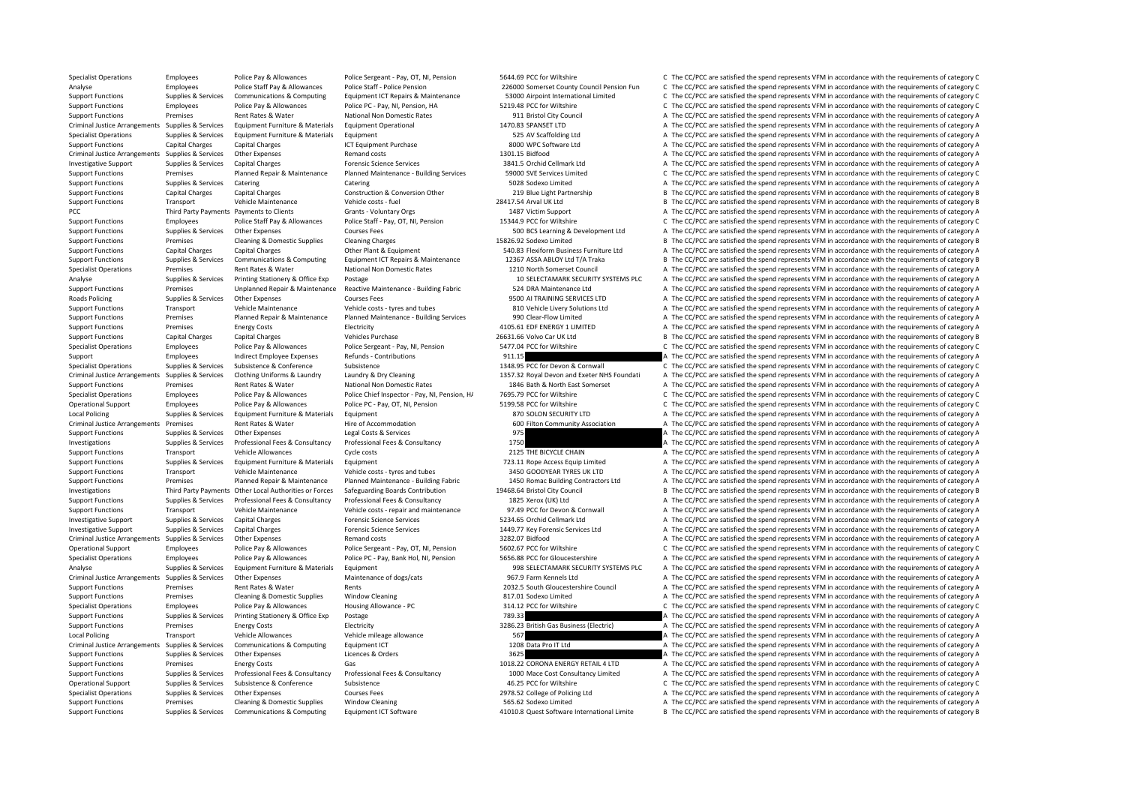Specialist Operations Employees Police Pay & Allowances Police Sergeant - Pay, OT, NI, Pension 5644.69 PCC for Wiltshire C The CC/PCC are satisfied the spend represents VFM in accordance with the requirements of category C Analyse Employees Police Staff Pay & Allowances Police Staff - Police Pension 226000 Somerset County Council Pension Fun C The CC/PCC are satisfied the spend represents VFM in accordance with the requirements of category C Supplies & Services Communications & Computing Equipment ICT Repairs & Maintenance 53000 Airpoint International Limited C The CC/PCC are satisfied the spend represents VFM in accordance with the requirements of category C Support Functions Employees Police Pay & Allowances Police PC ‐ Pay, NI, Pension, HA 5219.48 PCC for Wiltshire C The CC/PCC are satisfied the spend represents VFM in accordance with the requirements of category C Support Functions Premises Rent Rates & Water National Non Domestic Rates 911 Bristol City Council A The CC/PCC are satisfied the spend represents VFM in accordance with the requirements of category A Criminal Justice Arrangements Supplies & Services Equipment Furniture & Materials Equipment Operational Supplies that the COVEC are satisfied the spend represents VFM in accordance with the requirements of category A Specialist Operations Supplies & Services Equipment Furniture & Materials Equipment Furniture & Materials Equipment Furniture & Materials Equipment Furniture & Materials Equipment Furniture & Materials Equipment Furniture Support Functions Capital Charges Capital Charges Support Purchase ICT Equipment Purchase 8000 MPC Software Ltd A The CC/PCC are satisfied the spend represents VFM in accordance with the requirements of category A The Crim Criminal Justice Arrangements Supplies & Services Other Expenses Remand costs Remand costs 1301.15 Bidfood A The CC/PCC are satisfied the spend represents VFM in accordance with the requirements of category A Investigative Support Supplies & Services Capital Charges Forensic Science Services Services 3841.5 Orchid Cellmark Ltd A The CC/PCC are satisfied the spend represents VFM in accordance with the requirements of category C<br> Support Functions Premises Planned Repair & Maintenance Planned Maintenance - Building Services 59000 SVE Services Limited C The CC/PCC are satisfied the spend represents VFM in accordance with the requirements of category Support Functions Supplies & Services Catering Catering Catering Catering Support Support Support A The CC/PCC are satisfied the spend represents VFM in accordance with the requirements of category A Support Functions Capital Charges Capital Charges Construction & Conversion Other 219 Blue Light Partnership B The CC/PCC are satisfied the spend represents VFM in accordance with the requirements of category B The Constru B The CC/PCC are satisfied the spend represents VFM in accordance with the requirements of category B PCC Third Party Payments Payments to Clients Grants - Voluntary Orgs 1487 Victim Support A The CC/PCC are satisfied the spend represents VFM in accordance with the requirements of category A Support Functions Employees Police Staff Pay & Allowances Police Staff - Pay, OT, NI, Pension 15344.9 PCC for Wiltshire C The CC/PCC are satisfied the spend represents VFM in accordance with the requirements of category C A The CC/PCC are satisfied the spend represents VFM in accordance with the requirements of category A Support Functions Premises Cleaning & Domestic Supplies Cleaning Charges 15826.92 Sodexo Limited B The CC/PCC are satisfied the spend represents VFM in accordance with the requirements of category B Support Functions Capital Charges Capital Charges Other Plant & Equipment 540.83 Flexiform Business Furniture Ltd A The CC/PCC are satisfied the spend represents VFM in accordance with the requirements of category A Support Functions Supplies & Services Communications & Computing Equipment ICT Repairs & Maintenance 12367 ASSA ABLOY Ltd T/A Traka BLOY Et a The CC/PCC are satisfied the spend represents VFM in accordance with the require Specialist Operations Premises Rent Rates & Water National Non Domestic Rates 1210 North Somerset Council A The CC/PCC are satisfied the spend represents VFM in accordance with the requirements of category A The CALEGORY A Analyse Supplies & Services Printing Stationery & Office Exp Postage 10 SELECTAMARK SECURITY SYSTEMS PLC A The CC/PCC are satisfied the spend represents VFM in accordance with the requirements of category A Support Functions Premises Unplanned Repair & Maintenance Reactive Maintenance - Building Fabric 524 DRA Maintenance Ltd A The CC/PCC are satisfied the spend represents VFM in accordance with the requirements of category A Roads Policing Supplies & Services Other Expenses Courses Fees Courses Fees 9500 AI TRAINING SERVICES LTD A The CC/PCC are satisfied the spend represents VFM in accordance with the requirements of category A Support Functions Transport Vehicle Maintenance Vehicle costs ‐ tyres and tubes 810 Vehicle Livery Solutions Ltd A The CC/PCC are satisfied the spend represents VFM in accordance with the requirements of category A Support Functions Premises Planned Repair & Maintenance Planned Maintenance - Building Services 990 Clear‐Flow Limited A The CC/PCC are satisfied the spend represents VFM in accordance with the requirements of category A T Support Functions Premises Energy Costs Flectricity Functions and the COSTS Constant Constant Constant Constant Constant Constant Constant Constant Constant Constant Constant Constant Constant Constant Constant Constant Co Support Functions Capital Charges Capital Charges Vehicles Purchase 26631.66 Volvo Car UK Ltd B The CC/PCC are satisfied the spend represents VFM in accordance with the requirements of category B Specialist Operations Employees Police Pay & Allowances Police Sergeant - Pay, NI, Pension 5477.04 PCC for Wiltshire C The CC/PCC are satisfied the spend represents VFM in accordance with the requirements of category C Support Employees Indirect Employee Expenses Refunds Contributions 911.15 911.15 A The CC/PCC are satisfied the spend represents VFM in accordance with the requirements of category A Specialist Operations Supplies & Services Subsistence Subsistence Subsistence Subsistence Subsistence Subsistence and Subsistence and type and CONFOC are satisfied the spend represents VFM in accordance with the requiremen Criminal lustice Arrangements Supplies & Services Clothing Uniforms & Laundry Laundry Mundry Mundry Criminal Devon and Exercy NHS Foundati A The CC/PCC are satisfied the spend represents VFM in accordance with the requirem Support Functions Premises Rent Rates & Water National Non Domestic Rates 1846 Bath & North East Somerset A The CC/PCC are satisfied the spend represents VFM in accordance with the requirements of category A Specialist Operations Employees Police Pay & Allowances Police Chief Inspector - Pay, NI, Pension, H/ 7695.79 PCC for Wiltshire C The CC/PCC are satisfied the spend represents VFM in accordance with the requirements of cat Operational Support Employees Police Pay & Allowances Police PC - Pay, OT, NI, Pension 5199.58 PCC for Wiltshire C The CC/PCC are satisfied the spend represents VFM in accordance with the requirements of category C Local Policing Supplies & Services Equipment Furniture & Materials Equipment Anterials Equipment Burniture & Materials Equipment A The CON SCURITY LTD A The CC/PCC are satisfied the spend represents VFM in accordance with Criminal Justice Arrangements Premises Rent Rates & Water Hire of Accommodation Hire of Accommodation 600 Filton Community Association A The CC/PCC are satisfied the spend represents VFM in accordance with the requirements Support Functions Supplies & Services Other Expenses Legal Costs & Services 975 A The CC/PCC are satisfied the spend represents VFM in accordance with the requirements of category A Investigations Supplies & Services Professional Fees & Consultancy Professional Fees & Consultancy Professional Fees & Consultancy 1750 A The CC/PCC are satisfied the spend represents VFM in accordance with the requirement Support Functions Transport Vehicle Allowances Cycle costs 2125 THE BICYCLE CHAIN A The CC/PCC are satisfied the spend represents VFM in accordance with the requirements of category A Support Functions Supplies & Services Equipment Furniture & Materials Equipment 723.11 Rope Access Equip Limited A The CC/PCC are satisfied the spend represents VFM in accordance with the requirements of category A Support Functions Transport Vehicle Maintenance Vehicle costs - tyres and tubes 3450 GOODYEAR TYRES UK LTD A The CC/PCC are satisfied the spend represents VFM in accordance with the requirements of category A Support Functions Premises Planned Repair & Maintenance Planned Maintenance Building Fabric 1950 Romac Building Contractors Ltd A The CC/PCC are satisfied the spend represents VFM in accordance with the requirements of cat Investigations Third Party Payments Other Local Authorities or Forces Safeguarding Boards Contribution 19468.64 Bristol City Council B The CC/PCC are satisfied the spend represents VFM in accordance with the requirements o Support Functions Supplies & Services Professional Fees & Consultancy Professional Fees & Consultancy 1825 Xerox (UK) Ltd A The CC/PCC are satisfied the spend represents VFM in accordance with the requirements of category Support Functions Transport Vehicle Maintenance Vehicle costs ‐ repair and maintenance 97.49 PCC for Devon & Cornwall A The CC/PCC are satisfied the spend represents VFM in accordance with the requirements of category A Investigative Support Supplies & Services Capital Charges Forensic Science Services Forensic Science Services 5234.65 Orchid Cellmark Ltd A The CC/PCC are satisfied the spend represents VFM in accordance with the requireme Investigative Support Supplies & Services Capital Charges Forensic Science Services 1449.77 Key Forensic Services Ltd A The CC/PCC are satisfied the spend represents VFM in accordance with the requirements of category A Criminal Justice Arrangements Supplies & Services Other Expenses Remand costs Remand costs Remand costs Remand costs and a The COLOG are satisfied the spend represents VFM in accordance with the requirements of category A Operational Support Employees Police Pay & Allowances Police Sergeant ‐ Pay, OT, NI, Pension 5602.67 PCC for Wiltshire C The CC/PCC are satisfied the spend represents VFM in accordance with the requirements of category C Specialist Operations Employees Police Pay & Allowances Police PC - Pay, Bank Hol. NI. Pension 5656.88 PCC for Gloucestershire A The CC/PCC are satisfied the spend represents VFM in accordance with the requirements of cate Analyse Supplies & Services Equipment Furniture & Materials Equipment external production of the SECURITY SYSTEMS PLC A The CC/PCC are satisfied the spend represents VFM in accordance with the requirements of category A Criminal Justice Arrangements Supplies & Services Other Expenses Maintenance of dogs/cats Maintenance of dogs/cats 967.9 Farm Kennels Ltd A The CC/PCC are satisfied the spend represents VFM in accordance with the requireme Support Functions Premises Rent Rates & Water Rents Rents Rents Rents Rents 2032.5 South Gloucestershire Council A The CC/PCC are satisfied the spend represents VFM in accordance with the requirements of category A The Cri Support Functions Premises Cleaning & Domestic Supplies Window Cleaning 817.01 Sodexo Limited A The CC/PCC are satisfied the spend represents VFM in accordance with the requirements of category A Specialist Operations Employees Police Pay & Allowances Housing Allowance - PC 314.12 PCC for Wiltshire C The CC/PCC are satisfied the spend represents VFM in accordance with the requirements of category C Support Functions Supplies & Services Printing Stationery & Office Exp Postage 789.33 789.33 A The CC/PCC are satisfied the spend represents VFM in accordance with the requirements of category A Support Functions Premises Functions Energy Costs Functions Electricity and the COST British Gas Business (Electric) A The CC/PCC are satisfied the spend represents VFM in accordance with the requirements of category A Local Policing Transport Vehicle Allowances Vehicle mileage allowance S67 A The CC/PCC are satisfied the spend represents VFM in accordance with the requirements of category A The Critic minal Justice Arrangements Supplies A The CC/PCC are satisfied the spend represents VFM in accordance with the requirements of category A Support Functions Supplies & Services Other Expenses Licences & Orders 3625 3625 A The CC/PCC are satisfied the spend represents VFM in accordance with the requirements of category A Support Functions Premises Energy Costs Gas Gas Gas 1018.22 CORONA ENERGY RETAIL 4 LTD A The CC/PCC are satisfied the spend represents VFM in accordance with the requirements of category A The Cost Consultance with the req A The CC/PCC are satisfied the spend represents VFM in accordance with the requirements of category A Operational Support Supplies & Services Subsistence Subsistence Subsistence and A6.25 PCC for Wiltshire C The CC/PCC are satisfied the spend represents VFM in accordance with the requirements of category C Specialist Operations Supplies & Services Other Expenses Courses Fees 2978.52 College of Policing Ltd A The CC/PCC are satisfied the spend represents VFM in accordance with the requirements of category A Support Functions Premises Cleaning & Domestic Supplies Window Cleaning 565.62 Sodexo Limited A The CC/PCC are satisfied the spend represents VFM in accordance with the requirements of category A Supplies & Services Communications & Computing Equipment ICT Software and the seasoftware international Limite B The CC/PCC are satisfied the spend represents VFM in accordance with the requirements of category B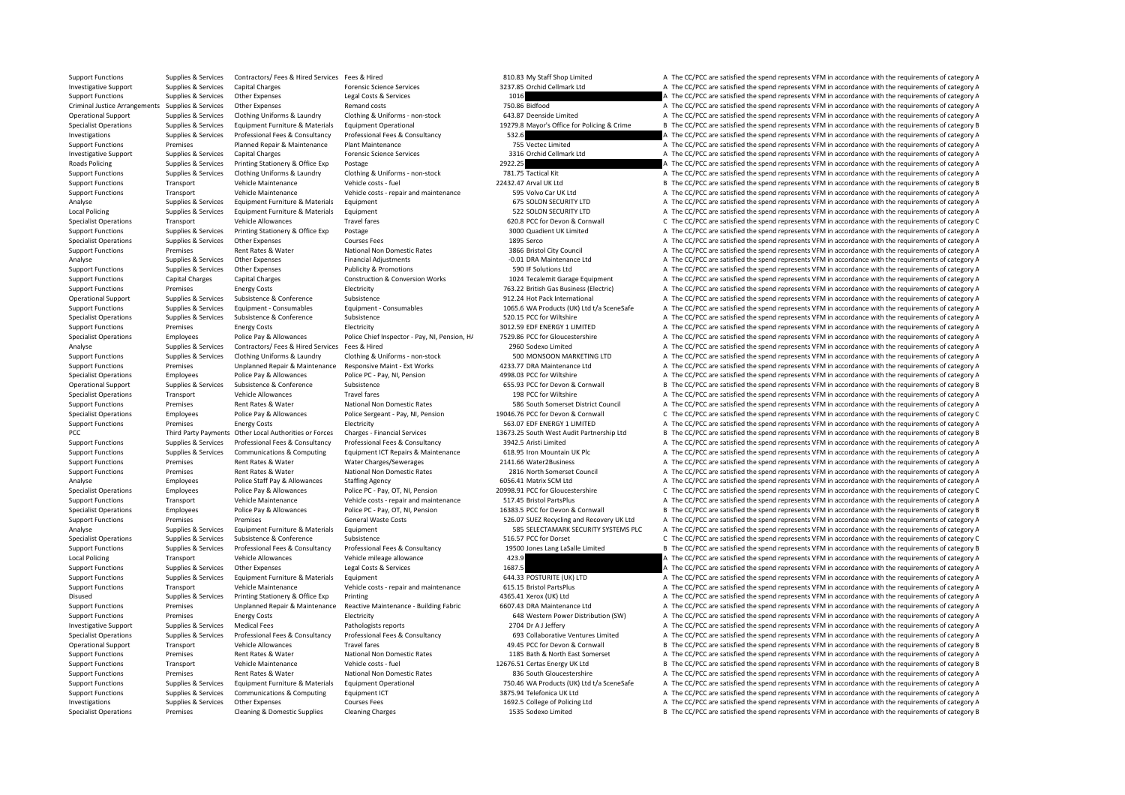Support Functions Supplies & Services Contractors/ Fees & Hired Services Fees & Hired 810.83 My Staff Shop Limited A The CC/PCC are satisfied the spend represents VFM in accordance with the requirements of category A Investigative Support Supplies & Services Capital Charges Forensic Science Services 3237.85 Orchid Cellmark Ltd A The CC/PCC are satisfied the spend represents VFM in accordance with the requirements of category A Support Functions Supplies & Services Other Expenses Legal Costs & Services Legal Costs & Services Legal Costs & Services 1016 A The CC/PCC are satisfied the spend represents VFM in accordance with the requirements of cate Criminal Justice Arrangements Supplies & Services Other Expenses Remand costs Remand costs 750.86 Bidfood A The CC/PCC are satisfied the spend represents VFM in accordance with the requirements of category A Operational Support Supplies & Services Clothing Uniforms & Laundry Clothing & Uniforms - non-stock 643.87 Deenside Limited and Collect A The CC/PCC are satisfied the spend represents VFM in accordance with the requirement Supplies & Services Equipment Furniture & Materials Equipment Operational 19279.8 Mayor's Office for Policing & Crime B The CC/PCC are satisfied the spend represents VFM in accordance with the requirements of category B Investigations Supplies & Services Professional Fees & Consultancy Professional Fees & Consultancy Supplies & Consultancy 532.6 A The CC/PCC are satisfied the spend represents VFM in accordance with the requirements of cat Support Functions Premises Planned Repair & Maintenance Plant Maintenance Plant Maintenance Plant Maintenance<br>A The CC/PCC are satisfied the spend represents VFM in accordance with the requirements of category A The Crimes Investigative Support Supplies & Services Capital Charges Forensic Science Services 3316 Orchid Cellmark Ltd A The CC/PCC are satisfied the spend represents VFM in accordance with the requirements of category A Roads Policing Supplies & Services Printing Stationery & Office Exp Postage 2922.25 2022.25 A The CC/PCC are satisfied the spend represents VFM in accordance with the requirements of category A Support Functions Supplies & Services Clothing Uniforms & Laundry Clothing & Uniforms - non‐stock 781.75 Tactical Kit A The CC/PCC are satisfied the spend represents VFM in accordance with the requirements of category A Th Transport Vehicle Maintenance Vehicle costs ‐ fuel 22432.47 Arval UK Ltd B The CC/PCC are satisfied the spend represents VFM in accordance with the requirements of category B Support Functions Transport Vehicle Maintenance Vehicle costs ‐ repair and maintenance 595 Volvo Car UK Ltd A The CC/PCC are satisfied the spend represents VFM in accordance with the requirements of category A The CAL The A The CC/PCC are satisfied the spend represents VFM in accordance with the requirements of category A Local Policing Supplies & Services Equipment Furniture & Materials Equipment Supplies and the Services Equipment Furniture & Materials Equipment Supplies and the Service of A The CC/PCC are satisfied the spend represents V Specialist Operations Transport Vehicle Allowances Travel fares Travel fares and the COLOGIC for Devon & Cornwall C The CC/PCC are satisfied the spend represents VFM in accordance with the requirements of category C Suppor A The CC/PCC are satisfied the spend represents VFM in accordance with the requirements of category A Specialist Operations Supplies & Services Other Expenses Courses Fees Courses Fees 1895 Serco A The CC/PCC are satisfied the spend represents VFM in accordance with the requirements of category A Support Functions Premises Rent Rates Rulater National Non Domestic Rates 3866 Reistol City Council A The CC/PCC are satisfied the spend represents VFM in accordance with the requirements of category A Analyse Supplies & Services Other Expenses Financial Adjustments Financial Adjustments –0.01 DRA Maintenance Ltd A The CC/PCC are satisfied the spend represents VFM in accordance with the requirements of category A Support Functions Supplies & Services Other Expenses Publicity & Promotions Publicity & Promotions and the COLU<br>Support Functions Capital Charges Capital Charges Contruction & Conversion Works 1024 Tecalemit Garage Funinme Support Functions Capital Charges Capital Charges Construction & Conversion Works 1024 Tecalemit Garage Foundment A The CC/PCC are satisfied the spend represents VFM in accordance with the requirements of category A Support Functions Premises Energy Costs Electricity Electricity 763.22 British Gas Business (Electricity A The CC/PCC are satisfied the spend represents VFM in accordance with the requirements of category A Operational Support Supplies & Services Subsistence Subsistence Subsistence Subsistence Subsistence Subsistence Subsistence Subsistence Subsistence Subsistence 912.24 Hot Pack International A The CC/PCC are satisfied the s Suppliers & Services Foundations Suppliers Suppliers Consumables Foundations Foundation of Consumer Consumables Consumed Consumables 1065.6 WA Products (UK) Itd t/a Scene Safe A The CC/PCC are satisfied the spend represent Specialist Operations Supplies & Services Subsistence Subsistence Subsistence Subsistence Subsistence Subsistence Subsistence Subsistence Subsistence Subsistence Subsistence Subsistence Subsistence Subsistence Subsistence Premises Energy Costs Electricity Support Costs and the COSTS Constant Constant Costs Energy Costs Electricity 3012.59 COSTS 2012.59 EDF ENERGY 1 LIMITED A The CC/PCC are satisfied the spend represents VFM in accordance wi Specialist Operations Employees Police Pay & Allowances Police Chief Inspector - Pay, NI, Pension, H/ 7529.86 PCC for Gloucestershire A The CC/PCC are satisfied the spend represents VFM in accordance with the requirements Analyse Supplies & Services Contractors/ Fees & Hired Services Fees & Hired 2960 Sodexo Limited A The CC/PCC are satisfied the spend represents VFM in accordance with the requirements of category A Suppliers & Suppliers Suppliers Clothing Uniforms & Laundry Clothing & Uniforms & Uniforms & Laundry Clothing & Uniforms & Uniforms & Uniforms & Uniforms & Uniforms & Uniforms & Uniforms & Uniforms & Uniforms & Uniforms & Support Functions Premises Unplanned Repair & Maintenance Responsive Maint - Ext Works 4233.77 DRA Maintenance Ltd A The CC/PCC are satisfied the spend represents VFM in accordance with the requirements of category A Delic Specialist Operations Employees Police Pay & Allowances Police PC - Pay, NI, Pension 4998.03 PCC for Wiltshire A The CC/PCC are satisfied the spend represents VFM in accordance with the requirements of category A Operational Support Support Support Support Subsistence Subsistence Subsistence Subsistence Subsistence of Support of Cornwall B The CC/PCC are satisfied the spend represents VFM in accordance with the requirements of cate Specialist Operations Transport Vehicle Allowances Travel fares Travel fares and the Contemporary of the CC/PCC are satisfied the spend represents VFM in accordance with the requirements of category A The CC/PCC are satisf Support Functions Premises Rent Rates & Water National Non Domestic Rates 586 South Somerset District Council A The CC/PCC are satisfied the spend represents VFM in accordance with the requirements of category A Specialist Operations Employees Police Pay & Allowances Police Sergeant - Pay, NI, Pension 19046.76 PCC for Devon & Commull C The CC/PCC are satisfied the spend represents VFM in accordance with the requirements of categor Support Functions Premises Energy Costs Electricity Electricity S63.07 EDF ENERGY 1 LIMITED A The CC/PCC are satisfied the spend represents VFM in accordance with the requirements of category A Third Party Payments Other Local Authorities or Forces Charges - Financial Services 2016 13673.25 South West Audit Partnership Ltd B The CC/PCC are satisfied the spend represents VFM in accordance with the requirements of Support Functions Supplies & Services Professional Fees & Consultancy Professional Fees & Consultancy Professional Fees & Consultancy 3942.5 Aristi Limited A The CC/PCC are satisfied the spend represents VFM in accordance Supplies & Services Communications & Computing Equipment ICT Repairs & Maintenance 618.95 Iron Mountain UK Plc A The CC/PCC are satisfied the spend represents VFM in accordance with the requirements of category A Support Functions Premises Rent Rates & Water Water Charges/Sewerages 2141.66 Water 2Business A The CC/PCC are satisfied the spend represents VFM in accordance with the requirements of category Premises Rent Rates & Water Support Functions Premises Rent Rates & Water National Non Domestic Rates 2816 North Somerset Council A The CC/PCC are satisfied the spend represents VFM in accordance with the requirements of category P Analyse Employees Police Staff Pay & Allowances Staffing Agency 6056.41 Matrix SCM Ltd A The CC/PCC are satisfied the spend represents VFM in accordance with the requirements of category A Specialist Operations Employees Police Pay & Allowances Police PC - Pay, OT, NI, Pension 20998.91 PCC for Gloucestershire C The CC/PCC are satisfied the spend represents VFM in accordance with the requirements of category Support Functions Transport Vehicle Maintenance Vehicle costs ‐ repair and maintenance 517.45 Bristol PartsPlus A The CC/PCC are satisfied the spend represents VFM in accordance with the requirements of category A Specialist Operations Employees Police Pay & Allowances Police PC - Pay, OT, NI, Pension 16383.5 PCC for Devon & Cornwall B The CC/PCC are satisfied the spend represents VFM in accordance with the requirements of category Support Functions Premises Premises Premises Seneral Waste Costs SE S26.07 SUEZ Recycling and Recovery UK Ltd A The CC/PCC are satisfied the spend represents VFM in accordance with the requirements of category A Analyse Supplies & Services Equipment Furniture & Materials Equipment Supplies Equipment Supplies & Services Conference Supplies Supplies Supplies and the Services Supplies Supplies Supplies Supplies Supplies Supplies Supp Specialist Operations Supplies & Services Subsistence Subsistence Subsistence Subsistence Subsistence Subsistence Subsistence Consultancy Subsistence Subsistence Subsistence Subsistence Subsistence Subsistence Subsistence B The CC/PCC are satisfied the spend represents VFM in accordance with the requirements of category B Local Policing Transport Vehicle Allowances Vehicle mileage allowance 423.9 A The CC/PCC are satisfied the spend represents VFM in accordance with the requirements of category A Support Functions Supplies & Services Other Expenses Legal Costs & Services 1687.5 A The CC/PCC are satisfied the spend represents VFM in accordance with the requirements of category A Support Functions Supplies & Services Equipment Furniture & Materials Equipment 644.33 POSTURITE (UK) LTD A The CC/PCC are satisfied the spend represents VFM in accordance with the requirements of category A Support Functions Transport Vehicle Maintenance Vehicle costs ‐ repair and maintenance 615.15 Bristol PartsPlus A The CC/PCC are satisfied the spend represents VFM in accordance with the requirements of category A The Crit Disused Supplies & Services Printing Stationery & Office Exp Printing Printing A The CONSULT A The CC/PCC are satisfied the spend represents VFM in accordance with the requirements of category A Support Functions Premises Unplanned Repair & Maintenance Reactive Maintenance - Building Fabric 6607.43 DRA Maintenance Ltd A The CC/PCC are satisfied the spend represents VFM in accordance with the requirements of catego Support Functions Premises Energy Costs Electricity Electricity Electricity 648 Western Power Distribution (SW) A The CC/PCC are satisfied the spend represents VFM in accordance with the requirements of category A Investigative Support Supplies & Services Medical Fees Pathologists reports 2704 Dr A J Jeffery A The CC/PCC are satisfied the spend represents VFM in accordance with the requirements of category A Supplies & Services Professional Fees & Consultancy Professional Fees & Consultancy Consultancy Consultancy 693 Collaborative Ventures Limited A The CC/PCC are satisfied the spend represents VFM in accordance with the requ B The CC/PCC are satisfied the spend represents VFM in accordance with the requirements of category B Support Functions Premises Rent Rates & Water National Non Domestic Rates 1185 Bath & North East Somerset A The CC/PCC are satisfied the spend represents VFM in accordance with the requirements of category B<br>Support Functi Support Functions Transport Vehicle Maintenance Vehicle costs - fuel Vehicle costs -fuel 12676.51 Certas Energy UK Ltd B The CC/PCC are satisfied the spend represents VFM in accordance with the requirements of category B S A The CC/PCC are satisfied the spend represents VFM in accordance with the requirements of category A Supplies & Services Equipment Furniture & Materials Equipment Operational 750.46 WA Products (UK) Ltd t/a SceneSafe A The CC/PCC are satisfied the spend represents VFM in accordance with the requirements of category A Support Functions Supplies & Services Communications & Computing Equipment ICT 3875.94 Telefonica UK Ltd A The CC/PCC are satisfied the spend represents VFM in accordance with the requirements of category A Investigations Supplies & Services Other Expenses Courses Fees Courses Fees 1692.5 College of Policing Ltd A The CC/PCC are satisfied the spend represents VFM in accordance with the requirements of category A Specialist Operations Premises Cleaning & Domestic Supplies Cleaning Charges 1535 Sodexo Limited B The CC/PCC are satisfied the spend represents VFM in accordance with the requirements of category B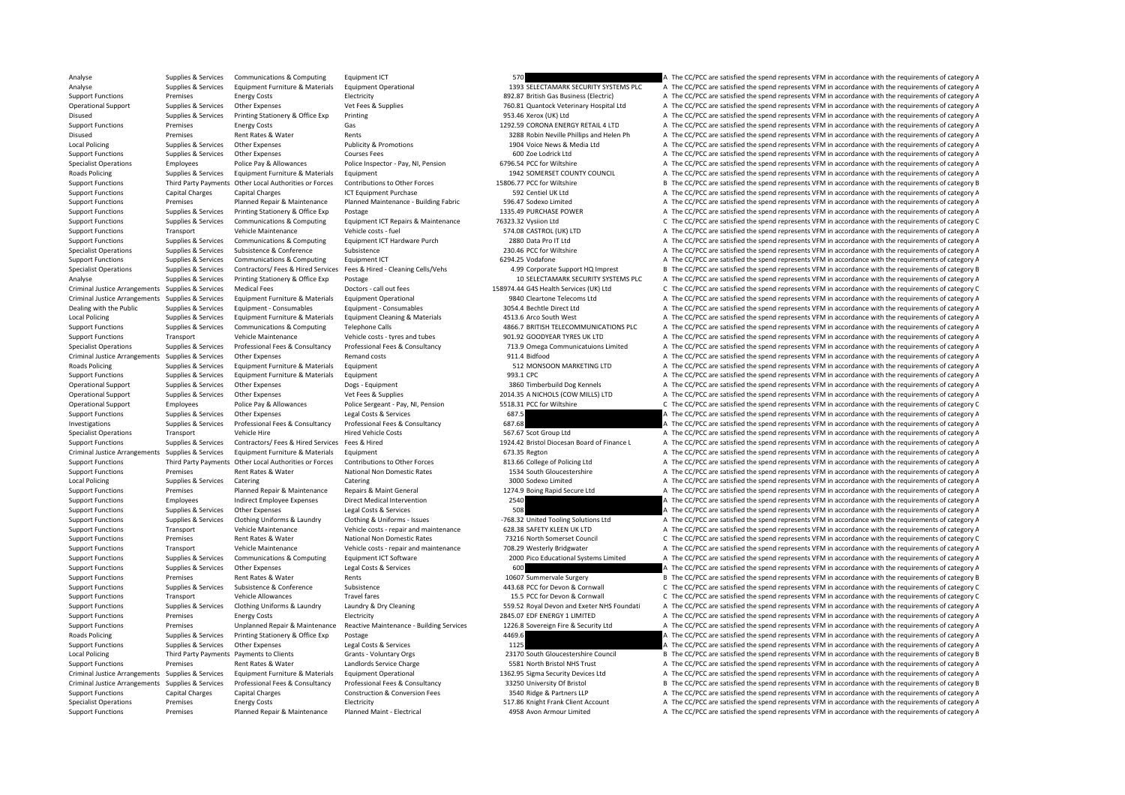Analyse Supplies & Services Communications & Computing Equipment ICT 570 A The CC/PCC are satisfied the spend represents VFM in accordance with the requirements of category A Analyse Supplies & Services Equipment Furniture & Materials Equipment Operational 1393 SELECTAMARK SECURITY SYSTEMS PLC A The CC/PCC are satisfied the spend represents VFM in accordance with the requirements of category A Support Functions Premises Energy Costs Electricity Electricity Electricity Business Electricity Business (Electricity A The CC/PCC are satisfied the spend represents VFM in accordance with the requirements of category A T Other Expenses Vet Fees & Supplies 760.81 Quantock Veterinary Hospital Ltd A The CC/PCC are satisfied the spend represents VFM in accordance with the requirements of category A Disused Supplies & Services Printing Stationery & Office Exp Printing Printing 953.46 Xerox (UK) Ltd A The CC/PCC are satisfied the spend represents VFM in accordance with the requirements of category A Support Functions Premises Energy Costs Gas Gas 1292.59 CORONA ENERGY RETAIL 4 LTD A The CC/PCC are satisfied the spend represents VFM in accordance with the requirements of category A Disused Premises Rent Rates & Water Rents Rents Rents Alter Rents 3288 Robin Neville Phillips and Helen Ph A The CC/PCC are satisfied the spend represents VFM in accordance with the requirements of category A Local Policing Supplies & Services Other Expenses Publicity & Promotions Publicity & Promotions 1904 Voice News & Media Ltd A The CC/PCC are satisfied the spend represents VFM in accordance with the requirements of categor Support Functions Supplies & Services Other Expenses Courses Fees 600 Zoe Lodrick Ltd A The CC/PCC are satisfied the spend represents VFM in accordance with the requirements of category A The CC/PCC are satisfied the spend Specialist Operations Employees Police Pay & Allowances Police Inspector - Pay, NI, Pension 6796.54 PCC for Wiltshire A The CC/PCC are satisfied the spend represents VFM in accordance with the requirements of category A Th Roads Policing Supplies & Services Equipment Furniture & Materials Equipment A Traditions Equipment 1942 SOMERSET COUNTY COUNCIL A The CC/PCC are satisfied the spend represents VFM in accordance with the requirements of ca Support Functions Third Party Payments Other Local Authorities or Forces Contributions to Other Forces states and the COMING ALLY AND THE CC/PCC are satisfied the spend represents VFM in accordance with the requirements of Support Functions Capital Charges Capital Charges Capital Charges ICT Equipment Purchase ICT Equipment Purchase 592 Centiel UK Ltd A The CC/PCC are satisfied the spend represents VFM in accordance with the requirements of Support Functions Planned Repair Functions Planned Maintenance A The CC/PCC are satisfied the spend represents VFM in accordance with the requirements of category A Support Functions Supplies & Services Printing Stationery & Office Exp Postage 1335.49 PURCHASE POWER A The CC/PCC are satisfied the spend represents VFM in accordance with the requirements of category A Support Functions Supplies & Services Communications & Computing Equipment ICT Repairs & Maintenance 76323.32 Vysiion Ltd C The CC/PCC are satisfied the spend represents VFM in accordance with the requirements of category A The CC/PCC are satisfied the spend represents VFM in accordance with the requirements of category A Support Functions Supplies & Services Communications & Computing Equipment ICT Hardware Purch 2880 Data Pro IT Ltd A The CC/PCC are satisfied the spend represents VFM in accordance with the requirements of category A Specialist Operations Supplies & Services Subsistence Subsistence Subsistence 230.46 PCC for Wiltshire A The CC/PCC are satisfied the spend represents VFM in accordance with the requirements of category A Support Functions Supplies & Services Communications & Computing Equipment ICT 6294.25 Vodafone 6294.25 Vodafone A The CC/PCC are satisfied the spend represents VFM in accordance with the requirements of category A Supplies & Services Contractors/Fees & Hired Services Fees & Hired - Cleaning Cells/Vehs and A.99 Corporate Support HQ Imprest B The CC/PCC are satisfied the spend represents VFM in accordance with the requirements of cate Analyse Supplies & Services Printing Stationery & Office Exp Postage 10 SELECTAMARK SECURITY SYSTEMS PLC A The CC/PCC are satisfied the spend represents VFM in accordance with the requirements of category A Criminal Justice Arrangements Supplies & Services Medical Fees **Supplies and Criminal Supplies Arrangements** Supplies & Services Medical Fees **Doctors** - call out fees 158974.44 G45 Health Services (UK) Ltd C The CC/PCC ar Criminal Justice Arrangements Supplies & Services Equipment Furniture & Materials Equipment Operational experiment of criminal Criminal Criminal Criminal Criminal Arrangements of category A Dealing with the Public Supplies & Services Equipment - Consumables Equipment - Consumables 3054.4 Bechtle Direct Ltd A The CC/PCC are satisfied the spend represents VFM in accordance with the requirements of category A Local Policing Supplies & Services Equipment Furniture & Materials Equipment Cleaning & Materials 4513.6 Arco South West A The CC/PCC are satisfied the spend represents VFM in accordance with the requirements of category A Support Functions Supplies & Services Communications & Computing Telephone Calls 4866.7 BRITISH TELECOMMUNICATIONS PLC A The CC/PCC are satisfied the spend represents VFM in accordance with the requirements of category A Support Functions Transport Vehicle Maintenance Vehicle costs - tyres and tubes 901.92 GOODYEAR TYRES UK LTD A The CC/PCC are satisfied the spend represents VFM in accordance with the requirements of category A Supplies & Services Professional Fees & Consultancy Professional Fees & Consultancy Consultancy and T13.9 Omega Communicatuions Limited A The CC/PCC are satisfied the spend represents VFM in accordance with the requirement Criminal Justice Arrangements Supplies Remandes Contrasts Curios Chemical A Criminal Justice Arrangements Of the Services Curios A The CC/PC are satisfied the spend represents VFM in accordance with the requirements of cat Roads Policing Supplies & Services Equipment Furniture & Materials Equipment Supplies A Stategory A The CC/PCC are satisfied the spend represents VFM in accordance with the requirements of category A Support Functions Supplies & Services Faujoment Furniture & Materials Faujoment 993.1 CPC 993.1 CPC A The CC/PCC are satisfied the spend represents VFM in accordance with the requirements of category A Operational Support Supplies & Services Other Expenses Dogs ‐ Fquipment 3860 Timberbuild Dog Kennels A The CC/PCC are satisfied the spend represents VFM in accordance with the requirements of category A Operational Support Supplies & Services Other Expenses Vet Fees & Supplies Vet Fees & Supplies 2014.35 A NICHOLS (COW MILLS) LTD A The CC/PCC are satisfied the spend represents VFM in accordance with the requirements of ca Operational Support Employees Police Pay & Allowances Police Sergeant - Pay, NI, Pension 5518.31 PCC for Wiltshire C The CC/PCC are satisfied the spend represents VFM in accordance with the requirements of category C Support Functions Supplies & Services Other Expenses Legal Costs & Services Expenses Concultance Legal Costs & Services 687.5 A The CC/PCC are satisfied the spend represents VFM in accordance with the requirements of categ Investigations Supplies & Services Professional Fees & Consultancy Professional Fees & Consultancy Professional Fees & Consultancy 687.68 A The CC/PCC are satisfied the spend represents VFM in accordance with the requireme Specialist Operations Transport Vehicle Hire Hired Vehicle Costs 567.67 Scot Group Ltd A The CC/PCC are satisfied the spend represents VFM in accordance with the requirements of category A Supplies & Services Contractors/ Fees & Hired Services Fees & Hired Services Fees & Hired Services Fees & Hired 1924.42 Bristol Diocesan Board of Finance L A The CC/PCC are satisfied the spend represents VFM in accordance Criminal Justice Arrangements Supplies & Services Equipment Furniture & Materials Equipment Furniture & Materials Equipment 673.35 Regton 673.35 Regton A The CC/PCC are satisfied the spend represents VFM in accordance with Support Functions Third Party Payments Other Local Authorities or Forces Contributions to Other Forces states and the CONCICE are satisfied the spend represents VFM in accordance with the requirements of category A Support Functions Premises Rent Rates & Water National Non Domestic Rates 1534 South Gloucestershire A The CC/PCC are satisfied the spend represents VFM in accordance with the requirements of category P Local Policing Supplies & Services Catering Catering Catering Catering Supplies and the Supplies of Category A The CC/PCC are satisfied the spend represents VFM in accordance with the requirements of category A Support Functions Premises Planned Repair & Maintenance Repairs & Maint General 1274.9 Boing Rapid Secure Ltd A The CC/PCC are satisfied the spend represents VFM in accordance with the requirements of category A Support Functions Employees Indirect Employee Expenses Direct Medical Intervention 2540 A The CC/PCC are satisfied the spend represents VFM in accordance with the requirements of category A Support Functions Supplies & Services Other Expenses Legal Costs & Services Support Costs are and the Costs are satisfied the spend represents VFM in accordance with the requirements of category A The CC/PCC are satisfied Supplies & Services Clothing Uniforms & Laundry Clothing & Uniforms - Issues -768.32 United Tooling Solutions Ltd A The CC/PCC are satisfied the spend represents VFM in accordance with the requirements of category A Support Functions Transport Vehicle Maintenance Vehicle costs ‐ repair and maintenance 628.38 SAFETY KLEEN UK LTD A The CC/PCC are satisfied the spend represents VFM in accordance with the requirements of category A The Co Support Functions Premises Rent Rates & Water National Non Domestic Rates 73216 North Somerset Council C The CC/PCC are satisfied the spend represents VFM in accordance with the requirements of category C Vehicle costs - r Transport Vehicle Maintenance Vehicle costs ‐ repair and maintenance 708.29 Westerly Bridgwater A The CC/PCC are satisfied the spend represents VFM in accordance with the requirements of category A Supplies & Services Communications & Computing Equipment ICT Software and a computing content communications are computing to the computing computing and the CO/PCC are satisfied the spend represents VFM in accordance with Support Functions Supplies & Services Other Expenses Legal Costs & Services 600 600 A The CC/PCC are satisfied the spend represents VFM in accordance with the requirements of category A Support Functions Premises Rent Rates & Water Rents Rents Rents Rents Rents 10607 Summervale Surgery B The CC/PCC are satisfied the spend represents VFM in accordance with the requirements of category B Support Functions Supplies & Services Subsistence Subsistence Subsistence  $443.68$  PCC for Devon & Cornwall C The CC/PCC are satisfied the spend represents VFM in accordance with the requirements of category C Support Functions Transport Vehicle Allowances Travel fares 15.5 PCC for Devon & Cornwall C The CC/PCC are satisfied the spend represents VFM in accordance with the requirements of category C Supplies & Services Clothing Uniforms & Laundry Laundry & Dry Cleaning Containg the Support Europe of the CC/PCC are satisfied the spend represents VFM in accordance with the requirements of category A The Contact Contact Support Functions Premises Energy Costs Functions Electricity Premises Energy Costs Electricity Premises Energy Costs Electricity Premises Energy Costs Electricity Premises Energy Costs Electricity 2845.07 EDF ENERGY 1 LIM Support Functions Premises Unplanned Repair & Maintenance Reactive Maintenance - Building Services 1226.8 Sovereign Fire & Security I td A The CC/PCC are satisfied the spend represents VFM in accordance with the requiremen Roads Policing Supplies & Services Printing Stationery & Office Exp Postage 1996 Printing Stationery & Office Exp Postage 4469.6 A The CC/PCC are satisfied the spend represents VFM in accordance with the requirements of ca Support Functions Supplies a Supplies Costs A The CC/PCC are satisfied the services of Costs and Services 2013 A The CC/PCC are satisfied the spend represents VFM in accordance with the requirements of category A Local Policing Third Party Payments Payments to Clients Grants - Voluntary Orgs 23170 South Gloucestershire Council B The CC/PCC are satisfied the spend represents VFM in accordance with the requirements of category B Support Functions Premises Premises Premises Rent Rates & Water Landlords Service Charge 1963 North Bristol NHS Trust A The CC/PCC are satisfied the spend represents VFM in accordance with the requirements of category A Th A The CC/PCC are satisfied the spend represents VFM in accordance with the requirements of category A Criminal Justice Arrangements Supplies & Services Professional Fees & Consultancy Professional Fees & Consultancy Professional Fees & Consultancy Consultancy 33250 University Of Bristol Birls Birle CC/PCC are satisfied the Support Functions Capital Charges Capital Charges Capital Charges Construction & Conversion Fees 3540 Ridge & Partners LLP A The CC/PCC are satisfied the spend represents VFM in accordance with the requirements of category Specialist Operations Premises Energy Costs Electricity Electricity S17.86 Knight Frank Client Account A The CC/PCC are satisfied the spend represents VFM in accordance with the requirements of category P Support Functions Premises Planned Repair & Maintenance Planned Maint ‐ Electrical 4958 Avon Armour Limited A The CC/PCC are satisfied the spend represents VFM in accordance with the requirements of category A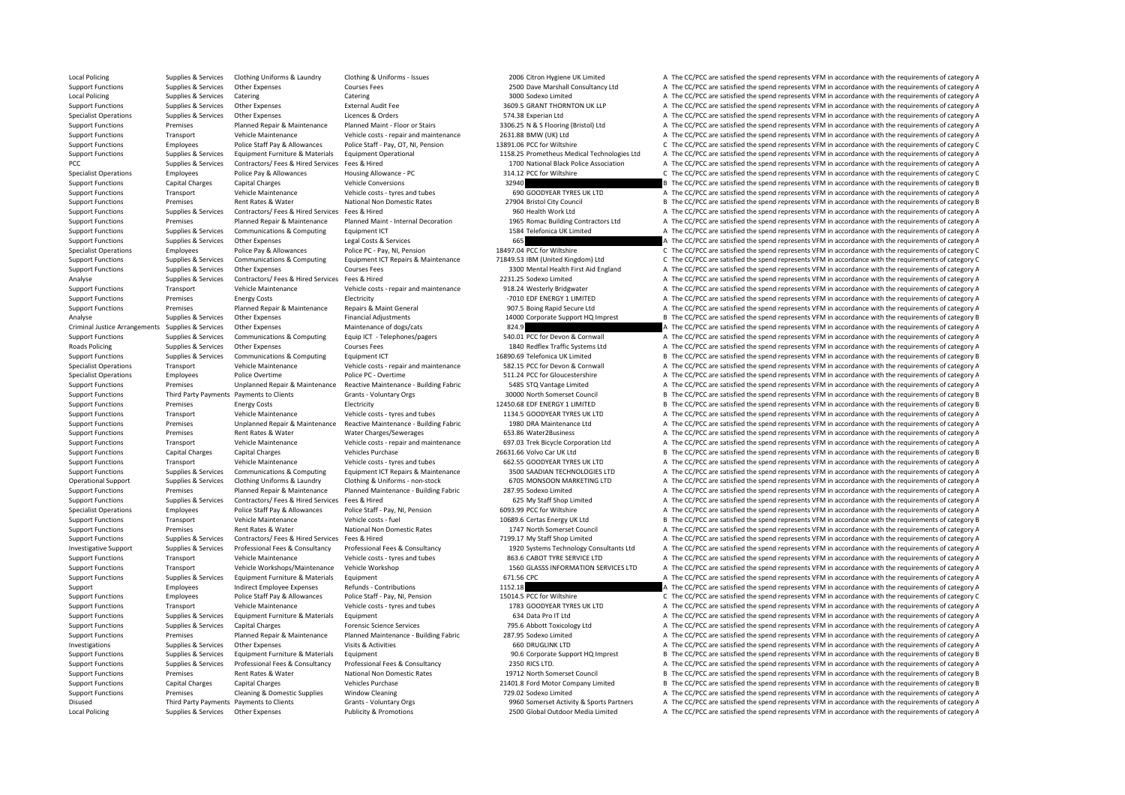Local Policing Supplies & Services Other Expenses Publicity & Promotions 2500 Global Outdoor Media Limited A The CC/PCC are satisfied the spend represents VFM in accordance with the requirements of category A

Local Policing Supplies & Services Clothing Uniforms & Laundry Clothing & Uniforms - Issues 2006 Citron Hygiene UK Limited A The CC/PCC are satisfied the spend represents VFM in accordance with the requirements of category Support Functions Supplies & Services Other Expenses 2000 Courses Fees 2500 Dave Marshall Consultancy Ltd A The CC/PCC are satisfied the spend represents VFM in accordance with the requirements of category A Local Policing Supplies Supplies & Services Catering Catering Catering Catering Catering Catering Catering Catering Catering Supplies and the Supplies of the Supplies Supplies Supplies A The CC/PCC are satisfied the spend Support Functions Supplies & Services Other Expenses External Audit Fee 3609.5 GRANT THORNTON UK LLP A The CC/PCC are satisfied the spend represents VFM in accordance with the requirements of category A Specialist Operations Supplies & Services Other Expenses Licences & Orders 574.38 Experian Ltd A The CC/PCC are satisfied the spend represents VFM in accordance with the requirements of category A Support Functions Premises Planned Repair & Maintenance Planned Maint - Floor or Stairs 3306.25 N & S Flooring (Bristol) Ltd A The CC/PCC are satisfied the spend represents VFM in accordance with the requirements of catego Support Functions Transport Vehicle Maintenance Vehicle costs ‐ repair and maintenance 2631.88 BMW (UK) Ltd A The CC/PCC are satisfied the spend represents VFM in accordance with the requirements of category A Support Functions Employees Police Staff Pay & Allowances Police Staff - Pay, OT, NI, Pension 13891.06 PCC for Wiltshire C The CC/PCC are satisfied the spend represents VFM in accordance with the requirements of category C on the state of the state of the state of the state of the state of the state of the state of the state of the state of the state of the state of the state of the state of the state of the state of the state of the state o PCC PCC are satisfied the spend represents VFM in accordance with the requirements of category A The CC/PCC are satisfied the spend represents VFM in accordance with the requirements of category A Specialist Operations Employees Police Pay & Allowances Housing Allowance - PC 314.12 PCC for Wiltshire C The CC/PCC are satisfied the spend represents VFM in accordance with the requirements of category C vehicle Conversi Support Functions Capital Charges Capital Charges Capital Charges Vehicle Conversions Capital Charges Vehicle Conversions 32940 B The CC/PCC are satisfied the spend represents VFM in accordance with the requirements of cat Support Functions Transport Vehicle Maintenance Vehicle costs - tyres and tubes 690 GOODYEAR TYRES UK LTD A The CC/PCC are satisfied the spend represents VFM in accordance with the requirements of category A The Content of Premises Rent Rates & Water National Non Domestic Rates 27904 Bristol City Council B The CC/PCC are satisfied the spend represents VFM in accordance with the requirements of category B Support Functions Supplies & Services Contractors/ Fees & Hired Services Fees & Hired 960 Health Work Ltd A The CC/PCC are satisfied the spend represents VFM in accordance with the requirements of category A Support Functions Premises Premises Planned Repair & Maintenance Planned Maint - Internal Decoration 1965 Romac Building Contractors Ltd A The CC/PCC are satisfied the spend represents VFM in accordance with the requiremen A The CC/PCC are satisfied the spend represents VFM in accordance with the requirements of category A Support Functions Supplies & Services Other Expenses Legal Costs & Services Creations and the COST Costs and the COST COST COST A The CC/PCC are satisfied the spend represents VFM in accordance with the requirements of cat Specialist Operations Employees Police Pay & Allowances Police PC - Pay, NI, Pension 18497.04 PCC for Wiltshire C The CC/PCC are satisfied the spend represents VFM in accordance with the requirements of category C Supplies & Services Communications & Computing Equipment ICT Repairs & Maintenance 71849.53 IBM (United Kingdom) Ltd C The CC/PCC are satisfied the spend represents VFM in accordance with the requirements of category C Support Functions Supplies & Services Other Expenses Courses Fees Courses Fees 3300 Mental Health First Aid England A The CC/PCC are satisfied the spend represents VFM in accordance with the requirements of category A The Analyse Supplies & Services Contractors/ Fees & Hired Services Fees & Hired 2231.25 Sodexo Limited A The CC/PCC are satisfied the spend represents VFM in accordance with the requirements of category A Support Functions Transport Vehicle Maintenance Vehicle costs - repair and maintenance 918.24 Westerly Bridgwater A The CC/PCC are satisfied the spend represents VFM in accordance with the requirements of category A The CC Support Functions Premises Energy Costs Electricity Electricity **Electricity** Function and the COVEC are satisfied the spend represents VFM in accordance with the requirements of category A Support Functions Premises Planned Repair & Maintenance Repairs & Maint General 907.5 Boing Rapid Secure Ltd A The CC/PCC are satisfied the spend represents VFM in accordance with the requirements of category A Analyse Supplies & Services Other Expenses Financial Adjustments Financial Adjustments 14000 Corporate Support HQ Imprest B The CC/PCC are satisfied the spend represents VFM in accordance with the requirements of category Criminal Justice Arrangements of category of dogs/cats 824.9 A The CC/PCC are satisfied the spend represents VFM in accordance with the requirements of category A Supplies & Services Communications & Computing Equip ICT - Telephones/pagers 540.01 PCC for Devon & Cornwall A The CC/PCC are satisfied the spend represents VFM in accordance with the requirements of category A Roads Policing Supplies & Services Other Expenses Courses Fees Courses Fees 1840 Redflex Traffic Systems Ltd A The CC/PCC are satisfied the spend represents VFM in accordance with the requirements of category A Support Functions Supplies & Services Communications & Computing Faultoment ICT 16890.69 Telefonica UK Limited B The CC/PCC are satisfied the spend represents VFM in accordance with the requirements of category B Specialist Operations Transport Vehicle Maintenance Vehicle costs - repair and maintenance 582.15 PCC for Devon & Cornwall A The CC/PCC are satisfied the spend represents VFM in accordance with the requirements of category Specialist Operations Employees Police Overtime Police PC - Overtime 511.24 PCC for Gloucestershire A The CC/PCC are satisfied the spend represents VFM in accordance with the requirements of category A Support Functions Premises Unplanned Repair & Maintenance Reactive Maintenance - Building Fabric 5485 STQ Vantage Limited A The CC/PCC are satisfied the spend represents VFM in accordance with the requirements of category Support Functions Third Party Payments Payments to Clients Grants - Voluntary Orgs 30000 North Somerset Council B The CC/PCC are satisfied the spend represents VFM in accordance with the requirements of category B The Crie Support Functions Premises Energy Costs Flectricity Functions Electricity 12450.68 EDF ENERGY 1 LIMITED B The CC/PCC are satisfied the spend represents VFM in accordance with the requirements of category B Support Functions Transport Vehicle Maintenance Vehicle costs ‐ tyres and tubes 1134.5 GOODYEAR TYRES UK LTD A The CC/PCC are satisfied the spend represents VFM in accordance with the requirements of category A Support Functions Premises Unplanned Repair & Maintenance - Beactive Maintenance - Building Fabric 1980 DRA Maintenance Ltd A The CC/PCC are satisfied the spend represents VFM in accordance with the requirements of categor Support Functions Premises Rent Rates Rulater Mater Charges/Sewerages 653.86 Water Rulater A The CC/PCC are satisfied the spend represents VFM in accordance with the requirements of category A Support Functions Transport Vehicle Maintenance Vehicle costs • repair and maintenance 697.03 Trek Bicycle Corporation Ltd A The CC/PCC are satisfied the spend represents VFM in accordance with the requirements of category Support Functions Capital Charges Capital Charges Vehicles Purchase 26631.66 Volvo Car UK Ltd B The CC/PCC are satisfied the spend represents VFM in accordance with the requirements of category B Support Functions Transport Vehicle Maintenance Vehicle costs ‐ tyres and tubes 662.55 GOODYEAR TYRES UK LTD A The CC/PCC are satisfied the spend represents VFM in accordance with the requirements of category A Support Functions Supplies & Services Communications & Computing Equipment ICT Repairs & Maintenance 3500 SAADIAN TECHNOLOGIES LTD A The CC/PCC are satisfied the spend represents VFM in accordance with the requirements of Operational Support Supplies & Services Clothing Uniforms & Laundry Clothing & Uniforms - non-stock 6705 MONSOON MARKETING LTD A The CC/PCC are satisfied the spend represents VFM in accordance with the requirements of cate Support Functions Premises Planned Repair & Maintenance Planned Maintenance - Building Fabric 287.95 Sodexo Limited A The CC/PCC are satisfied the spend represents VFM in accordance with the requirements of category A Support Functions Supplies & Services Contractors/ Fees & Hired Services Fees & Hired Services Fees & Hired 625 My Staff Shop Limited A The CC/PCC are satisfied the spend represents VFM in accordance with the requirements Specialist Operations Employees Police Staff Pay & Allowances Police Staff - Pay, NI, Pension 6093.99 PCC for Wiltshire A The CC/PCC are satisfied the spend represents VFM in accordance with the requirements of category A Support Functions Transport Vehicle Maintenance Vehicle costs - fuel 10689.6 Certas Energy UK Ltd B The CC/PCC are satisfied the spend represents VFM in accordance with the requirements of category B Support Functions Premises Rent Rates & Water National Non Domestic Rates 1747 North Somerset Council A The CC/PCC are satisfied the spend represents VFM in accordance with the requirements of category A Support Functions Supplies & Services Contractors/ Fees & Hired Services Fees & Hired Services Fees & Hired Services Fees & Consultancy 7199.17 My Staff Shop Limited A The CC/PCC are satisfied the spend represents VFM in a A The CC/PCC are satisfied the spend represents VFM in accordance with the requirements of category A Support Functions Transport Vehicle Maintenance Vehicle costs ‐ tyres and tubes 863.6 CABOT TYRE SERVICE LTD A The CC/PCC are satisfied the spend represents VFM in accordance with the requirements of category A Support Functions Transport Vehicle Workshops/Maintenance Vehicle Workshop 1560 GLASSS INFORMATION SERVICES LTD A The CC/PCC are satisfied the spend represents VFM in accordance with the requirements of category A Support Functions Supplies & Services Equipment Furniture & Materials Equipment 671.56 CPC 671.56 CPC 671.56 CPC A The CC/PCC are satisfied the spend represents VFM in accordance with the requirements of category A Support Employees Indirect Employee Expenses Refunds - Contributions 1152.18 A The CC/PCC are satisfied the spend represents VFM in accordance with the requirements of category A The Departments of category A The Contribut Support Functions Employees Police Staff Pay & Allowances Police Staff - Pay, NI, Pension 15014.5 PCC for Wiltshire C The CC/PCC are satisfied the spend represents VFM in accordance with the requirements of category C Support Functions Transport Vehicle Maintenance Vehicle costs - tyres and tubes 1783 GOODYEAR TYRES UK LTD A The CC/PCC are satisfied the spend represents VFM in accordance with the requirements of category A Support Functions Supplies & Services Equipment Furniture & Materials Equipment 634 Data Pro IT Ltd A The CC/PCC are satisfied the spend represents VFM in accordance with the requirements of category A Support Functions Supplies & Services Capital Charges Forensic Science Services 795.6 Abbott Toxicology Itd A The CC/PCC are satisfied the spend represents VFM in accordance with the requirements of category A Support Functions Premises Planned Repair & Maintenance Planned Maintenance - Building Fabric 287.95 Sodexo Limited A The CC/PCC are satisfied the spend represents VFM in accordance with the requirements of category A The A The CC/PCC are satisfied the spend represents VFM in accordance with the requirements of category A Support Functions Supplies & Services Equipment Furniture & Materials Equipment 90.6 Corporate Support HQ Imprest B The CC/PCC are satisfied the spend represents VFM in accordance with the requirements of category B Support Functions Supplies & Services Professional Fees & Consultancy Professional Fees & Consultancy 2350 RICS LTD. 2008 2350 RICS LTD. A The CC/PCC are satisfied the spend represents VFM in accordance with the requiremen B The CC/PCC are satisfied the spend represents VFM in accordance with the requirements of category B Support Functions Capital Charges Capital Charges Vehicles Purchase Vehicles Purchase 21401.8 Ford Motor Company Limited B The CC/PCC are satisfied the spend represents VFM in accordance with the requirements of category B Support Functions Premises Cleaning & Domestic Supplies Window Cleaning 729.02 Sodexo Limited A The CC/PCC are satisfied the spend represents VFM in accordance with the requirements of category A Disused Third Party Payments Payments to Clients Grants - Voluntary Orgs 9960 Somerset Activity & Sports Partners A The CC/PCC are satisfied the spend represents VFM in accordance with the requirements of category A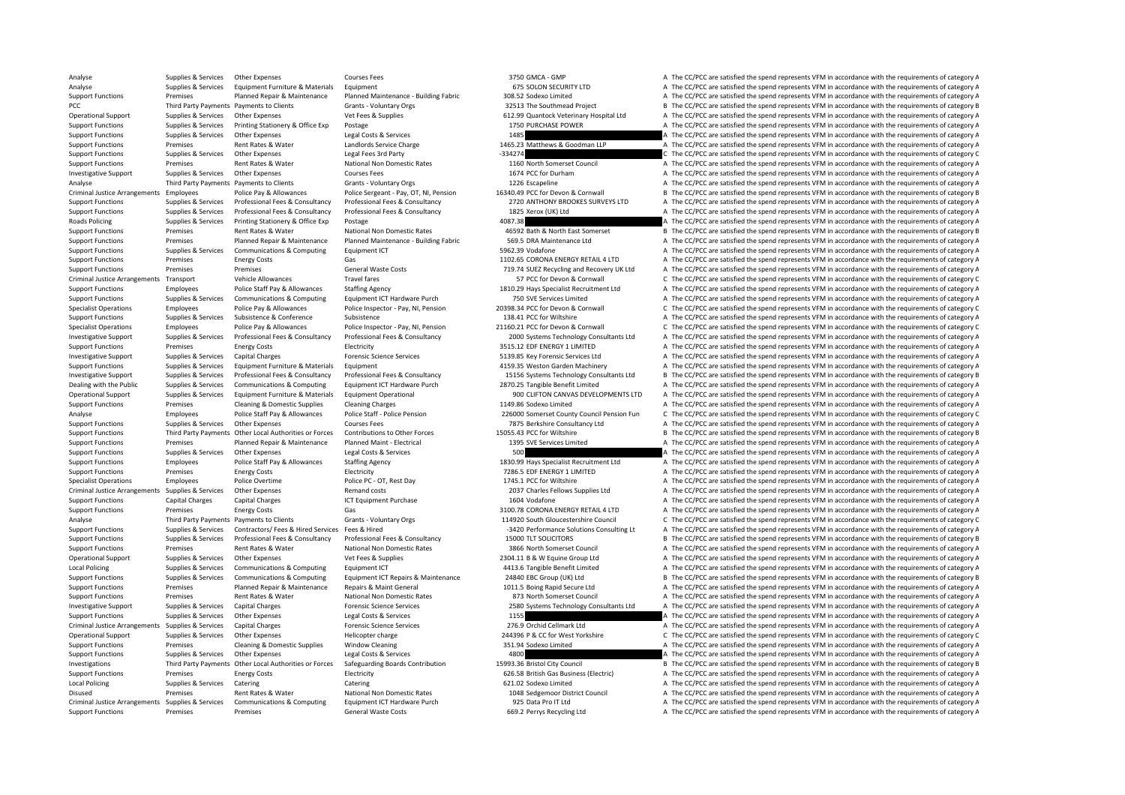Analyse Supplies & Services Other Expenses Courses Fees 3750 GMCA - GMP A The CC/PCC are satisfied the spend represents VFM in accordance with the requirements of category A Analyse Supplies & Services Equipment Furniture & Materials Equipment Equipment Equipment Equipment Equipment Supplies A The CC/PCC are satisfied the spend represents VFM in accordance with the requirements of category A T Support Functions Premises Planned Repair & Maintenance Planned Maintenance - Building Fabric 308.52 Sodexo Limited A The CC/PCC are satisfied the spend represents VFM in accordance with the requirements of category A The PCC Third Party Payments Payments to Clients Grants - Voluntary Orgs 32513 The Southmead Project B The CC/PCC are satisfied the spend represents VFM in accordance with the requirements of category B Operational Support Supplies & Services Other Expenses Vet Fees & Supplies Vet Fees & Supplies 612.99 Quantock Veterinary Hospital Ltd A The CC/PCC are satisfied the spend represents VFM in accordance with the requirements Support Functions Supplies & Services Printing Stationery & Office Exp Postage 1750 PURCHASE POWER 1750 PURCHASE POWER A The CC/PCC are satisfied the spend represents VFM in accordance with the requirements of category A Support Functions Supplies & Services Other Expenses Legal Costs & Services 1485 A The CC/PCC are satisfied the spend represents VFM in accordance with the requirements of category A Support Functions Premises Rent Rates & Water Landlords Service Charge 1465.23 Matthews & Goodman LLP A The CC/PCC are satisfied the spend represents VFM in accordance with the requirements of category A The reduce the spe Support Functions Supplies & Services Other Expenses Legal Fees 3rd Party – 334274 C The CC/PCC are satisfied the spend represents VFM in accordance with the requirements of category C Support Functions Premises Rent Rates & Water National Non Domestic Rates 1160 North Somerset Council A The CC/PCC are satisfied the spend represents VFM in accordance with the requirements of category A Investigative Support Supplies & Services Other Expenses Courses Fees Courses Fees 1674 PCC for Durham A The CC/PCC are satisfied the spend represents VFM in accordance with the requirements of category A The Criteria Thir Analyse Third Party Payments Payments to Clients Grants - Voluntary Orgs 1226 Escapeline 1226 Escapeline A The CC/PCC are satisfied the spend represents VFM in accordance with the requirements of category A Criminal Justice Arrangements Employees Police Pay & Allowances Police Sergeant - Pay, OT, NI, Pension 16340.49 PCC for Devon & Cornwall Barrangements of category B The CC/PCC are satisfied the spend represents VFM in acco A The CC/PCC are satisfied the spend represents VFM in accordance with the requirements of category A Support Functions Supplies & Services Professional Fees & Consultancy Professional Fees & Consultancy 1825 Xerox (UK) Ltd A The CC/PCC are satisfied the spend represents VFM in accordance with the requirements of category Roads Policing Supplies & Services Printing Stationery & Office Exp Postage Printing Stationery & Office Exp Postage 1087.38 A The CC/PCC are satisfied the spend represents VFM in accordance with the requirements of catego B The CC/PCC are satisfied the spend represents VFM in accordance with the requirements of category B Support Functions Premises Planned Repair & Maintenance Planned Maintenance - Building Fabric 569.5 DRA Maintenance Ltd A The CC/PCC are satisfied the spend represents VFM in accordance with the requirements of category A Support Functions Supplies & Services Communications & Computing Equipment ICT 5962.39 Vodafone 5962.39 Vodafone A The CC/PCC are satisfied the spend represents VFM in accordance with the requirements of category A Support Functions Premises Energy Costs Gas Gas 1102.65 CORONA ENERGY RETAIL 4 LTD A The CC/PCC are satisfied the spend represents VFM in accordance with the requirements of category A Support Functions Premises Premises Premises Premises General Waste Costs General Waste Costs 719.74 SUEZ Recycling and Recovery UK Ltd A The CC/PCC are satisfied the spend represents VFM in accordance with the requirement Criminal Justice Arrangements Transport Vehicle Allowances Travel fares 57 PCC for Devon & Cornwall C The CC/PCC are satisfied the spend represents VFM in accordance with the requirements of category C Support Functions Employees Police Staff Pay & Allowances Staffing Agency 1810.29 Hays Specialist Recruitment Ltd A The CC/PCC are satisfied the spend represents VFM in accordance with the requirements of category A Support Functions Supplies & Services Communications & Computing Equipment ICT Hardware Purch 750 SVE Services Limited A The CC/PCC are satisfied the spend represents VFM in accordance with the requirements of category A Specialist Operations Franchopes Police Pay & Allowances Police Inspector - Pay LIL Pension Police Inspector - Pay LIL Pension 20398.34 PCC for Devon & Commall C. The CC/PCC are satisfied the spend represents VEM in accord Support Functions Supplies & Services Subsistence Subsistence Subsistence Subsistence Subsistence Subsistence Subsistence and the Subsistence and the Conference of the CC/PCC are satisfied the spend represents VFM in accor C. The CC/PCC are satisfied the spend represents VEM in accordance with the requirements of category C. Investigative Support Supplies & Services Professional Fees & Consultancy Professional Fees & Consultancy Consultancy 2000 Systems Technology Consultants Ltd A The CC/PCC are satisfied the spend represents VFM in accordanc Support Functions Premises Energy Costs Electricity Electricity 3515.12 EDF ENERGY 1 LIMITED A The CC/PCC are satisfied the spend represents VFM in accordance with the requirements of category A Investigative Support Supplies & Services Capital Charges Forensic Science Services 5139.85 Key Forensic Services 1td A The CC/PCC are satisfied the spend represents VFM in accordance with the requirements of category A Support Functions Supplies & Services Equipment Furniture & Materials Equipment A Equipment 4159.35 Weston Garden Machinery A The CC/PCC are satisfied the spend represents VFM in accordance with the requirements of categor Investigative Supplies Receipes Services Professional Fees & Consultancy Professional Fees & Consultancy Professional Fees & Consultancy Professional Fees & Consultancy 20156 Systems Technology Consultants Itd B The CC/PCC Dealing with the Public Suppliers Suppliers Communications & Computing Faujument ICT Hardware Purch 2870.25 Tangible Benefit Limited A The CC/PCC are satisfied the spend represents VFM in accordance with the requirements o Operational Support Supplies & Services Equipment Furniture & Materials Equipment Operational 900 CLIFTON CANVAS DEVELOPMENTS LTD A The CC/PCC are satisfied the spend represents VFM in accordance with the requirements of c Support Functions Premises Cleaning & Domestic Supplies Cleaning Charges 1149.86 Sodexo Limited A The CC/PCC are satisfied the spend represents VFM in accordance with the requirements of category A Analyse Employees Police Staff Pay & Allowances Police Staff - Police Pension 226000 Somerset County Council Pension Fun C The CC/PCC are satisfied the spend represents VFM in accordance with the requirements of category C Support Functions Supplies & Services Other Expenses Courses Fees Courses Fees 7875 Berkshire Consultancy Ltd A The CC/PCC are satisfied the spend represents VFM in accordance with the requirements of category A Support Functions Third Party Payments Other Local Authorities or Forces Contributions to Other Forces of the Contributions to Other Forces 15055.43 PCC for Wiltshire B The CC/PCC are satisfied the spend represents VFM in Support Functions Premises Planned Repair & Maintenance Planned Maint ‐ Electrical 1395 SVE Services Limited A The CC/PCC are satisfied the spend represents VFM in accordance with the requirements of category A Support Functions Supplies & Services Other Expenses Legal Costs & Services 500 A The CC/PCC are satisfied the spend represents VFM in accordance with the requirements of category A Support Functions Employees Police Staff Pay & Allowances Staffing Agency 1830.99 Hays Specialist Recruitment Ltd A The CC/PCC are satisfied the spend represents VFM in accordance with the requirements of category A Support Functions Premises Energy Costs Electricity Electricity T286.5 EDF ENERGY 1 LIMITED A The CC/PCC are satisfied the spend represents VFM in accordance with the requirements of category P Specialist Operations Employees Police Overtime Police PC - OT, Rest Day 1745.1 PCC for Wiltshire A The CC/PCC are satisfied the spend represents VFM in accordance with the requirements of category P Criminal Justice Arrangements Supplies & Services Other Expenses Remand costs Remand costs 2037 Charles Fellows Supplies Ltd A The CC/PCC are satisfied the spend represents VFM in accordance with the requirements of catego Support Functions Capital Charges Capital Charges 1604 CT Equipment Purchase 1604 Vodafone 1604 Vodafone A The CC/PCC are satisfied the spend represents VFM in accordance with the requirements of category A The CC/PCC are Support Functions Premises Energy Costs Gas Gas Sas Support Costs (Gas 3100.78 CORONA ENERGY RETAIL 4 LTD A The CC/PCC are satisfied the spend represents VFM in accordance with the requirements of category A Analyse Third Party Payments Payments to Clients Grants - Voluntary Orgs 114920 South Gloucestershire Council C The CC/PCC are satisfied the spend represents VFM in accordance with the requirements of category C Supplies & Services Contractors/ Fees & Hired Services Fees & Hired Services Fees & Hired Services Fees & Hired Services Fees & Hired Services Fees & Hired Services Fees & Hired Services Fees & Hired Services Services Fees Support Functions Supplies & Services Professional Fees & Consultancy Professional Fees & Consultancy 15000 TLT SOLICITORS B The CC/PCC are satisfied the spend represents VFM in accordance with the requirements of category Premises Rent Rates & Water National Non Domestic Rates 3866 North Somerset Council A The CC/PCC are satisfied the spend represents VFM in accordance with the requirements of category A Operational Support Supplies & Services Other Expenses Vet Fees & Supplies Vet Fees & Supplies 2304.11 B & W Equine Group Ltd A The CC/PCC are satisfied the spend represents VFM in accordance with the requirements of categ Local Policing Supplies & Services Communications & Computing Equipment ICT 4413.6 Tangible Benefit Limited A The CC/PCC are satisfied the spend represents VFM in accordance with the requirements of category A Supplies & Services Communications & Computing Equipment ICT Repairs & Maintenance 24840 EBC Group (UK) Ltd Bile CC/PCC are satisfied the spend represents VFM in accordance with the requirements of category B Support Functions Premises Planned Repair & Maintenance Repairs & Maint General 1011.5 Boing Rapid Secure Ltd A The CC/PCC are satisfied the spend represents VFM in accordance with the requirements of category A The Criter Support Functions Premises Rent Rates & Water National Non Domestic Rates 873 North Somerset Council A The CC/PCC are satisfied the spend represents VFM in accordance with the requirements of category A Investigative Support Supplies & Services Capital Charges Forensic Science Services Forensic Science Services Procensic Science Services 2580 Systems Technology Consultants Ltd A The CC/PCC are satisfied the spend represen Support Functions Supplies & Services Other Expenses Legal Costs & Services 1155 A The CC/PCC are satisfied the spend represents VFM in accordance with the requirements of category A Criminal Justice Arrangements Suppliers & Services Capital Charges Forensic Science Services 276.9 Orchid Cellmark Ltd A The CC/PCC are satisfied the spend represents VFM in accordance with the requirements of category A Operational Support Supplies & Services Other Expenses Helicopter charge Helicopter charge 244396 P & CC for West Yorkshire C The CC/PCC are satisfied the spend represents VFM in accordance with the requirements of categor A The CC/PCC are satisfied the spend represents VFM in accordance with the requirements of category A Support Functions Supplies & Services Other Expenses Legal Costs & Services 4800 A The CC/PCC are satisfied the spend represents VFM in accordance with the requirements of category A Investigations Third Party Payments Other Local Authorities or Forces Safeguarding Boards Contribution 1993.36 Bristol City Council Bureau Bureau Bureau Bureau Bureau Bureau Bureau Bureau Bureau Bureau Bureau Bureau Bureau A The CC/PCC are satisfied the spend represents VFM in accordance with the requirements of category A Local Policing Supplies & Services Catering Catering Catering Catering Catering Catering Catering Catering Catering Catering Catering Catering Catering Catering Category A The CC/PCC are satisfied the spend represents VFM Disused Premises Rent Rates & Water National Non Domestic Rates 1048 Sedgemoor District Council A The CC/PCC are satisfied the spend represents VFM in accordance with the requirements of category A Criminal Justice Arrangements Supplies & Services Communications & Computing Equipment ICT Hardware Purch 925 Data Pro IT Ltd A The CC/PCC are satisfied the spend represents VFM in accordance with the requirements of categ Support Functions Premises Premises Premises Seneral Waste Costs 669.2 Perrys Recycling Ltd A The CC/PCC are satisfied the spend represents VFM in accordance with the requirements of category A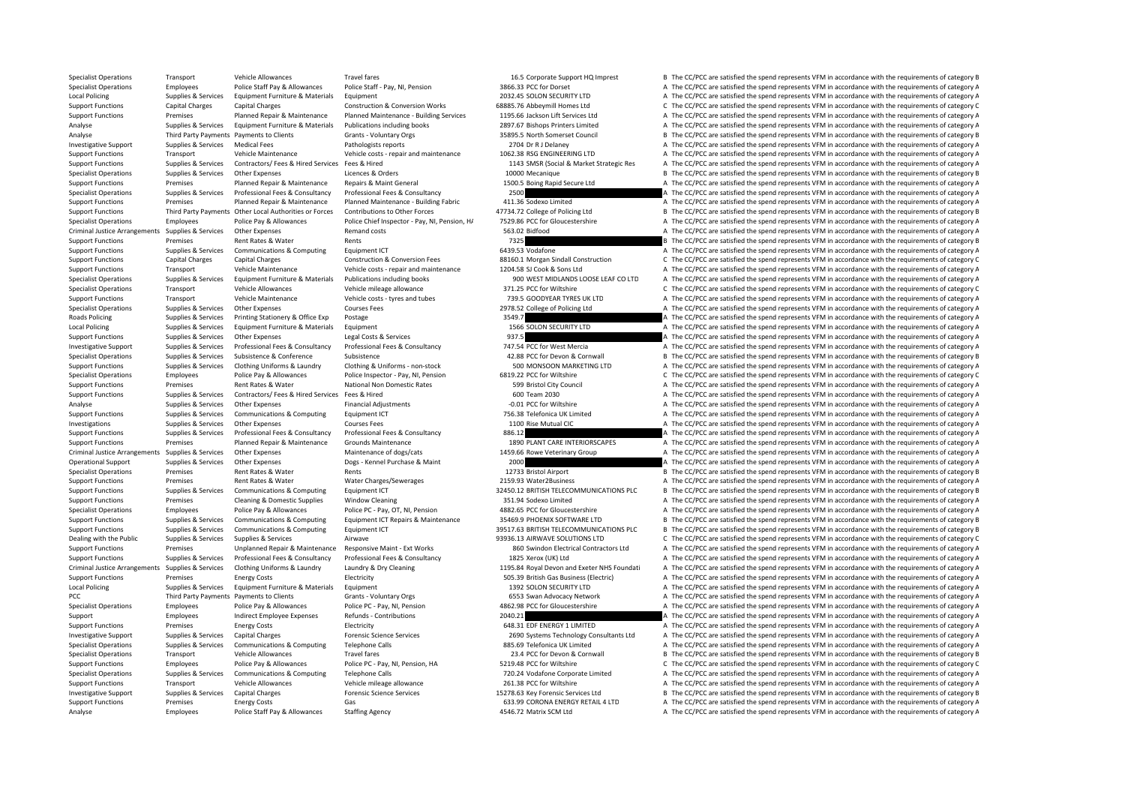Specialist Operations Transport Vehicle Allowances Travel fares Travel fares 16.5 Corporate Support HQ Imprest B The CC/PCC are satisfied the spend represents VFM in accordance with the requirements of category B Specialist Operations Employees Police Staff Pay & Allowances Police Staff - Pay, NI, Pension 3866.33 PCC for Dorset A The CC/PCC are satisfied the spend represents VFM in accordance with the requirements of category A The Local Policing Supplies & Services Equipment Furniture & Materials Equipment A The COLON SECURITY LTD A The CC/PCC are satisfied the spend represents VFM in accordance with the requirements of category A The Colon SCON SEC Support Functions Capital Charges Capital Charges Construction & Conversion Works 68885.76 Abbeymill Homes Ltd C The CC/PCC are satisfied the spend represents VFM in accordance with the requirements of category C Support Functions Premises Planned Repair & Maintenance Planned Maintenance Building Services 1195.66 Jackson Lift Services Ltd A The CC/PCC are satisfied the spend represents VFM in accordance with the requirements of cat Analyse Supplies & Services Equipment Furniture & Materials Publications including books 2897.67 Bishops Printers Limited A The CC/PCC are satisfied the spend represents VFM in accordance with the requirements of category Analyse Third Party Payments Payments to Clients Grants - Voluntary Orgs 35895.5 North Somerset Council B The CC/PCC are satisfied the spend represents VFM in accordance with the requirements of category B Investigative Support Supplies & Services Medical Fees Pathologists reports 2704 Dr R J Delaney 2704 Dr R J Delaney A The CC/PCC are satisfied the spend represents VFM in accordance with the requirements of category A The Support Functions Transport Vehicle Maintenance Vehicle costs - repair and maintenance 1062.38 RSG ENGINEERING LTD A The CC/PCC are satisfied the spend represents VFM in accordance with the requirements of category A Supplies & Services Contractors/ Fees & Hired Services Fees & Hired Services Fees & Hired Services Fees & Hired Services Fees & Hired Services Fees & Hired Services Fees & Hired Services Fees & Hired Services Fees & Hired Specialist Operations Supplies & Services Other Expenses Licences & Orders Licences & Orders Licences Applies and CODIMecanique B The CC/PCC are satisfied the spend represents VFM in accordance with the requirements of cat Premises Planned Repair & Maintenance Repairs & Maint General 1500.5 Boing Rapid Secure Ltd A The CC/PCC are satisfied the spend represents VFM in accordance with the requirements of category A Specialist Operations Supplies & Services Professional Fees & Consultancy Professional Fees & Consultancy Professional Fees & Consultancy 2500 A The CC/PCC are satisfied the spend represents VFM in accordance with the requ Premises Planned Repair & Maintenance Planned Maintenance - Building Fabric 411.36 Sodexo Limited A The CC/PCC are satisfied the spend represents VFM in accordance with the requirements of category A Support Functions Third Party Payments Other Local Authorities or Forces Contributions to Other Forces and the Computer of the Case of Policing Ltd B The CC/PCC are satisfied the spend represents VFM in accordance with the Specialist Operations Employees Police Pay & Allowances Police Chief Inspector - Pay, NI, Pension, H 7529.86 PCC for Gloucestershire A The CC/PCC are satisfied the spend represents VFM in accordance with the requirements o A The CC/PCC are satisfied the spend represents VFM in accordance with the requirements of category A Support Functions Premises Rent Rates & Water Rents Rents Rents 7325 B The CC/PCC are satisfied the spend represents VFM in accordance with the requirements of category B Support Functions Supplies & Services Communications & Computing Equipment ICT 6439.53 Vodafone A The CC/PCC are satisfied the spend represents VFM in accordance with the requirements of category A Support Functions Capital Charges Capital Charges Construction & Conversion Fees 88160.1 Morgan Sindall Construction C The CC/PCC are satisfied the spend represents VFM in accordance with the requirements of category C Support Functions Transport Vehicle Maintenance Vehicle costs ‐ repair and maintenance 1204.58 SJ Cook & Sons Ltd A The CC/PCC are satisfied the spend represents VFM in accordance with the requirements of category A The Cr A The CC/PCC are satisfied the spend represents VEM in accordance with the requirements of category A Specialist Operations Transport Vehicle Allowances Vehicle mileage allowance 371.25 PCC for Wiltshire C The CC/PCC are satisfied the spend represents VFM in accordance with the requirements of category C Support Functions Transport Vehicle Maintenance Vehicle costs - tyres and tubes 739.5 GOODYEAR TYRES UK LTD A The CC/PCC are satisfied the spend represents VFM in accordance with the requirements of category A Specialist Operations Suppliers Supplies & Services Other Expenses Courses Fees 2978.52 College of Policing Ltd A The CC/PCC are satisfied the spend represents VFM in accordance with the requirements of category A Roads Policing Supplies & Services Printing Stationery & Office Exp Postage 2016 and the State 3549.7 A The CC/PCC are satisfied the spend represents VFM in accordance with the requirements of category A The CC/PCC are sat Supplies & Services Equipment Furniture & Materials Equipment 1566 SOLON SECURITY LTD A The CC/PCC are satisfied the spend represents VFM in accordance with the requirements of category A Support Functions Supplies & Services Other Expenses Legal Costs & Services 937.5 A The CC/PCC are satisfied the spend represents VFM in accordance with the requirements of category A Investigative Support Supplies & Services Professional Fees & Consultancy Professional Fees & Consultancy Professional Fees & Consultancy Consultancy 747.54 PCC for West Mercia A The CC/PCC are satisfied the spend represen Specialist Operations Supplies & Services Subsistence Subsistence Subsistence 42.88 PCC for Devon & Cornwall B The CC/PCC are satisfied the spend represents VFM in accordance with the requirements of category B Support Functions Supplies & Services Clothing Uniforms & Laundry Clothing & Uniforms - non-stock 500 MONSOON MARKETING LTD A The CC/PCC are satisfied the spend represents VFM in accordance with the requirements of categor Specialist Operations Employees Police Pay & Allowances Police Inspector - Pay, NI, Pension 6819.22 PCC for Wiltshire C The CC/PCC are satisfied the spend represents VFM in accordance with the requirements of category C Support Functions Premises Rent Rates & Water National Non Domestic Rates 599 Bristol City Council A The CC/PCC are satisfied the spend represents VFM in accordance with the requirements of category A Support Functions Supplies & Services Contractors/ Fees & Hired Services Fees & Hired Services Fees & Hired 600 Team 2030 A The CC/PCC are satisfied the spend represents VFM in accordance with the requirements of category Analyse Supplies & Services Other Expenses Financial Adjustments – 0.01 PCC for Wiltshire A The CC/PCC are satisfied the spend represents VFM in accordance with the requirements of category A Support Functions Supplies & Services Communications & Computing Equipment ICT 756.38 Telefonica UK Limited A The CC/PCC are satisfied the spend represents VFM in accordance with the requirements of category A Investigations Supplies & Services Other Expenses Courses Fees Courses Fees 1100 Rise Mutual CIC A The CC/PCC are satisfied the spend represents VFM in accordance with the requirements of category A Support Functions Supplies & Services Professional Fees & Consultancy Professional Fees & Consultancy 886.12 A The CC/PCC are satisfied the spend represents VFM in accordance with the requirements of category A Support Functions Premises Planned Repair & Maintenance Grounds Maintenance Grounds Maintenance (1890 PLANT CARE INTERIORSCAPES A The CC/PCC are satisfied the spend represents VFM in accordance with the requirements of cat Criminal Justice Arrangements Supplies & Services Other Expenses Maintenance of dogs/cats Maintenance of dogs/cats 1459.66 Rowe Veterinary Group A The CC/PCC are satisfied the spend represents VFM in accordance with the re Operational Support Supplies & Services Other Expenses Dogs - Kennel Purchase & Maint 2000 A The CC/PCC are satisfied the spend represents VFM in accordance with the requirements of category B<br>
Specialist Operations Premis Specialist Operations Premises Rent Rates & Water Rents Rents Rents Rents 12733 Bristol Airport B The CC/PCC are satisfied the spend represents VFM in accordance with the requirements of category B Support Functions Premises Rent Rates & Water Water Charges/Sewerages 2159.93 Water2Business A The CC/PCC are satisfied the spend represents VFM in accordance with the requirements of category A Support Functions Supplies & Services Communications & Computing Equipment ICT 32450.12 BRITISH TELECOMMUNICATIONS PLC B The CC/PCC are satisfied the spend represents VFM in accordance with the requirements of category B<br>S Support Functions Premises Cleaning & Domestic Supplies Window Cleaning 351.94 Sodexo Limited A The CC/PCC are satisfied the spend represents VFM in accordance with the requirements of category A Specialist Operations Employees Police Pay & Allowances Police PC - Pay, OT, NI, Pension 4882.65 PCC for Gloucestershire A The CC/PCC are satisfied the spend represents VFM in accordance with the requirements of category A Supplies & Services Communications & Computing Equipment ICT Repairs & Maintenance 35469.9 PHOENIX SOFTWARE LTD B The CC/PCC are satisfied the spend represents VFM in accordance with the requirements of category B Support Functions Supplies & Services Communications & Computing Equipment ICT 39517.63 BRITISH TELECOMMUNICATIONS PLC B The CC/PCC are satisfied the spend represents VFM in accordance with the requirements of category B<br>D Dealing with the Public Supplies & Services Supplies & Services Airwave Airwave Airwave 93936.13 AIRWAVE SOLUTIONS LTD C The CC/PCC are satisfied the spend represents VFM in accordance with the requirements of category C<br>S Premises Unplanned Repair & Maintenance Responsive Maint - Ext Works 860 Swindon Electrical Contractors Ltd A The CC/PCC are satisfied the spend represents VFM in accordance with the requirements of category A Support Functions Supplies & Services Professional Fees & Consultancy Professional Fees & Consultancy Professional Fees & Consultancy 1825 Xerox (UK) Ltd A The CC/PCC are satisfied the spend represents VFM in accordance wi Criminal Justice Arrangements Supplies & Services Clothing Uniforms & Laundry Laundry Laundry & Dry Cleaning Mater NHS Found and Exeter NHS Foundati A The CC/PCC are satisfied the spend represents VFM in accordance with th Support Functions Premises Energy Costs Electricity Electricity SUS.39 British Gas Business (Electric) A The CC/PCC are satisfied the spend represents VFM in accordance with the requirements of category A Local Policing Supplies & Services Equipment Furniture & Materials Equipment Equipment 1392 SOLON SECURITY LTD A The CC/PCC are satisfied the spend represents VFM in accordance with the requirements of category A The Crite PCC Third Party Payments Payments to Clients Grants - Voluntary Orgs 6553 Swan Advocacy Network A The CC/PCC are satisfied the spend represents VFM in accordance with the requirements of category A Specialist Operations Employees Police Pay & Allowances Police PC - Pay, NI, Pension 4862.98 PCC for Gloucestershire A The CC/PCC are satisfied the spend represents VFM in accordance with the requirements of category A Support Employees Indirect Employee Expenses Refunds - Contributions 2040.21 2040.21 A The CC/PCC are satisfied the spend represents VFM in accordance with the requirements of category A Support Functions Premises Functions Energy Costs Functions Electricity entergy and the Electricity of the Spend represents VFM in accordance with the requirements of category A The COVEC are satisfied the spend represents Investigative Support Supplies & Services Capital Charges Capital Charges Forensic Science Services Forensic Science Services and the Services of the CONSTAGE of the CONSTAGE of the Service of the equirements of category A Specialist Operations Supplies A The CC/PCC are satisfied the spend represents VFM in accordance with the requirements of category A Specialist Operations Transport Vehicle Allowances Travel fares Travel fares 23.4 PCC for Devon & Cornwall B The CC/PCC are satisfied the spend represents VFM in accordance with the requirements of category B Support Functions Employees Police Pay & Allowances Police PC - Pay, NI, Pension, HA 5219.48 PCC for Wiltshire C The CC/PCC are satisfied the spend represents VFM in accordance with the requirements of category C Specialis Specialist Operations Supplies A The CC/PCC are satisfied the spend represents VFM in accordance with the requirements of category A Support Functions Transport Vehicle Allowances Vehicle mileage allowance 261.38 PCC for Wiltshire A The CC/PCC are satisfied the spend represents VFM in accordance with the requirements of category A Investigative Support Supplies & Services Capital Charges Forensic Science Services 15278.63 Key Forensic Services Ltd B The CC/PCC are satisfied the spend represents VFM in accordance with the requirements of category B Support Functions Premises Energy Costs Gas Gas Function Casts Category A The CC/PCC are satisfied the spend represents VFM in accordance with the requirements of category A Analyse Employees Police Staff Pay & Allowances Staffing Agency 4546.72 Matrix SCM Ltd A The CC/PCC are satisfied the spend represents VFM in accordance with the requirements of category A